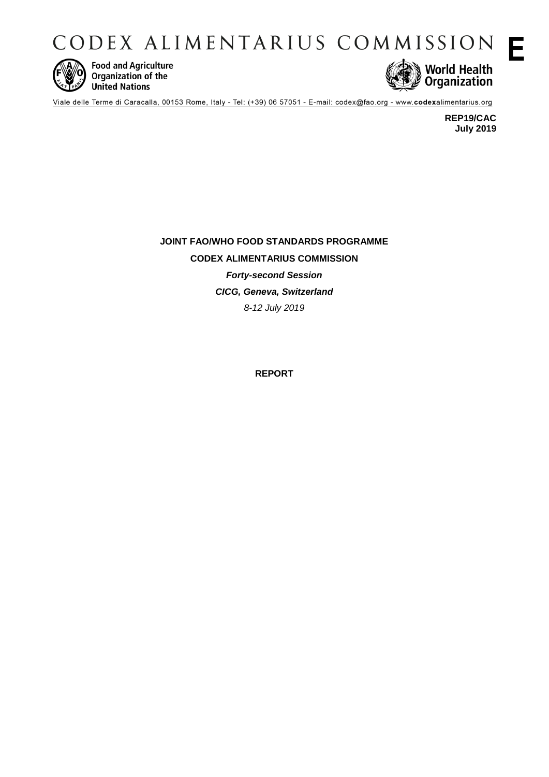CODEX ALIMENTARIUS COMMISSION



**Food and Agriculture** Organization of the **United Nations** 



Viale delle Terme di Caracalla, 00153 Rome, Italy - Tel: (+39) 06 57051 - E-mail: codex@fao.org - www.codexalimentarius.org

**REP19/CAC July 2019** **E**

**JOINT FAO/WHO FOOD STANDARDS PROGRAMME CODEX ALIMENTARIUS COMMISSION** *Forty-second Session CICG, Geneva, Switzerland 8-12 July 2019*

**REPORT**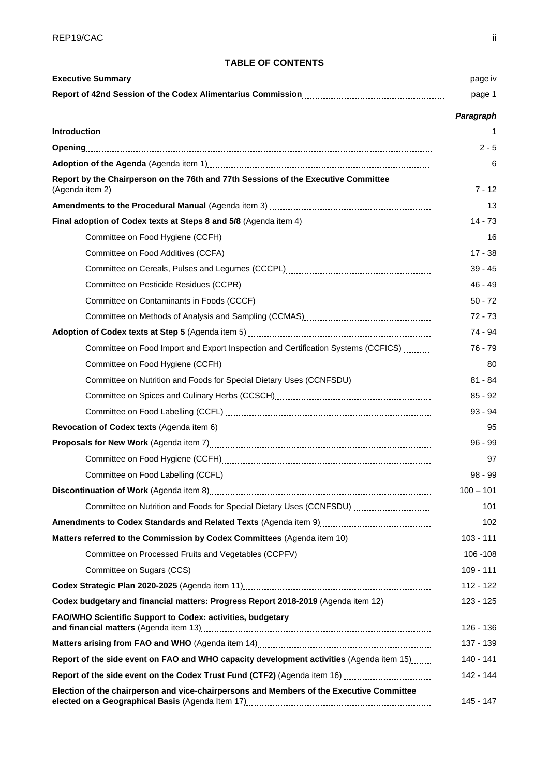## **TABLE OF CONTENTS**

| <b>Executive Summary</b>                                                                                                                                                                                                                                                                                                                                                                                                                           | page iv     |
|----------------------------------------------------------------------------------------------------------------------------------------------------------------------------------------------------------------------------------------------------------------------------------------------------------------------------------------------------------------------------------------------------------------------------------------------------|-------------|
|                                                                                                                                                                                                                                                                                                                                                                                                                                                    | page 1      |
|                                                                                                                                                                                                                                                                                                                                                                                                                                                    | Paragraph   |
| $\label{lem:1} \textbf{Introduction} \underset{1}{\underbrace{.\hspace{-.2cm}.\hspace{-.2cm}.\hspace{-.2cm}.\hspace{-.2cm}.\hspace{-.2cm}.\hspace{-.2cm}.\hspace{-.2cm}.\hspace{-.2cm}.\hspace{-.2cm}.\hspace{-.2cm}.\hspace{-.2cm}.\hspace{-.2cm}.\hspace{-.2cm}.\hspace{-.2cm}.\hspace{-.2cm}.\hspace{-.2cm}.\hspace{-.2cm}.\hspace{-.2cm}.\hspace{-.2cm}.\hspace{-.2cm}.\hspace{-.2cm}.\hspace{-.2cm}.\hspace{-.2cm}.\hspace{-.2cm}.\hspace{-.$ | 1           |
|                                                                                                                                                                                                                                                                                                                                                                                                                                                    | $2 - 5$     |
|                                                                                                                                                                                                                                                                                                                                                                                                                                                    | 6           |
| Report by the Chairperson on the 76th and 77th Sessions of the Executive Committee                                                                                                                                                                                                                                                                                                                                                                 | $7 - 12$    |
|                                                                                                                                                                                                                                                                                                                                                                                                                                                    | 13          |
|                                                                                                                                                                                                                                                                                                                                                                                                                                                    | $14 - 73$   |
|                                                                                                                                                                                                                                                                                                                                                                                                                                                    | 16          |
|                                                                                                                                                                                                                                                                                                                                                                                                                                                    | $17 - 38$   |
|                                                                                                                                                                                                                                                                                                                                                                                                                                                    | $39 - 45$   |
|                                                                                                                                                                                                                                                                                                                                                                                                                                                    | 46 - 49     |
|                                                                                                                                                                                                                                                                                                                                                                                                                                                    | $50 - 72$   |
|                                                                                                                                                                                                                                                                                                                                                                                                                                                    | $72 - 73$   |
|                                                                                                                                                                                                                                                                                                                                                                                                                                                    | 74 - 94     |
| Committee on Food Import and Export Inspection and Certification Systems (CCFICS)                                                                                                                                                                                                                                                                                                                                                                  | 76 - 79     |
|                                                                                                                                                                                                                                                                                                                                                                                                                                                    | 80          |
| Committee on Nutrition and Foods for Special Dietary Uses (CCNFSDU)                                                                                                                                                                                                                                                                                                                                                                                | $81 - 84$   |
|                                                                                                                                                                                                                                                                                                                                                                                                                                                    | $85 - 92$   |
|                                                                                                                                                                                                                                                                                                                                                                                                                                                    | $93 - 94$   |
|                                                                                                                                                                                                                                                                                                                                                                                                                                                    | 95          |
|                                                                                                                                                                                                                                                                                                                                                                                                                                                    | $96 - 99$   |
|                                                                                                                                                                                                                                                                                                                                                                                                                                                    | 97          |
|                                                                                                                                                                                                                                                                                                                                                                                                                                                    | $98 - 99$   |
|                                                                                                                                                                                                                                                                                                                                                                                                                                                    | $100 - 101$ |
| Committee on Nutrition and Foods for Special Dietary Uses (CCNFSDU)                                                                                                                                                                                                                                                                                                                                                                                | 101         |
|                                                                                                                                                                                                                                                                                                                                                                                                                                                    | 102         |
|                                                                                                                                                                                                                                                                                                                                                                                                                                                    | $103 - 111$ |
|                                                                                                                                                                                                                                                                                                                                                                                                                                                    | 106 - 108   |
|                                                                                                                                                                                                                                                                                                                                                                                                                                                    | $109 - 111$ |
|                                                                                                                                                                                                                                                                                                                                                                                                                                                    | 112 - 122   |
| Codex budgetary and financial matters: Progress Report 2018-2019 (Agenda item 12)                                                                                                                                                                                                                                                                                                                                                                  | 123 - 125   |
| FAO/WHO Scientific Support to Codex: activities, budgetary                                                                                                                                                                                                                                                                                                                                                                                         | 126 - 136   |
|                                                                                                                                                                                                                                                                                                                                                                                                                                                    | 137 - 139   |
| Report of the side event on FAO and WHO capacity development activities (Agenda item 15)                                                                                                                                                                                                                                                                                                                                                           | 140 - 141   |
|                                                                                                                                                                                                                                                                                                                                                                                                                                                    | 142 - 144   |
| Election of the chairperson and vice-chairpersons and Members of the Executive Committee                                                                                                                                                                                                                                                                                                                                                           | 145 - 147   |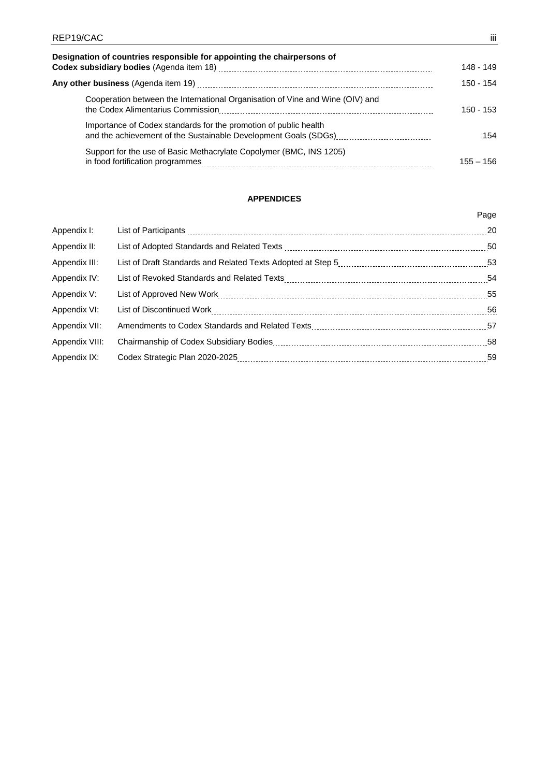| REP19/CAC                                                                     | -iii        |
|-------------------------------------------------------------------------------|-------------|
| Designation of countries responsible for appointing the chairpersons of       | 148 - 149   |
|                                                                               | 150 - 154   |
| Cooperation between the International Organisation of Vine and Wine (OIV) and | $150 - 153$ |
| Importance of Codex standards for the promotion of public health              | 154         |
| Support for the use of Basic Methacrylate Copolymer (BMC, INS 1205)           | $155 - 156$ |

## **APPENDICES**

|                | Page |
|----------------|------|
| Appendix I:    | 20   |
| Appendix II:   | 50   |
| Appendix III:  | -53  |
| Appendix IV:   | 54   |
| Appendix V:    |      |
| Appendix VI:   | 56   |
| Appendix VII:  | 57   |
| Appendix VIII: |      |
| Appendix IX:   |      |
|                |      |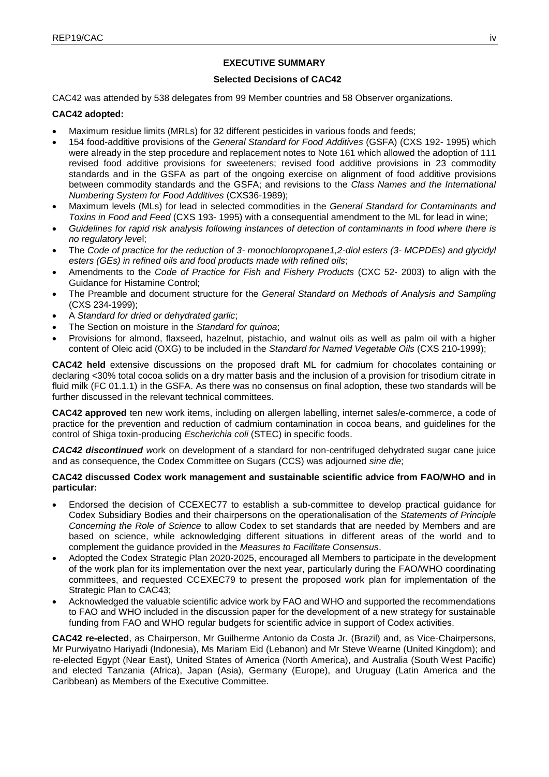## **EXECUTIVE SUMMARY**

## **Selected Decisions of CAC42**

CAC42 was attended by 538 delegates from 99 Member countries and 58 Observer organizations.

## **CAC42 adopted:**

- Maximum residue limits (MRLs) for 32 different pesticides in various foods and feeds;
- 154 food-additive provisions of the *General Standard for Food Additives* (GSFA) (CXS 192- 1995) which were already in the step procedure and replacement notes to Note 161 which allowed the adoption of 111 revised food additive provisions for sweeteners; revised food additive provisions in 23 commodity standards and in the GSFA as part of the ongoing exercise on alignment of food additive provisions between commodity standards and the GSFA; and revisions to the *Class Names and the International Numbering System for Food Additives* (CXS36-1989);
- Maximum levels (MLs) for lead in selected commodities in the *General Standard for Contaminants and Toxins in Food and Feed* (CXS 193- 1995) with a consequential amendment to the ML for lead in wine;
- *Guidelines for rapid risk analysis following instances of detection of contaminants in food where there is no regulatory leve*l;
- The *Code of practice for the reduction of 3- monochloropropane1,2-diol esters (3- MCPDEs) and glycidyl esters (GEs) in refined oils and food products made with refined oils*;
- Amendments to the *Code of Practice for Fish and Fishery Products* (CXC 52- 2003) to align with the Guidance for Histamine Control;
- The Preamble and document structure for the *General Standard on Methods of Analysis and Sampling* (CXS 234-1999);
- A *Standard for dried or dehydrated garlic*;
- The Section on moisture in the *Standard for quinoa*;
- Provisions for almond, flaxseed, hazelnut, pistachio, and walnut oils as well as palm oil with a higher content of Oleic acid (OXG) to be included in the *Standard for Named Vegetable Oils* (CXS 210-1999);

**CAC42 held** extensive discussions on the proposed draft ML for cadmium for chocolates containing or declaring <30% total cocoa solids on a dry matter basis and the inclusion of a provision for trisodium citrate in fluid milk (FC 01.1.1) in the GSFA. As there was no consensus on final adoption, these two standards will be further discussed in the relevant technical committees.

**CAC42 approved** ten new work items, including on allergen labelling, internet sales/e-commerce, a code of practice for the prevention and reduction of cadmium contamination in cocoa beans, and guidelines for the control of Shiga toxin-producing *Escherichia coli* (STEC) in specific foods.

*CAC42 discontinued w*ork on development of a standard for non-centrifuged dehydrated sugar cane juice and as consequence, the Codex Committee on Sugars (CCS) was adjourned *sine die*;

## **CAC42 discussed Codex work management and sustainable scientific advice from FAO/WHO and in particular:**

- Endorsed the decision of CCEXEC77 to establish a sub-committee to develop practical guidance for Codex Subsidiary Bodies and their chairpersons on the operationalisation of the *Statements of Principle Concerning the Role of Science* to allow Codex to set standards that are needed by Members and are based on science, while acknowledging different situations in different areas of the world and to complement the guidance provided in the *Measures to Facilitate Consensus*.
- Adopted the Codex Strategic Plan 2020-2025, encouraged all Members to participate in the development of the work plan for its implementation over the next year, particularly during the FAO/WHO coordinating committees, and requested CCEXEC79 to present the proposed work plan for implementation of the Strategic Plan to CAC43;
- Acknowledged the valuable scientific advice work by FAO and WHO and supported the recommendations to FAO and WHO included in the discussion paper for the development of a new strategy for sustainable funding from FAO and WHO regular budgets for scientific advice in support of Codex activities.

**CAC42 re-elected**, as Chairperson, Mr Guilherme Antonio da Costa Jr. (Brazil) and, as Vice-Chairpersons, Mr Purwiyatno Hariyadi (Indonesia), Ms Mariam Eid (Lebanon) and Mr Steve Wearne (United Kingdom); and re-elected Egypt (Near East), United States of America (North America), and Australia (South West Pacific) and elected Tanzania (Africa), Japan (Asia), Germany (Europe), and Uruguay (Latin America and the Caribbean) as Members of the Executive Committee.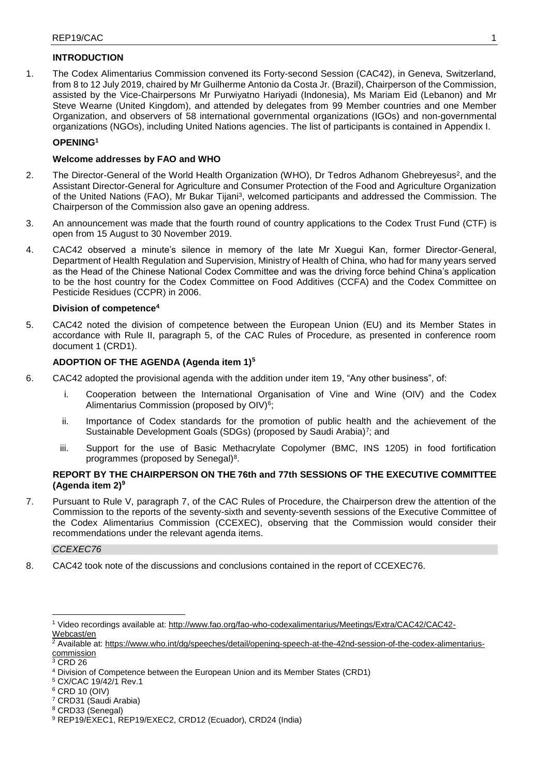## **INTRODUCTION**

1. The Codex Alimentarius Commission convened its Forty-second Session (CAC42), in Geneva, Switzerland, from 8 to 12 July 2019, chaired by Mr Guilherme Antonio da Costa Jr. (Brazil), Chairperson of the Commission, assisted by the Vice-Chairpersons Mr Purwiyatno Hariyadi (Indonesia), Ms Mariam Eid (Lebanon) and Mr Steve Wearne (United Kingdom), and attended by delegates from 99 Member countries and one Member Organization, and observers of 58 international governmental organizations (IGOs) and non-governmental organizations (NGOs), including United Nations agencies. The list of participants is contained in Appendix I.

## **OPENING<sup>1</sup>**

## **Welcome addresses by FAO and WHO**

- 2. The Director-General of the World Health Organization (WHO), Dr Tedros Adhanom Ghebreyesus<sup>2</sup>, and the Assistant Director-General for Agriculture and Consumer Protection of the Food and Agriculture Organization of the United Nations (FAO), Mr Bukar Tijani<sup>3</sup>, welcomed participants and addressed the Commission. The Chairperson of the Commission also gave an opening address.
- 3. An announcement was made that the fourth round of country applications to the Codex Trust Fund (CTF) is open from 15 August to 30 November 2019.
- 4. CAC42 observed a minute's silence in memory of the late Mr Xuegui Kan, former Director-General, Department of Health Regulation and Supervision, Ministry of Health of China, who had for many years served as the Head of the Chinese National Codex Committee and was the driving force behind China's application to be the host country for the Codex Committee on Food Additives (CCFA) and the Codex Committee on Pesticide Residues (CCPR) in 2006.

### **Division of competence<sup>4</sup>**

5. CAC42 noted the division of competence between the European Union (EU) and its Member States in accordance with Rule II, paragraph 5, of the CAC Rules of Procedure, as presented in conference room document 1 (CRD1).

## **ADOPTION OF THE AGENDA (Agenda item 1)<sup>5</sup>**

- 6. CAC42 adopted the provisional agenda with the addition under item 19, "Any other business", of:
	- i. Cooperation between the International Organisation of Vine and Wine (OIV) and the Codex Alimentarius Commission (proposed by OIV)<sup>6</sup>;
	- ii. Importance of Codex standards for the promotion of public health and the achievement of the Sustainable Development Goals (SDGs) (proposed by Saudi Arabia)<sup>7</sup>; and
	- iii. Support for the use of Basic Methacrylate Copolymer (BMC, INS 1205) in food fortification programmes (proposed by Senegal)<sup>8</sup>.

## **REPORT BY THE CHAIRPERSON ON THE 76th and 77th SESSIONS OF THE EXECUTIVE COMMITTEE (Agenda item 2)<sup>9</sup>**

7. Pursuant to Rule V, paragraph 7, of the CAC Rules of Procedure, the Chairperson drew the attention of the Commission to the reports of the seventy-sixth and seventy-seventh sessions of the Executive Committee of the Codex Alimentarius Commission (CCEXEC), observing that the Commission would consider their recommendations under the relevant agenda items.

## *CCEXEC76*

8. CAC42 took note of the discussions and conclusions contained in the report of CCEXEC76.

<sup>6</sup> CRD 10 (OIV)

**<sup>.</sup>** <sup>1</sup> Video recordings available at: [http://www.fao.org/fao-who-codexalimentarius/Meetings/Extra/CAC42/CAC42-](http://www.fao.org/fao-who-codexalimentarius/Meetings/Extra/CAC42/CAC42-Webcast/en) [Webcast/en](http://www.fao.org/fao-who-codexalimentarius/Meetings/Extra/CAC42/CAC42-Webcast/en)

 $\frac{2}{3}$  Available at: [https://www.who.int/dg/speeches/detail/opening-speech-at-the-42nd-session-of-the-codex-alimentarius](https://www.who.int/dg/speeches/detail/opening-speech-at-the-42nd-session-of-the-codex-alimentarius-commission)[commission](https://www.who.int/dg/speeches/detail/opening-speech-at-the-42nd-session-of-the-codex-alimentarius-commission)

 $3$  CRD 26

<sup>4</sup> Division of Competence between the European Union and its Member States (CRD1)

<sup>5</sup> CX/CAC 19/42/1 Rev.1

<sup>7</sup> CRD31 (Saudi Arabia)

<sup>8</sup> CRD33 (Senegal)

<sup>9</sup> REP19/EXEC1, REP19/EXEC2, CRD12 (Ecuador), CRD24 (India)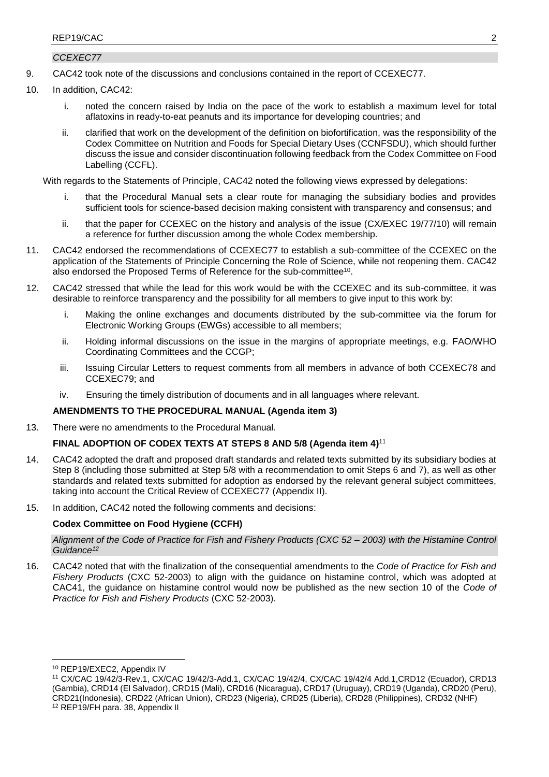### *CCEXEC77*

- 9. CAC42 took note of the discussions and conclusions contained in the report of CCEXEC77.
- 10. In addition, CAC42:
	- i. noted the concern raised by India on the pace of the work to establish a maximum level for total aflatoxins in ready-to-eat peanuts and its importance for developing countries; and
	- ii. clarified that work on the development of the definition on biofortification, was the responsibility of the Codex Committee on Nutrition and Foods for Special Dietary Uses (CCNFSDU), which should further discuss the issue and consider discontinuation following feedback from the Codex Committee on Food Labelling (CCFL).

With regards to the Statements of Principle, CAC42 noted the following views expressed by delegations:

- that the Procedural Manual sets a clear route for managing the subsidiary bodies and provides sufficient tools for science-based decision making consistent with transparency and consensus; and
- ii. that the paper for CCEXEC on the history and analysis of the issue (CX/EXEC 19/77/10) will remain a reference for further discussion among the whole Codex membership.
- 11. CAC42 endorsed the recommendations of CCEXEC77 to establish a sub-committee of the CCEXEC on the application of the Statements of Principle Concerning the Role of Science, while not reopening them. CAC42 also endorsed the Proposed Terms of Reference for the sub-committee<sup>10</sup>.
- 12. CAC42 stressed that while the lead for this work would be with the CCEXEC and its sub-committee, it was desirable to reinforce transparency and the possibility for all members to give input to this work by:
	- i. Making the online exchanges and documents distributed by the sub-committee via the forum for Electronic Working Groups (EWGs) accessible to all members;
	- ii. Holding informal discussions on the issue in the margins of appropriate meetings, e.g. FAO/WHO Coordinating Committees and the CCGP;
	- iii. Issuing Circular Letters to request comments from all members in advance of both CCEXEC78 and CCEXEC79; and
	- iv. Ensuring the timely distribution of documents and in all languages where relevant.

## **AMENDMENTS TO THE PROCEDURAL MANUAL (Agenda item 3)**

13. There were no amendments to the Procedural Manual.

## **FINAL ADOPTION OF CODEX TEXTS AT STEPS 8 AND 5/8 (Agenda item 4)** 11

- 14. CAC42 adopted the draft and proposed draft standards and related texts submitted by its subsidiary bodies at Step 8 (including those submitted at Step 5/8 with a recommendation to omit Steps 6 and 7), as well as other standards and related texts submitted for adoption as endorsed by the relevant general subject committees, taking into account the Critical Review of CCEXEC77 (Appendix II).
- 15. In addition, CAC42 noted the following comments and decisions:

### **Codex Committee on Food Hygiene (CCFH)**

*Alignment of the Code of Practice for Fish and Fishery Products (CXC 52 – 2003) with the Histamine Control Guidance<sup>12</sup>*

16. CAC42 noted that with the finalization of the consequential amendments to the *Code of Practice for Fish and Fishery Products* (CXC 52-2003) to align with the guidance on histamine control, which was adopted at CAC41, the guidance on histamine control would now be published as the new section 10 of the *Code of Practice for Fish and Fishery Products* (CXC 52-2003).

-

<sup>10</sup> REP19/EXEC2, Appendix IV

<sup>11</sup> CX/CAC 19/42/3-Rev.1, CX/CAC 19/42/3-Add.1, CX/CAC 19/42/4, CX/CAC 19/42/4 Add.1,CRD12 (Ecuador), CRD13 (Gambia), CRD14 (El Salvador), CRD15 (Mali), CRD16 (Nicaragua), CRD17 (Uruguay), CRD19 (Uganda), CRD20 (Peru), CRD21(Indonesia), CRD22 (African Union), CRD23 (Nigeria), CRD25 (Liberia), CRD28 (Philippines), CRD32 (NHF) <sup>12</sup> REP19/FH para. 38, Appendix II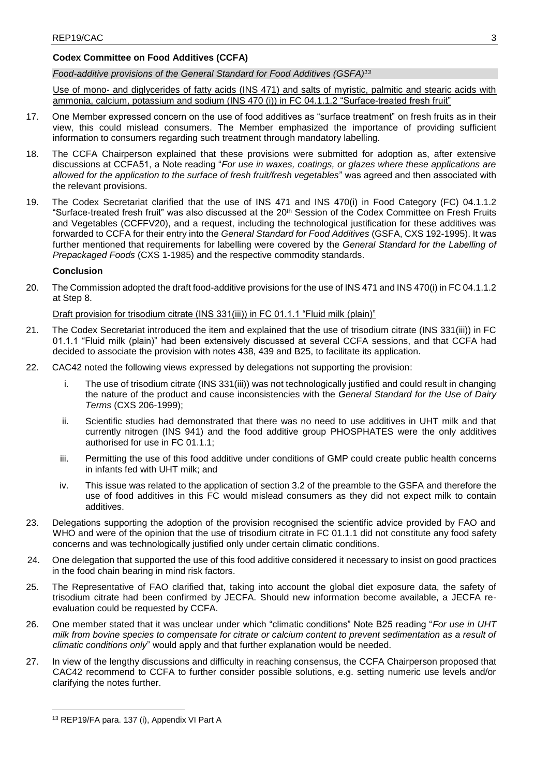## **Codex Committee on Food Additives (CCFA)**

*Food-additive provisions of the General Standard for Food Additives (GSFA) 13*

Use of mono- and diglycerides of fatty acids (INS 471) and salts of myristic, palmitic and stearic acids with ammonia, calcium, potassium and sodium (INS 470 (i)) in FC 04.1.1.2 "Surface-treated fresh fruit"

- 17. One Member expressed concern on the use of food additives as "surface treatment" on fresh fruits as in their view, this could mislead consumers. The Member emphasized the importance of providing sufficient information to consumers regarding such treatment through mandatory labelling.
- 18. The CCFA Chairperson explained that these provisions were submitted for adoption as, after extensive discussions at CCFA51, a Note reading "*For use in waxes, coatings, or glazes where these applications are allowed for the application to the surface of fresh fruit/fresh vegetables*" was agreed and then associated with the relevant provisions.
- 19. The Codex Secretariat clarified that the use of INS 471 and INS 470(i) in Food Category (FC) 04.1.1.2 "Surface-treated fresh fruit" was also discussed at the 20<sup>th</sup> Session of the Codex Committee on Fresh Fruits and Vegetables (CCFFV20), and a request, including the technological justification for these additives was forwarded to CCFA for their entry into the *General Standard for Food Additives* (GSFA, CXS 192-1995). It was further mentioned that requirements for labelling were covered by the *General Standard for the Labelling of Prepackaged Foods* (CXS 1-1985) and the respective commodity standards.

## **Conclusion**

20. The Commission adopted the draft food-additive provisions for the use of INS 471 and INS 470(i) in FC 04.1.1.2 at Step 8.

Draft provision for trisodium citrate (INS 331(iii)) in FC 01.1.1 "Fluid milk (plain)"

- 21. The Codex Secretariat introduced the item and explained that the use of trisodium citrate (INS 331(iii)) in FC 01.1.1 "Fluid milk (plain)" had been extensively discussed at several CCFA sessions, and that CCFA had decided to associate the provision with notes 438, 439 and B25, to facilitate its application.
- 22. CAC42 noted the following views expressed by delegations not supporting the provision:
	- i. The use of trisodium citrate (INS 331(iii)) was not technologically justified and could result in changing the nature of the product and cause inconsistencies with the *General Standard for the Use of Dairy Terms* (CXS 206-1999);
	- ii. Scientific studies had demonstrated that there was no need to use additives in UHT milk and that currently nitrogen (INS 941) and the food additive group PHOSPHATES were the only additives authorised for use in FC 01.1.1;
	- iii. Permitting the use of this food additive under conditions of GMP could create public health concerns in infants fed with UHT milk; and
	- iv. This issue was related to the application of section 3.2 of the preamble to the GSFA and therefore the use of food additives in this FC would mislead consumers as they did not expect milk to contain additives.
- 23. Delegations supporting the adoption of the provision recognised the scientific advice provided by FAO and WHO and were of the opinion that the use of trisodium citrate in FC 01.1.1 did not constitute any food safety concerns and was technologically justified only under certain climatic conditions.
- 24. One delegation that supported the use of this food additive considered it necessary to insist on good practices in the food chain bearing in mind risk factors.
- 25. The Representative of FAO clarified that, taking into account the global diet exposure data, the safety of trisodium citrate had been confirmed by JECFA. Should new information become available, a JECFA reevaluation could be requested by CCFA.
- 26. One member stated that it was unclear under which "climatic conditions" Note B25 reading "*For use in UHT milk from bovine species to compensate for citrate or calcium content to prevent sedimentation as a result of climatic conditions only*" would apply and that further explanation would be needed.
- 27. In view of the lengthy discussions and difficulty in reaching consensus, the CCFA Chairperson proposed that CAC42 recommend to CCFA to further consider possible solutions, e.g. setting numeric use levels and/or clarifying the notes further.

**<sup>.</sup>** <sup>13</sup> REP19/FA para. 137 (i), Appendix VI Part A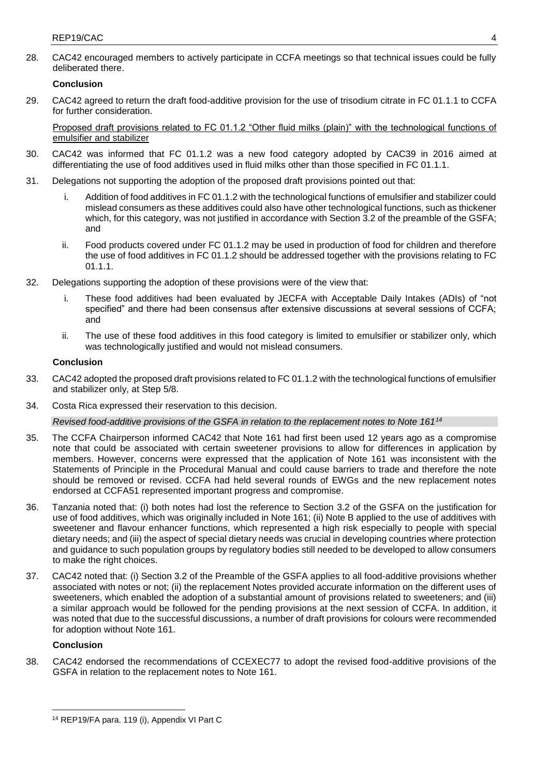28. CAC42 encouraged members to actively participate in CCFA meetings so that technical issues could be fully deliberated there.

### **Conclusion**

29. CAC42 agreed to return the draft food-additive provision for the use of trisodium citrate in FC 01.1.1 to CCFA for further consideration.

Proposed draft provisions related to FC 01.1.2 "Other fluid milks (plain)" with the technological functions of emulsifier and stabilizer

- 30. CAC42 was informed that FC 01.1.2 was a new food category adopted by CAC39 in 2016 aimed at differentiating the use of food additives used in fluid milks other than those specified in FC 01.1.1.
- 31. Delegations not supporting the adoption of the proposed draft provisions pointed out that:
	- i. Addition of food additives in FC 01.1.2 with the technological functions of emulsifier and stabilizer could mislead consumers as these additives could also have other technological functions, such as thickener which, for this category, was not justified in accordance with Section 3.2 of the preamble of the GSFA; and
	- ii. Food products covered under FC 01.1.2 may be used in production of food for children and therefore the use of food additives in FC 01.1.2 should be addressed together with the provisions relating to FC 01.1.1.
- 32. Delegations supporting the adoption of these provisions were of the view that:
	- i. These food additives had been evaluated by JECFA with Acceptable Daily Intakes (ADIs) of "not specified" and there had been consensus after extensive discussions at several sessions of CCFA; and
	- ii. The use of these food additives in this food category is limited to emulsifier or stabilizer only, which was technologically justified and would not mislead consumers.

## **Conclusion**

- 33. CAC42 adopted the proposed draft provisions related to FC 01.1.2 with the technological functions of emulsifier and stabilizer only, at Step 5/8.
- 34. Costa Rica expressed their reservation to this decision.

### *Revised food-additive provisions of the GSFA in relation to the replacement notes to Note 161<sup>14</sup>*

- 35. The CCFA Chairperson informed CAC42 that Note 161 had first been used 12 years ago as a compromise note that could be associated with certain sweetener provisions to allow for differences in application by members. However, concerns were expressed that the application of Note 161 was inconsistent with the Statements of Principle in the Procedural Manual and could cause barriers to trade and therefore the note should be removed or revised. CCFA had held several rounds of EWGs and the new replacement notes endorsed at CCFA51 represented important progress and compromise.
- 36. Tanzania noted that: (i) both notes had lost the reference to Section 3.2 of the GSFA on the justification for use of food additives, which was originally included in Note 161; (ii) Note B applied to the use of additives with sweetener and flavour enhancer functions, which represented a high risk especially to people with special dietary needs; and (iii) the aspect of special dietary needs was crucial in developing countries where protection and guidance to such population groups by regulatory bodies still needed to be developed to allow consumers to make the right choices.
- 37. CAC42 noted that: (i) Section 3.2 of the Preamble of the GSFA applies to all food-additive provisions whether associated with notes or not; (ii) the replacement Notes provided accurate information on the different uses of sweeteners, which enabled the adoption of a substantial amount of provisions related to sweeteners; and (iii) a similar approach would be followed for the pending provisions at the next session of CCFA. In addition, it was noted that due to the successful discussions, a number of draft provisions for colours were recommended for adoption without Note 161.

## **Conclusion**

38. CAC42 endorsed the recommendations of CCEXEC77 to adopt the revised food-additive provisions of the GSFA in relation to the replacement notes to Note 161.

**<sup>.</sup>** <sup>14</sup> REP19/FA para. 119 (i), Appendix VI Part C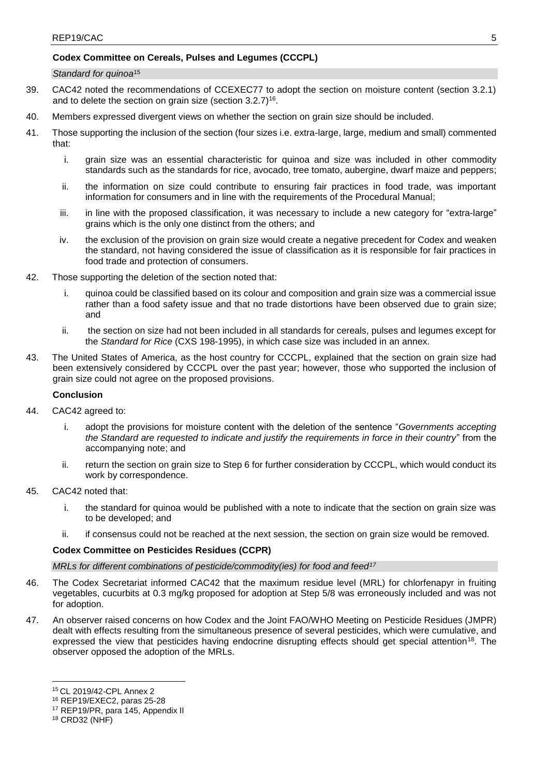## **Codex Committee on Cereals, Pulses and Legumes (CCCPL)**

#### *Standard for quinoa*<sup>15</sup>

- 39. CAC42 noted the recommendations of CCEXEC77 to adopt the section on moisture content (section 3.2.1) and to delete the section on grain size (section 3.2.7) $^{16}$ .
- 40. Members expressed divergent views on whether the section on grain size should be included.
- 41. Those supporting the inclusion of the section (four sizes i.e. extra-large, large, medium and small) commented that:
	- i. grain size was an essential characteristic for quinoa and size was included in other commodity standards such as the standards for rice, avocado, tree tomato, aubergine, dwarf maize and peppers;
	- ii. the information on size could contribute to ensuring fair practices in food trade, was important information for consumers and in line with the requirements of the Procedural Manual;
	- iii. in line with the proposed classification, it was necessary to include a new category for "extra-large" grains which is the only one distinct from the others; and
	- iv. the exclusion of the provision on grain size would create a negative precedent for Codex and weaken the standard, not having considered the issue of classification as it is responsible for fair practices in food trade and protection of consumers.
- 42. Those supporting the deletion of the section noted that:
	- i. quinoa could be classified based on its colour and composition and grain size was a commercial issue rather than a food safety issue and that no trade distortions have been observed due to grain size; and
	- ii. the section on size had not been included in all standards for cereals, pulses and legumes except for the *Standard for Rice* (CXS 198-1995), in which case size was included in an annex.
- 43. The United States of America, as the host country for CCCPL, explained that the section on grain size had been extensively considered by CCCPL over the past year; however, those who supported the inclusion of grain size could not agree on the proposed provisions.

### **Conclusion**

- 44. CAC42 agreed to:
	- adopt the provisions for moisture content with the deletion of the sentence "*Governments accepting the Standard are requested to indicate and justify the requirements in force in their country*" from the accompanying note; and
	- ii. return the section on grain size to Step 6 for further consideration by CCCPL, which would conduct its work by correspondence.
- 45. CAC42 noted that:
	- i. the standard for quinoa would be published with a note to indicate that the section on grain size was to be developed; and
	- ii. if consensus could not be reached at the next session, the section on grain size would be removed.

### **Codex Committee on Pesticides Residues (CCPR)**

## *MRLs for different combinations of pesticide/commodity(ies) for food and feed<sup>17</sup>*

- 46. The Codex Secretariat informed CAC42 that the maximum residue level (MRL) for chlorfenapyr in fruiting vegetables, cucurbits at 0.3 mg/kg proposed for adoption at Step 5/8 was erroneously included and was not for adoption.
- 47. An observer raised concerns on how Codex and the Joint FAO/WHO Meeting on Pesticide Residues (JMPR) dealt with effects resulting from the simultaneous presence of several pesticides, which were cumulative, and expressed the view that pesticides having endocrine disrupting effects should get special attention<sup>18</sup>. The observer opposed the adoption of the MRLs.

**.** 

<sup>15</sup> CL 2019/42-CPL Annex 2

<sup>16</sup> REP19/EXEC2, paras 25-28

<sup>17</sup> REP19/PR, para 145, Appendix II

<sup>18</sup> CRD32 (NHF)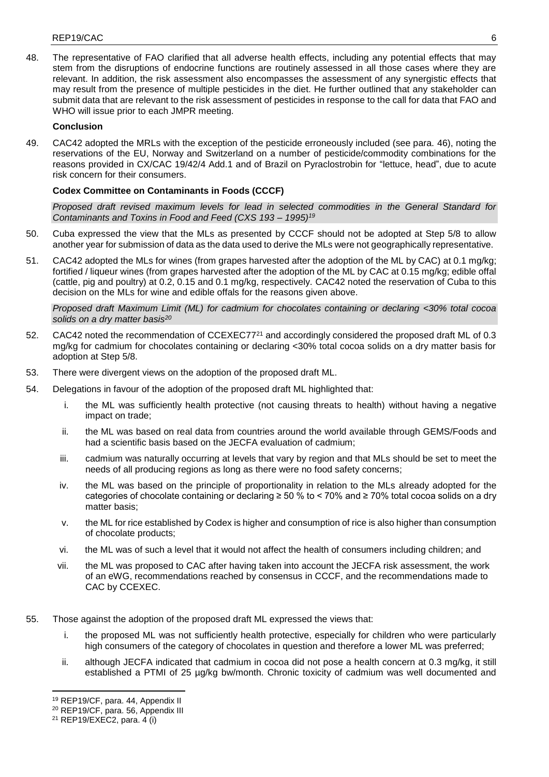48. The representative of FAO clarified that all adverse health effects, including any potential effects that may stem from the disruptions of endocrine functions are routinely assessed in all those cases where they are relevant. In addition, the risk assessment also encompasses the assessment of any synergistic effects that may result from the presence of multiple pesticides in the diet. He further outlined that any stakeholder can submit data that are relevant to the risk assessment of pesticides in response to the call for data that FAO and WHO will issue prior to each JMPR meeting.

## **Conclusion**

49. CAC42 adopted the MRLs with the exception of the pesticide erroneously included (see para. 46), noting the reservations of the EU, Norway and Switzerland on a number of pesticide/commodity combinations for the reasons provided in CX/CAC 19/42/4 Add.1 and of Brazil on Pyraclostrobin for "lettuce, head", due to acute risk concern for their consumers.

## **Codex Committee on Contaminants in Foods (CCCF)**

*Proposed draft revised maximum levels for lead in selected commodities in the General Standard for Contaminants and Toxins in Food and Feed (CXS 193 – 1995)<sup>19</sup>*

- 50. Cuba expressed the view that the MLs as presented by CCCF should not be adopted at Step 5/8 to allow another year for submission of data as the data used to derive the MLs were not geographically representative.
- 51. CAC42 adopted the MLs for wines (from grapes harvested after the adoption of the ML by CAC) at 0.1 mg/kg; fortified / liqueur wines (from grapes harvested after the adoption of the ML by CAC at 0.15 mg/kg; edible offal (cattle, pig and poultry) at 0.2, 0.15 and 0.1 mg/kg, respectively. CAC42 noted the reservation of Cuba to this decision on the MLs for wine and edible offals for the reasons given above.

*Proposed draft Maximum Limit (ML) for cadmium for chocolates containing or declaring <30% total cocoa solids on a dry matter basis<sup>20</sup>*

- 52. CAC42 noted the recommendation of CCEXEC77<sup>21</sup> and accordingly considered the proposed draft ML of 0.3 mg/kg for cadmium for chocolates containing or declaring <30% total cocoa solids on a dry matter basis for adoption at Step 5/8.
- 53. There were divergent views on the adoption of the proposed draft ML.
- 54. Delegations in favour of the adoption of the proposed draft ML highlighted that:
	- i. the ML was sufficiently health protective (not causing threats to health) without having a negative impact on trade;
	- ii. the ML was based on real data from countries around the world available through GEMS/Foods and had a scientific basis based on the JECFA evaluation of cadmium;
	- iii. cadmium was naturally occurring at levels that vary by region and that MLs should be set to meet the needs of all producing regions as long as there were no food safety concerns;
	- iv. the ML was based on the principle of proportionality in relation to the MLs already adopted for the categories of chocolate containing or declaring ≥ 50 % to < 70% and ≥ 70% total cocoa solids on a dry matter basis;
	- v. the ML for rice established by Codex is higher and consumption of rice is also higher than consumption of chocolate products;
	- vi. the ML was of such a level that it would not affect the health of consumers including children; and
	- vii. the ML was proposed to CAC after having taken into account the JECFA risk assessment, the work of an eWG, recommendations reached by consensus in CCCF, and the recommendations made to CAC by CCEXEC.
- 55. Those against the adoption of the proposed draft ML expressed the views that:
	- i. the proposed ML was not sufficiently health protective, especially for children who were particularly high consumers of the category of chocolates in question and therefore a lower ML was preferred;
	- ii. although JECFA indicated that cadmium in cocoa did not pose a health concern at 0.3 mg/kg, it still established a PTMI of 25 µg/kg bw/month. Chronic toxicity of cadmium was well documented and

**<sup>.</sup>** <sup>19</sup> REP19/CF, para. 44, Appendix II

<sup>20</sup> REP19/CF, para. 56, Appendix III

<sup>21</sup> REP19/EXEC2, para. 4 (i)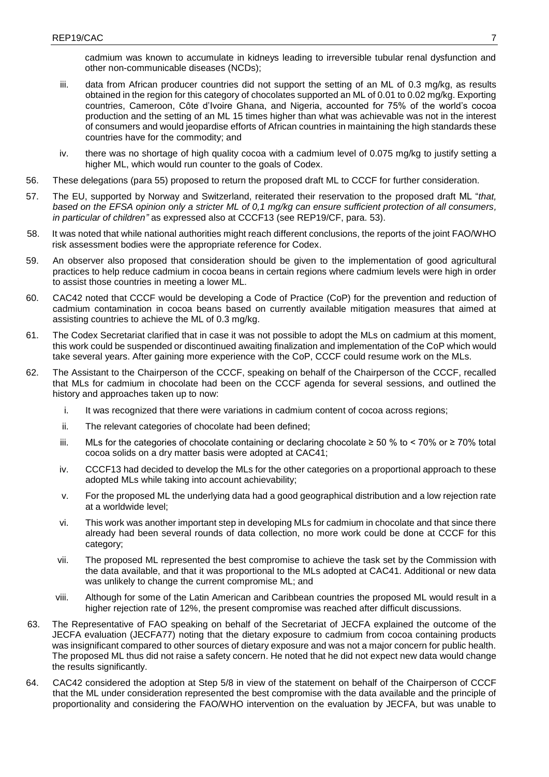cadmium was known to accumulate in kidneys leading to irreversible tubular renal dysfunction and other non-communicable diseases (NCDs);

- iii. data from African producer countries did not support the setting of an ML of 0.3 mg/kg, as results obtained in the region for this category of chocolates supported an ML of 0.01 to 0.02 mg/kg. Exporting countries, Cameroon, Côte d'Ivoire Ghana, and Nigeria, accounted for 75% of the world's cocoa production and the setting of an ML 15 times higher than what was achievable was not in the interest of consumers and would jeopardise efforts of African countries in maintaining the high standards these countries have for the commodity; and
- iv. there was no shortage of high quality cocoa with a cadmium level of 0.075 mg/kg to justify setting a higher ML, which would run counter to the goals of Codex.
- 56. These delegations (para 55) proposed to return the proposed draft ML to CCCF for further consideration.
- 57. The EU, supported by Norway and Switzerland, reiterated their reservation to the proposed draft ML "*that, based on the EFSA opinion only a stricter ML of 0,1 mg/kg can ensure sufficient protection of all consumers, in particular of children"* as expressed also at CCCF13 (see REP19/CF, para. 53).
- 58. It was noted that while national authorities might reach different conclusions, the reports of the joint FAO/WHO risk assessment bodies were the appropriate reference for Codex.
- 59. An observer also proposed that consideration should be given to the implementation of good agricultural practices to help reduce cadmium in cocoa beans in certain regions where cadmium levels were high in order to assist those countries in meeting a lower ML.
- 60. CAC42 noted that CCCF would be developing a Code of Practice (CoP) for the prevention and reduction of cadmium contamination in cocoa beans based on currently available mitigation measures that aimed at assisting countries to achieve the ML of 0.3 mg/kg.
- 61. The Codex Secretariat clarified that in case it was not possible to adopt the MLs on cadmium at this moment, this work could be suspended or discontinued awaiting finalization and implementation of the CoP which would take several years. After gaining more experience with the CoP, CCCF could resume work on the MLs.
- 62. The Assistant to the Chairperson of the CCCF, speaking on behalf of the Chairperson of the CCCF, recalled that MLs for cadmium in chocolate had been on the CCCF agenda for several sessions, and outlined the history and approaches taken up to now:
	- i. It was recognized that there were variations in cadmium content of cocoa across regions;
	- ii. The relevant categories of chocolate had been defined;
	- iii. MLs for the categories of chocolate containing or declaring chocolate ≥ 50 % to < 70% or ≥ 70% total cocoa solids on a dry matter basis were adopted at CAC41;
	- iv. CCCF13 had decided to develop the MLs for the other categories on a proportional approach to these adopted MLs while taking into account achievability;
	- v. For the proposed ML the underlying data had a good geographical distribution and a low rejection rate at a worldwide level;
	- vi. This work was another important step in developing MLs for cadmium in chocolate and that since there already had been several rounds of data collection, no more work could be done at CCCF for this category;
	- vii. The proposed ML represented the best compromise to achieve the task set by the Commission with the data available, and that it was proportional to the MLs adopted at CAC41. Additional or new data was unlikely to change the current compromise ML; and
	- viii. Although for some of the Latin American and Caribbean countries the proposed ML would result in a higher rejection rate of 12%, the present compromise was reached after difficult discussions.
- 63. The Representative of FAO speaking on behalf of the Secretariat of JECFA explained the outcome of the JECFA evaluation (JECFA77) noting that the dietary exposure to cadmium from cocoa containing products was insignificant compared to other sources of dietary exposure and was not a major concern for public health. The proposed ML thus did not raise a safety concern. He noted that he did not expect new data would change the results significantly.
- 64. CAC42 considered the adoption at Step 5/8 in view of the statement on behalf of the Chairperson of CCCF that the ML under consideration represented the best compromise with the data available and the principle of proportionality and considering the FAO/WHO intervention on the evaluation by JECFA, but was unable to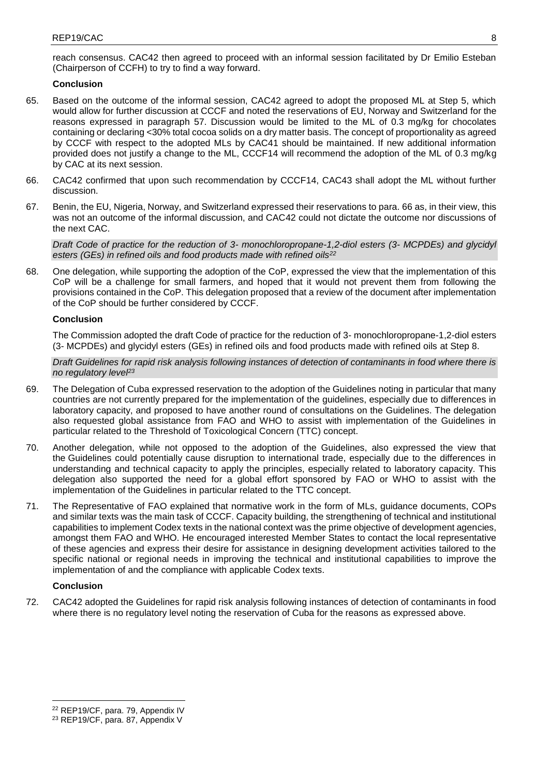reach consensus. CAC42 then agreed to proceed with an informal session facilitated by Dr Emilio Esteban (Chairperson of CCFH) to try to find a way forward.

## **Conclusion**

- 65. Based on the outcome of the informal session, CAC42 agreed to adopt the proposed ML at Step 5, which would allow for further discussion at CCCF and noted the reservations of EU, Norway and Switzerland for the reasons expressed in paragraph 57. Discussion would be limited to the ML of 0.3 mg/kg for chocolates containing or declaring <30% total cocoa solids on a dry matter basis. The concept of proportionality as agreed by CCCF with respect to the adopted MLs by CAC41 should be maintained. If new additional information provided does not justify a change to the ML, CCCF14 will recommend the adoption of the ML of 0.3 mg/kg by CAC at its next session.
- 66. CAC42 confirmed that upon such recommendation by CCCF14, CAC43 shall adopt the ML without further discussion.
- 67. Benin, the EU, Nigeria, Norway, and Switzerland expressed their reservations to para. 66 as, in their view, this was not an outcome of the informal discussion, and CAC42 could not dictate the outcome nor discussions of the next CAC.

*Draft Code of practice for the reduction of 3- monochloropropane-1,2-diol esters (3- MCPDEs) and glycidyl esters (GEs) in refined oils and food products made with refined oils<sup>22</sup>*

68. One delegation, while supporting the adoption of the CoP, expressed the view that the implementation of this CoP will be a challenge for small farmers, and hoped that it would not prevent them from following the provisions contained in the CoP. This delegation proposed that a review of the document after implementation of the CoP should be further considered by CCCF.

## **Conclusion**

The Commission adopted the draft Code of practice for the reduction of 3- monochloropropane-1,2-diol esters (3- MCPDEs) and glycidyl esters (GEs) in refined oils and food products made with refined oils at Step 8.

*Draft Guidelines for rapid risk analysis following instances of detection of contaminants in food where there is no regulatory level<sup>23</sup>*

- 69. The Delegation of Cuba expressed reservation to the adoption of the Guidelines noting in particular that many countries are not currently prepared for the implementation of the guidelines, especially due to differences in laboratory capacity, and proposed to have another round of consultations on the Guidelines. The delegation also requested global assistance from FAO and WHO to assist with implementation of the Guidelines in particular related to the Threshold of Toxicological Concern (TTC) concept.
- 70. Another delegation, while not opposed to the adoption of the Guidelines, also expressed the view that the Guidelines could potentially cause disruption to international trade, especially due to the differences in understanding and technical capacity to apply the principles, especially related to laboratory capacity. This delegation also supported the need for a global effort sponsored by FAO or WHO to assist with the implementation of the Guidelines in particular related to the TTC concept.
- 71. The Representative of FAO explained that normative work in the form of MLs, guidance documents, COPs and similar texts was the main task of CCCF. Capacity building, the strengthening of technical and institutional capabilities to implement Codex texts in the national context was the prime objective of development agencies, amongst them FAO and WHO. He encouraged interested Member States to contact the local representative of these agencies and express their desire for assistance in designing development activities tailored to the specific national or regional needs in improving the technical and institutional capabilities to improve the implementation of and the compliance with applicable Codex texts.

## **Conclusion**

72. CAC42 adopted the Guidelines for rapid risk analysis following instances of detection of contaminants in food where there is no regulatory level noting the reservation of Cuba for the reasons as expressed above.

<sup>1</sup> <sup>22</sup> REP19/CF, para. 79, Appendix IV

<sup>23</sup> REP19/CF, para. 87, Appendix V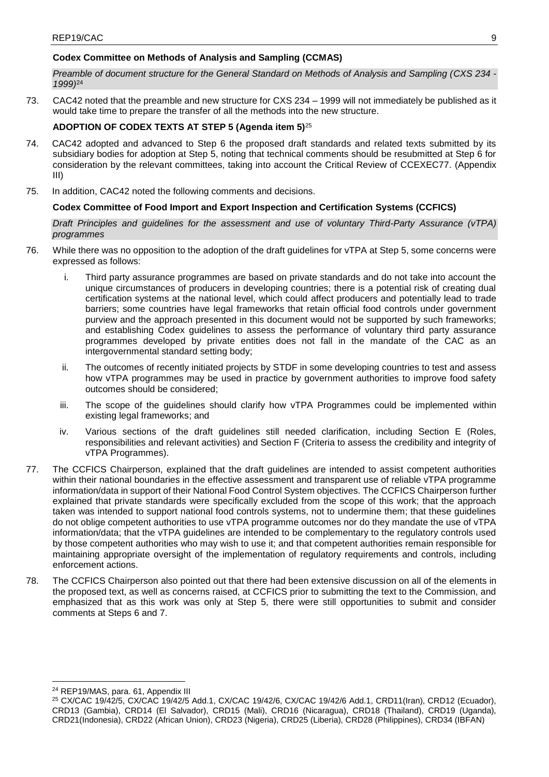## **Codex Committee on Methods of Analysis and Sampling (CCMAS)**

*Preamble of document structure for the General Standard on Methods of Analysis and Sampling (CXS 234 - 1999)*<sup>24</sup>

73. CAC42 noted that the preamble and new structure for CXS 234 – 1999 will not immediately be published as it would take time to prepare the transfer of all the methods into the new structure.

## **ADOPTION OF CODEX TEXTS AT STEP 5 (Agenda item 5)**<sup>25</sup>

- 74. CAC42 adopted and advanced to Step 6 the proposed draft standards and related texts submitted by its subsidiary bodies for adoption at Step 5, noting that technical comments should be resubmitted at Step 6 for consideration by the relevant committees, taking into account the Critical Review of CCEXEC77. (Appendix III)
- 75. In addition, CAC42 noted the following comments and decisions.

## **Codex Committee of Food Import and Export Inspection and Certification Systems (CCFICS)**

*Draft Principles and guidelines for the assessment and use of voluntary Third-Party Assurance (vTPA) programmes*

- 76. While there was no opposition to the adoption of the draft guidelines for vTPA at Step 5, some concerns were expressed as follows:
	- i. Third party assurance programmes are based on private standards and do not take into account the unique circumstances of producers in developing countries; there is a potential risk of creating dual certification systems at the national level, which could affect producers and potentially lead to trade barriers; some countries have legal frameworks that retain official food controls under government purview and the approach presented in this document would not be supported by such frameworks; and establishing Codex guidelines to assess the performance of voluntary third party assurance programmes developed by private entities does not fall in the mandate of the CAC as an intergovernmental standard setting body;
	- ii. The outcomes of recently initiated projects by STDF in some developing countries to test and assess how vTPA programmes may be used in practice by government authorities to improve food safety outcomes should be considered;
	- iii. The scope of the guidelines should clarify how vTPA Programmes could be implemented within existing legal frameworks; and
	- iv. Various sections of the draft guidelines still needed clarification, including Section E (Roles, responsibilities and relevant activities) and Section F (Criteria to assess the credibility and integrity of vTPA Programmes).
- 77. The CCFICS Chairperson, explained that the draft guidelines are intended to assist competent authorities within their national boundaries in the effective assessment and transparent use of reliable vTPA programme information/data in support of their National Food Control System objectives. The CCFICS Chairperson further explained that private standards were specifically excluded from the scope of this work; that the approach taken was intended to support national food controls systems, not to undermine them; that these guidelines do not oblige competent authorities to use vTPA programme outcomes nor do they mandate the use of vTPA information/data; that the vTPA guidelines are intended to be complementary to the regulatory controls used by those competent authorities who may wish to use it; and that competent authorities remain responsible for maintaining appropriate oversight of the implementation of regulatory requirements and controls, including enforcement actions.
- 78. The CCFICS Chairperson also pointed out that there had been extensive discussion on all of the elements in the proposed text, as well as concerns raised, at CCFICS prior to submitting the text to the Commission, and emphasized that as this work was only at Step 5, there were still opportunities to submit and consider comments at Steps 6 and 7.

**<sup>.</sup>** <sup>24</sup> REP19/MAS, para. 61, Appendix III

<sup>25</sup> CX/CAC 19/42/5, CX/CAC 19/42/5 Add.1, CX/CAC 19/42/6, CX/CAC 19/42/6 Add.1, CRD11(Iran), CRD12 (Ecuador), CRD13 (Gambia), CRD14 (El Salvador), CRD15 (Mali), CRD16 (Nicaragua), CRD18 (Thailand), CRD19 (Uganda), CRD21(Indonesia), CRD22 (African Union), CRD23 (Nigeria), CRD25 (Liberia), CRD28 (Philippines), CRD34 (IBFAN)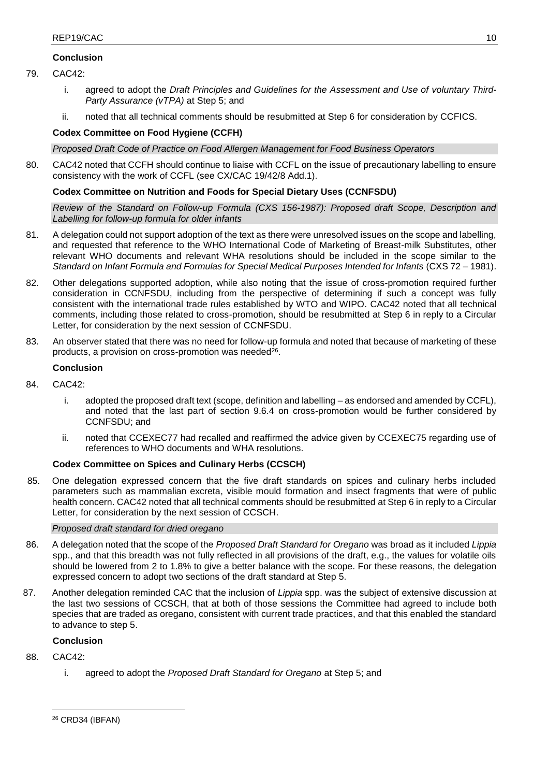## **Conclusion**

- 79. CAC42:
	- i. agreed to adopt the *Draft Principles and Guidelines for the Assessment and Use of voluntary Third-Party Assurance (vTPA)* at Step 5; and
	- ii. noted that all technical comments should be resubmitted at Step 6 for consideration by CCFICS.

## **Codex Committee on Food Hygiene (CCFH)**

*Proposed Draft Code of Practice on Food Allergen Management for Food Business Operators* 

80. CAC42 noted that CCFH should continue to liaise with CCFL on the issue of precautionary labelling to ensure consistency with the work of CCFL (see CX/CAC 19/42/8 Add.1).

## **Codex Committee on Nutrition and Foods for Special Dietary Uses (CCNFSDU)**

*Review of the Standard on Follow-up Formula (CXS 156-1987): Proposed draft Scope, Description and Labelling for follow-up formula for older infants*

- 81. A delegation could not support adoption of the text as there were unresolved issues on the scope and labelling, and requested that reference to the WHO International Code of Marketing of Breast-milk Substitutes, other relevant WHO documents and relevant WHA resolutions should be included in the scope similar to the *Standard on Infant Formula and Formulas for Special Medical Purposes Intended for Infants* (CXS 72 – 1981).
- 82. Other delegations supported adoption, while also noting that the issue of cross-promotion required further consideration in CCNFSDU, including from the perspective of determining if such a concept was fully consistent with the international trade rules established by WTO and WIPO. CAC42 noted that all technical comments, including those related to cross-promotion, should be resubmitted at Step 6 in reply to a Circular Letter, for consideration by the next session of CCNFSDU.
- 83. An observer stated that there was no need for follow-up formula and noted that because of marketing of these products, a provision on cross-promotion was needed<sup>26</sup>.

## **Conclusion**

- 84. CAC42:
	- i. adopted the proposed draft text (scope, definition and labelling as endorsed and amended by CCFL), and noted that the last part of section 9.6.4 on cross-promotion would be further considered by CCNFSDU; and
	- ii. noted that CCEXEC77 had recalled and reaffirmed the advice given by CCEXEC75 regarding use of references to WHO documents and WHA resolutions.

## **Codex Committee on Spices and Culinary Herbs (CCSCH)**

85. One delegation expressed concern that the five draft standards on spices and culinary herbs included parameters such as mammalian excreta, visible mould formation and insect fragments that were of public health concern. CAC42 noted that all technical comments should be resubmitted at Step 6 in reply to a Circular Letter, for consideration by the next session of CCSCH.

## *Proposed draft standard for dried oregano*

- 86. A delegation noted that the scope of the *Proposed Draft Standard for Oregano* was broad as it included *Lippia* spp., and that this breadth was not fully reflected in all provisions of the draft, e.g., the values for volatile oils should be lowered from 2 to 1.8% to give a better balance with the scope. For these reasons, the delegation expressed concern to adopt two sections of the draft standard at Step 5.
- 87. Another delegation reminded CAC that the inclusion of *Lippia* spp. was the subject of extensive discussion at the last two sessions of CCSCH, that at both of those sessions the Committee had agreed to include both species that are traded as oregano, consistent with current trade practices, and that this enabled the standard to advance to step 5.

## **Conclusion**

88. CAC42:

**.** 

i. agreed to adopt the *Proposed Draft Standard for Oregano* at Step 5; and

<sup>26</sup> CRD34 (IBFAN)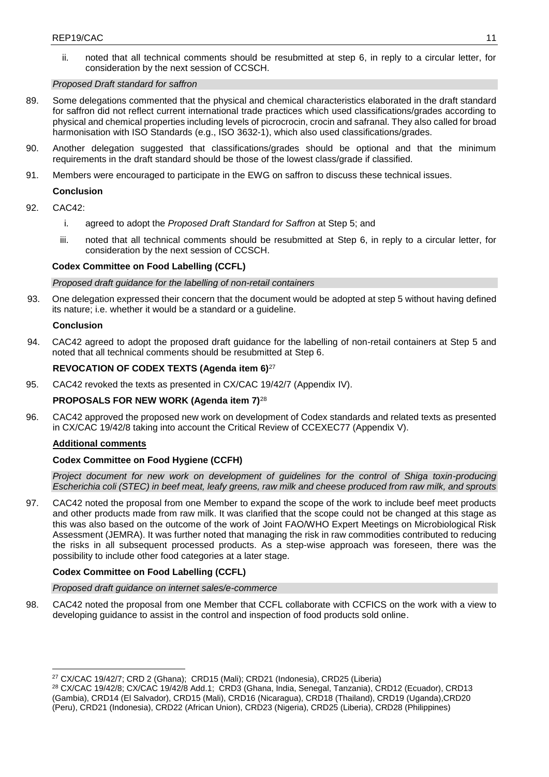ii. noted that all technical comments should be resubmitted at step 6, in reply to a circular letter, for consideration by the next session of CCSCH.

### *Proposed Draft standard for saffron*

- 89. Some delegations commented that the physical and chemical characteristics elaborated in the draft standard for saffron did not reflect current international trade practices which used classifications/grades according to physical and chemical properties including levels of picrocrocin, crocin and safranal. They also called for broad harmonisation with ISO Standards (e.g., ISO 3632-1), which also used classifications/grades.
- 90. Another delegation suggested that classifications/grades should be optional and that the minimum requirements in the draft standard should be those of the lowest class/grade if classified.
- 91. Members were encouraged to participate in the EWG on saffron to discuss these technical issues.

## **Conclusion**

- 92. CAC42:
	- i. agreed to adopt the *Proposed Draft Standard for Saffron* at Step 5; and
	- iii. noted that all technical comments should be resubmitted at Step 6, in reply to a circular letter, for consideration by the next session of CCSCH.

## **Codex Committee on Food Labelling (CCFL)**

*Proposed draft guidance for the labelling of non-retail containers* 

93. One delegation expressed their concern that the document would be adopted at step 5 without having defined its nature; i.e. whether it would be a standard or a guideline.

### **Conclusion**

94. CAC42 agreed to adopt the proposed draft guidance for the labelling of non-retail containers at Step 5 and noted that all technical comments should be resubmitted at Step 6.

## **REVOCATION OF CODEX TEXTS (Agenda item 6)**<sup>27</sup>

95. CAC42 revoked the texts as presented in CX/CAC 19/42/7 (Appendix IV).

## **PROPOSALS FOR NEW WORK (Agenda item 7)**<sup>28</sup>

96. CAC42 approved the proposed new work on development of Codex standards and related texts as presented in CX/CAC 19/42/8 taking into account the Critical Review of CCEXEC77 (Appendix V).

### **Additional comments**

## **Codex Committee on Food Hygiene (CCFH)**

*Project document for new work on development of guidelines for the control of Shiga toxin-producing Escherichia coli (STEC) in beef meat, leafy greens, raw milk and cheese produced from raw milk, and sprouts*

97. CAC42 noted the proposal from one Member to expand the scope of the work to include beef meet products and other products made from raw milk. It was clarified that the scope could not be changed at this stage as this was also based on the outcome of the work of Joint FAO/WHO Expert Meetings on Microbiological Risk Assessment (JEMRA). It was further noted that managing the risk in raw commodities contributed to reducing the risks in all subsequent processed products. As a step-wise approach was foreseen, there was the possibility to include other food categories at a later stage.

## **Codex Committee on Food Labelling (CCFL)**

### *Proposed draft guidance on internet sales/e-commerce*

98. CAC42 noted the proposal from one Member that CCFL collaborate with CCFICS on the work with a view to developing guidance to assist in the control and inspection of food products sold online.

**<sup>.</sup>** <sup>27</sup> CX/CAC 19/42/7; CRD 2 (Ghana); CRD15 (Mali); CRD21 (Indonesia), CRD25 (Liberia)

<sup>28</sup> CX/CAC 19/42/8; CX/CAC 19/42/8 Add.1; CRD3 (Ghana, India, Senegal, Tanzania), CRD12 (Ecuador), CRD13 (Gambia), CRD14 (El Salvador), CRD15 (Mali), CRD16 (Nicaragua), CRD18 (Thailand), CRD19 (Uganda),CRD20 (Peru), CRD21 (Indonesia), CRD22 (African Union), CRD23 (Nigeria), CRD25 (Liberia), CRD28 (Philippines)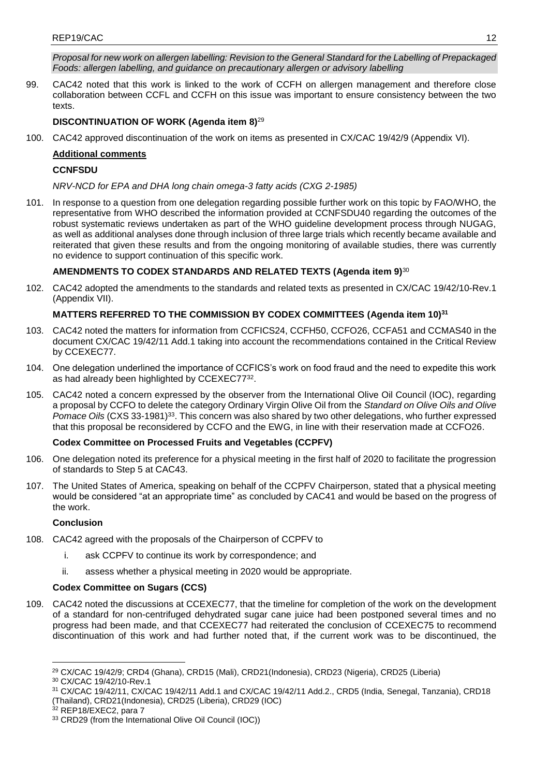*Proposal for new work on allergen labelling: Revision to the General Standard for the Labelling of Prepackaged Foods: allergen labelling, and guidance on precautionary allergen or advisory labelling*

99. CAC42 noted that this work is linked to the work of CCFH on allergen management and therefore close collaboration between CCFL and CCFH on this issue was important to ensure consistency between the two texts.

## **DISCONTINUATION OF WORK (Agenda item 8)**<sup>29</sup>

100. CAC42 approved discontinuation of the work on items as presented in CX/CAC 19/42/9 (Appendix VI).

## **Additional comments**

## **CCNFSDU**

*NRV-NCD for EPA and DHA long chain omega-3 fatty acids (CXG 2-1985)*

101. In response to a question from one delegation regarding possible further work on this topic by FAO/WHO, the representative from WHO described the information provided at CCNFSDU40 regarding the outcomes of the robust systematic reviews undertaken as part of the WHO guideline development process through NUGAG, as well as additional analyses done through inclusion of three large trials which recently became available and reiterated that given these results and from the ongoing monitoring of available studies, there was currently no evidence to support continuation of this specific work.

## **AMENDMENTS TO CODEX STANDARDS AND RELATED TEXTS (Agenda item 9)**<sup>30</sup>

102. CAC42 adopted the amendments to the standards and related texts as presented in CX/CAC 19/42/10-Rev.1 (Appendix VII).

## **MATTERS REFERRED TO THE COMMISSION BY CODEX COMMITTEES (Agenda item 10)<sup>31</sup>**

- 103. CAC42 noted the matters for information from CCFICS24, CCFH50, CCFO26, CCFA51 and CCMAS40 in the document CX/CAC 19/42/11 Add.1 taking into account the recommendations contained in the Critical Review by CCEXEC77.
- 104. One delegation underlined the importance of CCFICS's work on food fraud and the need to expedite this work as had already been highlighted by CCEXEC77<sup>32</sup>.
- 105. CAC42 noted a concern expressed by the observer from the International Olive Oil Council (IOC), regarding a proposal by CCFO to delete the category Ordinary Virgin Olive Oil from the *Standard on Olive Oils and Olive Pomace Oils* (CXS 33-1981)<sup>33</sup>. This concern was also shared by two other delegations, who further expressed that this proposal be reconsidered by CCFO and the EWG, in line with their reservation made at CCFO26.

## **Codex Committee on Processed Fruits and Vegetables (CCPFV)**

- 106. One delegation noted its preference for a physical meeting in the first half of 2020 to facilitate the progression of standards to Step 5 at CAC43.
- 107. The United States of America, speaking on behalf of the CCPFV Chairperson, stated that a physical meeting would be considered "at an appropriate time" as concluded by CAC41 and would be based on the progress of the work.

## **Conclusion**

- 108. CAC42 agreed with the proposals of the Chairperson of CCPFV to
	- i. ask CCPFV to continue its work by correspondence; and
	- ii. assess whether a physical meeting in 2020 would be appropriate.

## **Codex Committee on Sugars (CCS)**

109. CAC42 noted the discussions at CCEXEC77, that the timeline for completion of the work on the development of a standard for non-centrifuged dehydrated sugar cane juice had been postponed several times and no progress had been made, and that CCEXEC77 had reiterated the conclusion of CCEXEC75 to recommend discontinuation of this work and had further noted that, if the current work was to be discontinued, the

<sup>31</sup> CX/CAC 19/42/11, CX/CAC 19/42/11 Add.1 and CX/CAC 19/42/11 Add.2., CRD5 (India, Senegal, Tanzania), CRD18 (Thailand), CRD21(Indonesia), CRD25 (Liberia), CRD29 (IOC)

<sup>32</sup> REP18/EXEC2, para 7

**<sup>.</sup>** <sup>29</sup> CX/CAC 19/42/9; CRD4 (Ghana), CRD15 (Mali), CRD21(Indonesia), CRD23 (Nigeria), CRD25 (Liberia)

<sup>30</sup> CX/CAC 19/42/10-Rev.1

<sup>33</sup> CRD29 (from the International Olive Oil Council (IOC))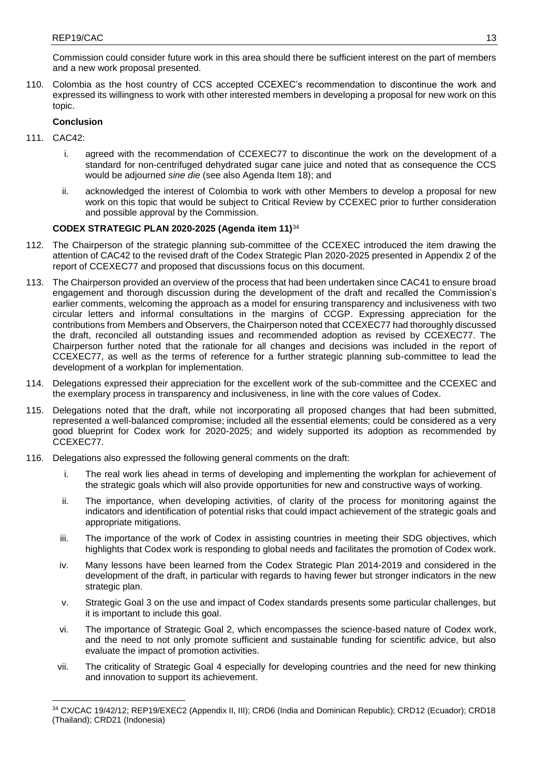Commission could consider future work in this area should there be sufficient interest on the part of members and a new work proposal presented.

110. Colombia as the host country of CCS accepted CCEXEC's recommendation to discontinue the work and expressed its willingness to work with other interested members in developing a proposal for new work on this topic.

## **Conclusion**

- 111. CAC42:
	- i. agreed with the recommendation of CCEXEC77 to discontinue the work on the development of a standard for non-centrifuged dehydrated sugar cane juice and noted that as consequence the CCS would be adjourned *sine die* (see also Agenda Item 18); and
	- ii. acknowledged the interest of Colombia to work with other Members to develop a proposal for new work on this topic that would be subject to Critical Review by CCEXEC prior to further consideration and possible approval by the Commission.

## **CODEX STRATEGIC PLAN 2020-2025 (Agenda item 11)**<sup>34</sup>

- 112. The Chairperson of the strategic planning sub-committee of the CCEXEC introduced the item drawing the attention of CAC42 to the revised draft of the Codex Strategic Plan 2020-2025 presented in Appendix 2 of the report of CCEXEC77 and proposed that discussions focus on this document.
- 113. The Chairperson provided an overview of the process that had been undertaken since CAC41 to ensure broad engagement and thorough discussion during the development of the draft and recalled the Commission's earlier comments, welcoming the approach as a model for ensuring transparency and inclusiveness with two circular letters and informal consultations in the margins of CCGP. Expressing appreciation for the contributions from Members and Observers, the Chairperson noted that CCEXEC77 had thoroughly discussed the draft, reconciled all outstanding issues and recommended adoption as revised by CCEXEC77. The Chairperson further noted that the rationale for all changes and decisions was included in the report of CCEXEC77, as well as the terms of reference for a further strategic planning sub-committee to lead the development of a workplan for implementation.
- 114. Delegations expressed their appreciation for the excellent work of the sub-committee and the CCEXEC and the exemplary process in transparency and inclusiveness, in line with the core values of Codex.
- 115. Delegations noted that the draft, while not incorporating all proposed changes that had been submitted, represented a well-balanced compromise; included all the essential elements; could be considered as a very good blueprint for Codex work for 2020-2025; and widely supported its adoption as recommended by CCEXEC77.
- 116. Delegations also expressed the following general comments on the draft:
	- i. The real work lies ahead in terms of developing and implementing the workplan for achievement of the strategic goals which will also provide opportunities for new and constructive ways of working.
	- ii. The importance, when developing activities, of clarity of the process for monitoring against the indicators and identification of potential risks that could impact achievement of the strategic goals and appropriate mitigations.
	- iii. The importance of the work of Codex in assisting countries in meeting their SDG objectives, which highlights that Codex work is responding to global needs and facilitates the promotion of Codex work.
	- iv. Many lessons have been learned from the Codex Strategic Plan 2014-2019 and considered in the development of the draft, in particular with regards to having fewer but stronger indicators in the new strategic plan.
	- v. Strategic Goal 3 on the use and impact of Codex standards presents some particular challenges, but it is important to include this goal.
	- vi. The importance of Strategic Goal 2, which encompasses the science-based nature of Codex work, and the need to not only promote sufficient and sustainable funding for scientific advice, but also evaluate the impact of promotion activities.
	- vii. The criticality of Strategic Goal 4 especially for developing countries and the need for new thinking and innovation to support its achievement.

<sup>1</sup> <sup>34</sup> CX/CAC 19/42/12; REP19/EXEC2 (Appendix II, III); CRD6 (India and Dominican Republic); CRD12 (Ecuador); CRD18 (Thailand); CRD21 (Indonesia)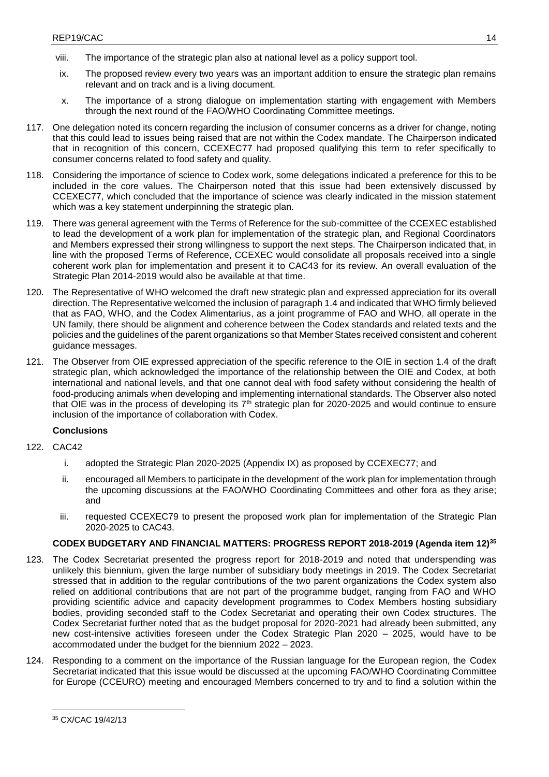- viii. The importance of the strategic plan also at national level as a policy support tool.
- ix. The proposed review every two years was an important addition to ensure the strategic plan remains relevant and on track and is a living document.
- x. The importance of a strong dialogue on implementation starting with engagement with Members through the next round of the FAO/WHO Coordinating Committee meetings.
- 117. One delegation noted its concern regarding the inclusion of consumer concerns as a driver for change, noting that this could lead to issues being raised that are not within the Codex mandate. The Chairperson indicated that in recognition of this concern, CCEXEC77 had proposed qualifying this term to refer specifically to consumer concerns related to food safety and quality.
- 118. Considering the importance of science to Codex work, some delegations indicated a preference for this to be included in the core values. The Chairperson noted that this issue had been extensively discussed by CCEXEC77, which concluded that the importance of science was clearly indicated in the mission statement which was a key statement underpinning the strategic plan.
- 119. There was general agreement with the Terms of Reference for the sub-committee of the CCEXEC established to lead the development of a work plan for implementation of the strategic plan, and Regional Coordinators and Members expressed their strong willingness to support the next steps. The Chairperson indicated that, in line with the proposed Terms of Reference, CCEXEC would consolidate all proposals received into a single coherent work plan for implementation and present it to CAC43 for its review. An overall evaluation of the Strategic Plan 2014-2019 would also be available at that time.
- 120. The Representative of WHO welcomed the draft new strategic plan and expressed appreciation for its overall direction. The Representative welcomed the inclusion of paragraph 1.4 and indicated that WHO firmly believed that as FAO, WHO, and the Codex Alimentarius, as a joint programme of FAO and WHO, all operate in the UN family, there should be alignment and coherence between the Codex standards and related texts and the policies and the guidelines of the parent organizations so that Member States received consistent and coherent guidance messages.
- 121. The Observer from OIE expressed appreciation of the specific reference to the OIE in section 1.4 of the draft strategic plan, which acknowledged the importance of the relationship between the OIE and Codex, at both international and national levels, and that one cannot deal with food safety without considering the health of food-producing animals when developing and implementing international standards. The Observer also noted that OIE was in the process of developing its  $7<sup>th</sup>$  strategic plan for 2020-2025 and would continue to ensure inclusion of the importance of collaboration with Codex.

## **Conclusions**

- 122. CAC42
	- i. adopted the Strategic Plan 2020-2025 (Appendix IX) as proposed by CCEXEC77; and
	- ii. encouraged all Members to participate in the development of the work plan for implementation through the upcoming discussions at the FAO/WHO Coordinating Committees and other fora as they arise; and
	- iii. requested CCEXEC79 to present the proposed work plan for implementation of the Strategic Plan 2020-2025 to CAC43.

## **CODEX BUDGETARY AND FINANCIAL MATTERS: PROGRESS REPORT 2018-2019 (Agenda item 12)<sup>35</sup>**

- 123. The Codex Secretariat presented the progress report for 2018-2019 and noted that underspending was unlikely this biennium, given the large number of subsidiary body meetings in 2019. The Codex Secretariat stressed that in addition to the regular contributions of the two parent organizations the Codex system also relied on additional contributions that are not part of the programme budget, ranging from FAO and WHO providing scientific advice and capacity development programmes to Codex Members hosting subsidiary bodies, providing seconded staff to the Codex Secretariat and operating their own Codex structures. The Codex Secretariat further noted that as the budget proposal for 2020-2021 had already been submitted, any new cost-intensive activities foreseen under the Codex Strategic Plan 2020 – 2025, would have to be accommodated under the budget for the biennium 2022 – 2023.
- 124. Responding to a comment on the importance of the Russian language for the European region, the Codex Secretariat indicated that this issue would be discussed at the upcoming FAO/WHO Coordinating Committee for Europe (CCEURO) meeting and encouraged Members concerned to try and to find a solution within the

**.** 

<sup>35</sup> CX/CAC 19/42/13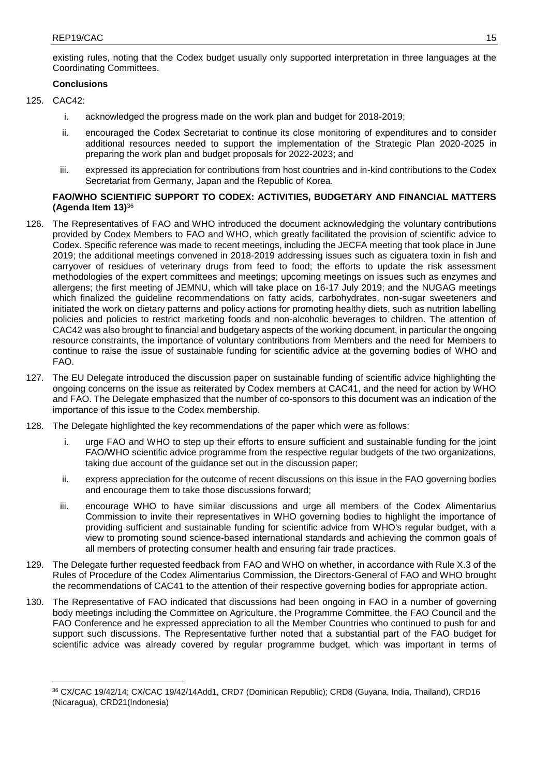existing rules, noting that the Codex budget usually only supported interpretation in three languages at the Coordinating Committees.

## **Conclusions**

- 125. CAC42:
	- i. acknowledged the progress made on the work plan and budget for 2018-2019;
	- ii. encouraged the Codex Secretariat to continue its close monitoring of expenditures and to consider additional resources needed to support the implementation of the Strategic Plan 2020-2025 in preparing the work plan and budget proposals for 2022-2023; and
	- iii. expressed its appreciation for contributions from host countries and in-kind contributions to the Codex Secretariat from Germany, Japan and the Republic of Korea.

## **FAO/WHO SCIENTIFIC SUPPORT TO CODEX: ACTIVITIES, BUDGETARY AND FINANCIAL MATTERS (Agenda Item 13)**<sup>36</sup>

- 126. The Representatives of FAO and WHO introduced the document acknowledging the voluntary contributions provided by Codex Members to FAO and WHO, which greatly facilitated the provision of scientific advice to Codex. Specific reference was made to recent meetings, including the JECFA meeting that took place in June 2019; the additional meetings convened in 2018-2019 addressing issues such as ciguatera toxin in fish and carryover of residues of veterinary drugs from feed to food; the efforts to update the risk assessment methodologies of the expert committees and meetings; upcoming meetings on issues such as enzymes and allergens; the first meeting of JEMNU, which will take place on 16-17 July 2019; and the NUGAG meetings which finalized the guideline recommendations on fatty acids, carbohydrates, non-sugar sweeteners and initiated the work on dietary patterns and policy actions for promoting healthy diets, such as nutrition labelling policies and policies to restrict marketing foods and non-alcoholic beverages to children. The attention of CAC42 was also brought to financial and budgetary aspects of the working document, in particular the ongoing resource constraints, the importance of voluntary contributions from Members and the need for Members to continue to raise the issue of sustainable funding for scientific advice at the governing bodies of WHO and FAO.
- 127. The EU Delegate introduced the discussion paper on sustainable funding of scientific advice highlighting the ongoing concerns on the issue as reiterated by Codex members at CAC41, and the need for action by WHO and FAO. The Delegate emphasized that the number of co-sponsors to this document was an indication of the importance of this issue to the Codex membership.
- 128. The Delegate highlighted the key recommendations of the paper which were as follows:
	- i. urge FAO and WHO to step up their efforts to ensure sufficient and sustainable funding for the joint FAO/WHO scientific advice programme from the respective regular budgets of the two organizations, taking due account of the guidance set out in the discussion paper;
	- ii. express appreciation for the outcome of recent discussions on this issue in the FAO governing bodies and encourage them to take those discussions forward;
	- iii. encourage WHO to have similar discussions and urge all members of the Codex Alimentarius Commission to invite their representatives in WHO governing bodies to highlight the importance of providing sufficient and sustainable funding for scientific advice from WHO's regular budget, with a view to promoting sound science-based international standards and achieving the common goals of all members of protecting consumer health and ensuring fair trade practices.
- 129. The Delegate further requested feedback from FAO and WHO on whether, in accordance with Rule X.3 of the Rules of Procedure of the Codex Alimentarius Commission, the Directors-General of FAO and WHO brought the recommendations of CAC41 to the attention of their respective governing bodies for appropriate action.
- 130. The Representative of FAO indicated that discussions had been ongoing in FAO in a number of governing body meetings including the Committee on Agriculture, the Programme Committee, the FAO Council and the FAO Conference and he expressed appreciation to all the Member Countries who continued to push for and support such discussions. The Representative further noted that a substantial part of the FAO budget for scientific advice was already covered by regular programme budget, which was important in terms of

**<sup>.</sup>** <sup>36</sup> CX/CAC 19/42/14; CX/CAC 19/42/14Add1, CRD7 (Dominican Republic); CRD8 (Guyana, India, Thailand), CRD16 (Nicaragua), CRD21(Indonesia)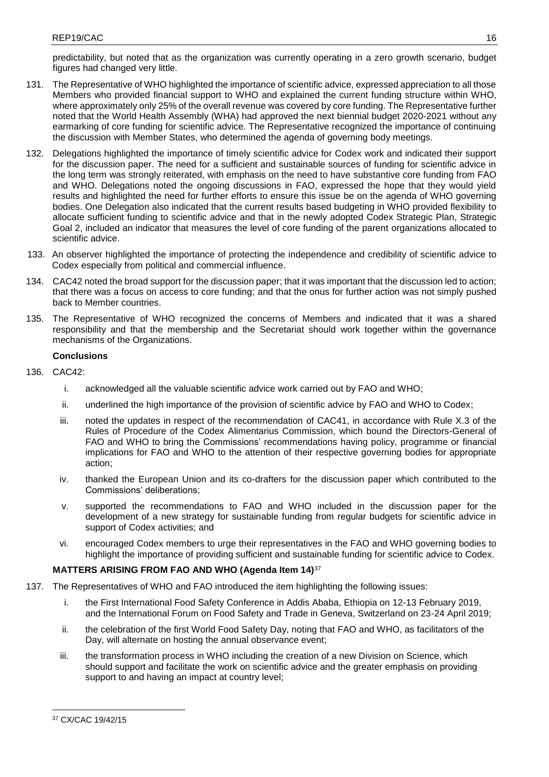predictability, but noted that as the organization was currently operating in a zero growth scenario, budget figures had changed very little.

- 131. The Representative of WHO highlighted the importance of scientific advice, expressed appreciation to all those Members who provided financial support to WHO and explained the current funding structure within WHO, where approximately only 25% of the overall revenue was covered by core funding. The Representative further noted that the World Health Assembly (WHA) had approved the next biennial budget 2020-2021 without any earmarking of core funding for scientific advice. The Representative recognized the importance of continuing the discussion with Member States, who determined the agenda of governing body meetings.
- 132. Delegations highlighted the importance of timely scientific advice for Codex work and indicated their support for the discussion paper. The need for a sufficient and sustainable sources of funding for scientific advice in the long term was strongly reiterated, with emphasis on the need to have substantive core funding from FAO and WHO. Delegations noted the ongoing discussions in FAO, expressed the hope that they would yield results and highlighted the need for further efforts to ensure this issue be on the agenda of WHO governing bodies. One Delegation also indicated that the current results based budgeting in WHO provided flexibility to allocate sufficient funding to scientific advice and that in the newly adopted Codex Strategic Plan, Strategic Goal 2, included an indicator that measures the level of core funding of the parent organizations allocated to scientific advice.
- 133. An observer highlighted the importance of protecting the independence and credibility of scientific advice to Codex especially from political and commercial influence.
- 134. CAC42 noted the broad support for the discussion paper; that it was important that the discussion led to action; that there was a focus on access to core funding; and that the onus for further action was not simply pushed back to Member countries.
- 135. The Representative of WHO recognized the concerns of Members and indicated that it was a shared responsibility and that the membership and the Secretariat should work together within the governance mechanisms of the Organizations.

## **Conclusions**

- 136. CAC42:
	- i. acknowledged all the valuable scientific advice work carried out by FAO and WHO;
	- ii. underlined the high importance of the provision of scientific advice by FAO and WHO to Codex;
	- iii. noted the updates in respect of the recommendation of CAC41, in accordance with Rule X.3 of the Rules of Procedure of the Codex Alimentarius Commission, which bound the Directors-General of FAO and WHO to bring the Commissions' recommendations having policy, programme or financial implications for FAO and WHO to the attention of their respective governing bodies for appropriate action;
	- iv. thanked the European Union and its co-drafters for the discussion paper which contributed to the Commissions' deliberations;
	- v. supported the recommendations to FAO and WHO included in the discussion paper for the development of a new strategy for sustainable funding from regular budgets for scientific advice in support of Codex activities; and
	- vi. encouraged Codex members to urge their representatives in the FAO and WHO governing bodies to highlight the importance of providing sufficient and sustainable funding for scientific advice to Codex.

## **MATTERS ARISING FROM FAO AND WHO (Agenda Item 14)**<sup>37</sup>

- 137. The Representatives of WHO and FAO introduced the item highlighting the following issues:
	- i. the First International Food Safety Conference in Addis Ababa, Ethiopia on 12-13 February 2019, and the International Forum on Food Safety and Trade in Geneva, Switzerland on 23-24 April 2019;
	- ii. the celebration of the first World Food Safety Day, noting that FAO and WHO, as facilitators of the Day, will alternate on hosting the annual observance event;
	- iii. the transformation process in WHO including the creation of a new Division on Science, which should support and facilitate the work on scientific advice and the greater emphasis on providing support to and having an impact at country level;

**.** 

<sup>37</sup> CX/CAC 19/42/15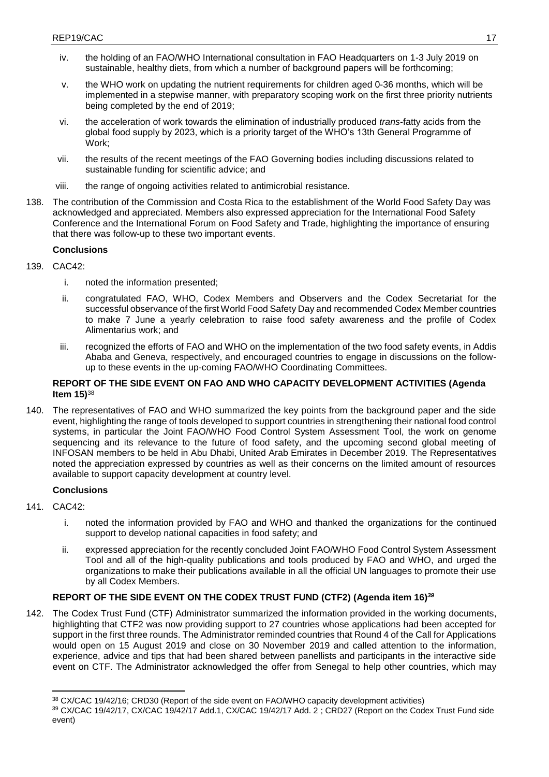- iv. the holding of an FAO/WHO International consultation in FAO Headquarters on 1-3 July 2019 on sustainable, healthy diets, from which a number of background papers will be forthcoming;
- v. the WHO work on updating the nutrient requirements for children aged 0-36 months, which will be implemented in a stepwise manner, with preparatory scoping work on the first three priority nutrients being completed by the end of 2019;
- vi. the acceleration of work towards the elimination of industrially produced *trans*-fatty acids from the global food supply by 2023, which is a priority target of the WHO's 13th General Programme of Work;
- vii. the results of the recent meetings of the FAO Governing bodies including discussions related to sustainable funding for scientific advice; and
- viii. the range of ongoing activities related to antimicrobial resistance.
- 138. The contribution of the Commission and Costa Rica to the establishment of the World Food Safety Day was acknowledged and appreciated. Members also expressed appreciation for the International Food Safety Conference and the International Forum on Food Safety and Trade, highlighting the importance of ensuring that there was follow-up to these two important events.

## **Conclusions**

- 139. CAC42:
	- i. noted the information presented;
	- ii. congratulated FAO, WHO, Codex Members and Observers and the Codex Secretariat for the successful observance of the first World Food Safety Day and recommended Codex Member countries to make 7 June a yearly celebration to raise food safety awareness and the profile of Codex Alimentarius work; and
	- iii. recognized the efforts of FAO and WHO on the implementation of the two food safety events, in Addis Ababa and Geneva, respectively, and encouraged countries to engage in discussions on the followup to these events in the up-coming FAO/WHO Coordinating Committees.

## **REPORT OF THE SIDE EVENT ON FAO AND WHO CAPACITY DEVELOPMENT ACTIVITIES (Agenda Item 15)**<sup>38</sup>

140. The representatives of FAO and WHO summarized the key points from the background paper and the side event, highlighting the range of tools developed to support countries in strengthening their national food control systems, in particular the Joint FAO/WHO Food Control System Assessment Tool, the work on genome sequencing and its relevance to the future of food safety, and the upcoming second global meeting of INFOSAN members to be held in Abu Dhabi, United Arab Emirates in December 2019. The Representatives noted the appreciation expressed by countries as well as their concerns on the limited amount of resources available to support capacity development at country level.

## **Conclusions**

- 141. CAC42:
	- i. noted the information provided by FAO and WHO and thanked the organizations for the continued support to develop national capacities in food safety; and
	- ii. expressed appreciation for the recently concluded Joint FAO/WHO Food Control System Assessment Tool and all of the high-quality publications and tools produced by FAO and WHO, and urged the organizations to make their publications available in all the official UN languages to promote their use by all Codex Members.

## **REPORT OF THE SIDE EVENT ON THE CODEX TRUST FUND (CTF2) (Agenda item 16)***<sup>39</sup>*

142. The Codex Trust Fund (CTF) Administrator summarized the information provided in the working documents, highlighting that CTF2 was now providing support to 27 countries whose applications had been accepted for support in the first three rounds. The Administrator reminded countries that Round 4 of the Call for Applications would open on 15 August 2019 and close on 30 November 2019 and called attention to the information, experience, advice and tips that had been shared between panellists and participants in the interactive side event on CTF. The Administrator acknowledged the offer from Senegal to help other countries, which may

**<sup>.</sup>** <sup>38</sup> CX/CAC 19/42/16; CRD30 (Report of the side event on FAO/WHO capacity development activities)

<sup>39</sup> CX/CAC 19/42/17, CX/CAC 19/42/17 Add.1, CX/CAC 19/42/17 Add. 2 ; CRD27 (Report on the Codex Trust Fund side event)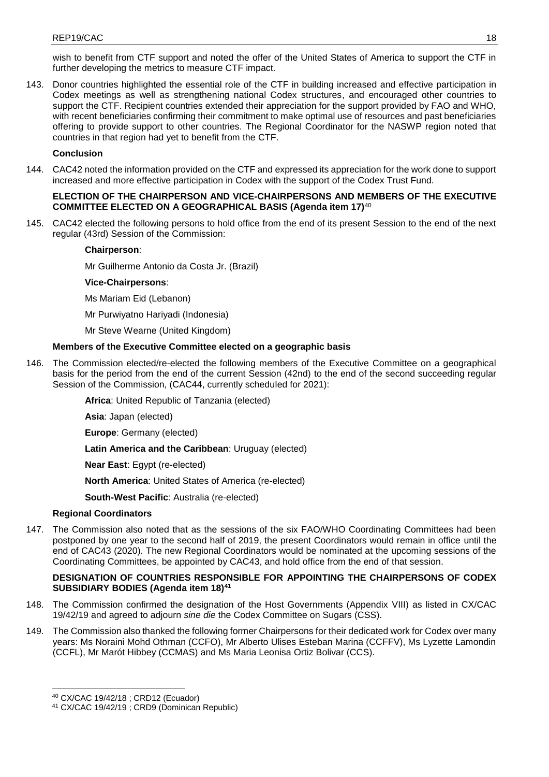wish to benefit from CTF support and noted the offer of the United States of America to support the CTF in further developing the metrics to measure CTF impact.

143. Donor countries highlighted the essential role of the CTF in building increased and effective participation in Codex meetings as well as strengthening national Codex structures, and encouraged other countries to support the CTF. Recipient countries extended their appreciation for the support provided by FAO and WHO, with recent beneficiaries confirming their commitment to make optimal use of resources and past beneficiaries offering to provide support to other countries. The Regional Coordinator for the NASWP region noted that countries in that region had yet to benefit from the CTF.

## **Conclusion**

144. CAC42 noted the information provided on the CTF and expressed its appreciation for the work done to support increased and more effective participation in Codex with the support of the Codex Trust Fund.

### **ELECTION OF THE CHAIRPERSON AND VICE-CHAIRPERSONS AND MEMBERS OF THE EXECUTIVE COMMITTEE ELECTED ON A GEOGRAPHICAL BASIS (Agenda item 17)**<sup>40</sup>

145. CAC42 elected the following persons to hold office from the end of its present Session to the end of the next regular (43rd) Session of the Commission:

### **Chairperson**:

Mr Guilherme Antonio da Costa Jr. (Brazil)

## **Vice-Chairpersons**:

Ms Mariam Eid (Lebanon)

- Mr Purwiyatno Hariyadi (Indonesia)
- Mr Steve Wearne (United Kingdom)

## **Members of the Executive Committee elected on a geographic basis**

146. The Commission elected/re-elected the following members of the Executive Committee on a geographical basis for the period from the end of the current Session (42nd) to the end of the second succeeding regular Session of the Commission, (CAC44, currently scheduled for 2021):

**Africa**: United Republic of Tanzania (elected)

**Asia**: Japan (elected)

**Europe**: Germany (elected)

**Latin America and the Caribbean**: Uruguay (elected)

**Near East**: Egypt (re-elected)

**North America**: United States of America (re-elected)

**South-West Pacific**: Australia (re-elected)

## **Regional Coordinators**

147. The Commission also noted that as the sessions of the six FAO/WHO Coordinating Committees had been postponed by one year to the second half of 2019, the present Coordinators would remain in office until the end of CAC43 (2020). The new Regional Coordinators would be nominated at the upcoming sessions of the Coordinating Committees, be appointed by CAC43, and hold office from the end of that session.

## **DESIGNATION OF COUNTRIES RESPONSIBLE FOR APPOINTING THE CHAIRPERSONS OF CODEX SUBSIDIARY BODIES (Agenda item 18)<sup>41</sup>**

- 148. The Commission confirmed the designation of the Host Governments (Appendix VIII) as listed in CX/CAC 19/42/19 and agreed to adjourn *sine die* the Codex Committee on Sugars (CSS).
- 149. The Commission also thanked the following former Chairpersons for their dedicated work for Codex over many years: Ms Noraini Mohd Othman (CCFO), Mr Alberto Ulises Esteban Marina (CCFFV), Ms Lyzette Lamondin (CCFL), Mr Marót Hibbey (CCMAS) and Ms Maria Leonisa Ortiz Bolivar (CCS).

<sup>1</sup> <sup>40</sup> CX/CAC 19/42/18 ; CRD12 (Ecuador)

<sup>41</sup> CX/CAC 19/42/19 ; CRD9 (Dominican Republic)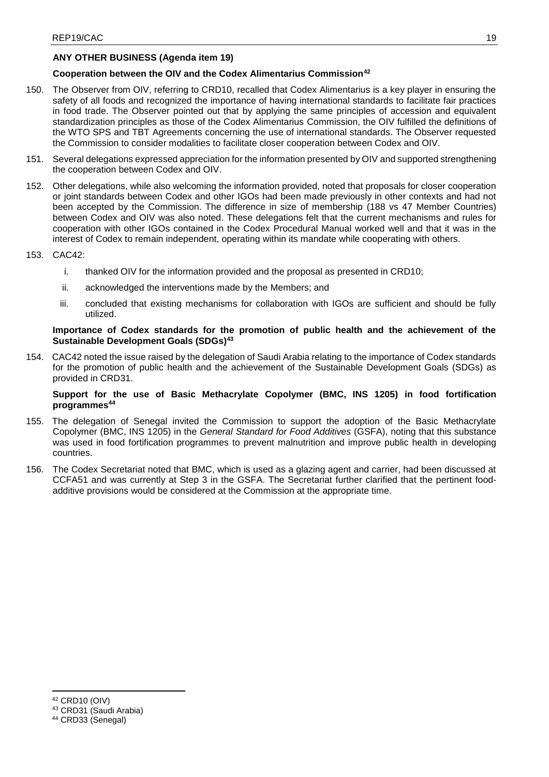## **ANY OTHER BUSINESS (Agenda item 19)**

## **Cooperation between the OIV and the Codex Alimentarius Commission<sup>42</sup>**

- 150. The Observer from OIV, referring to CRD10, recalled that Codex Alimentarius is a key player in ensuring the safety of all foods and recognized the importance of having international standards to facilitate fair practices in food trade. The Observer pointed out that by applying the same principles of accession and equivalent standardization principles as those of the Codex Alimentarius Commission, the OIV fulfilled the definitions of the WTO SPS and TBT Agreements concerning the use of international standards. The Observer requested the Commission to consider modalities to facilitate closer cooperation between Codex and OIV.
- 151. Several delegations expressed appreciation for the information presented by OIV and supported strengthening the cooperation between Codex and OIV.
- 152. Other delegations, while also welcoming the information provided, noted that proposals for closer cooperation or joint standards between Codex and other IGOs had been made previously in other contexts and had not been accepted by the Commission. The difference in size of membership (188 vs 47 Member Countries) between Codex and OIV was also noted. These delegations felt that the current mechanisms and rules for cooperation with other IGOs contained in the Codex Procedural Manual worked well and that it was in the interest of Codex to remain independent, operating within its mandate while cooperating with others.
- 153. CAC42:
	- i. thanked OIV for the information provided and the proposal as presented in CRD10;
	- ii. acknowledged the interventions made by the Members; and
	- iii. concluded that existing mechanisms for collaboration with IGOs are sufficient and should be fully utilized.

### **Importance of Codex standards for the promotion of public health and the achievement of the Sustainable Development Goals (SDGs)<sup>43</sup>**

154. CAC42 noted the issue raised by the delegation of Saudi Arabia relating to the importance of Codex standards for the promotion of public health and the achievement of the Sustainable Development Goals (SDGs) as provided in CRD31.

## **Support for the use of Basic Methacrylate Copolymer (BMC, INS 1205) in food fortification programmes 44**

- 155. The delegation of Senegal invited the Commission to support the adoption of the Basic Methacrylate Copolymer (BMC, INS 1205) in the *General Standard for Food Additives* (GSFA), noting that this substance was used in food fortification programmes to prevent malnutrition and improve public health in developing countries.
- 156. The Codex Secretariat noted that BMC, which is used as a glazing agent and carrier, had been discussed at CCFA51 and was currently at Step 3 in the GSFA. The Secretariat further clarified that the pertinent foodadditive provisions would be considered at the Commission at the appropriate time.

**.** 

<sup>43</sup> CRD31 (Saudi Arabia)

<sup>44</sup> CRD33 (Senegal)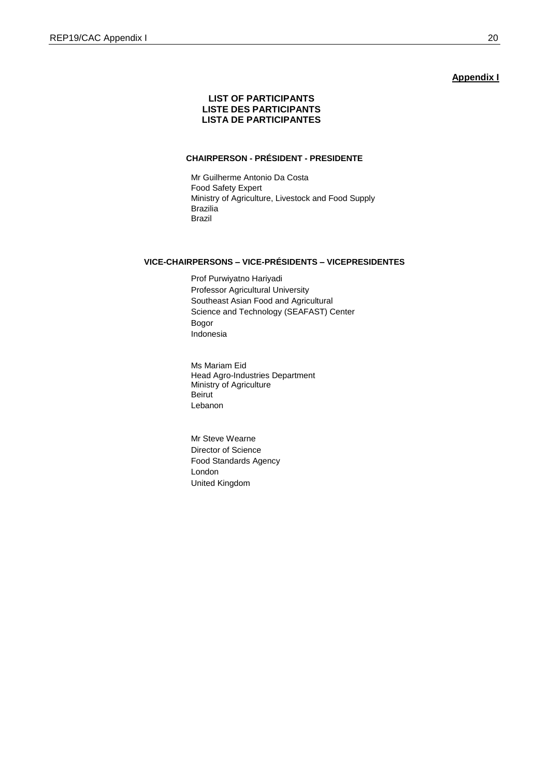#### **Appendix I**

## **LIST OF PARTICIPANTS LISTE DES PARTICIPANTS LISTA DE PARTICIPANTES**

## **CHAIRPERSON - PRÉSIDENT - PRESIDENTE**

Mr Guilherme Antonio Da Costa Food Safety Expert Ministry of Agriculture, Livestock and Food Supply Brazilia Brazil

## **VICE-CHAIRPERSONS – VICE-PRÉSIDENTS – VICEPRESIDENTES**

Prof Purwiyatno Hariyadi Professor Agricultural University Southeast Asian Food and Agricultural Science and Technology (SEAFAST) Center Bogor Indonesia

Ms Mariam Eid Head Agro-Industries Department Ministry of Agriculture Beirut Lebanon

Mr Steve Wearne Director of Science Food Standards Agency London United Kingdom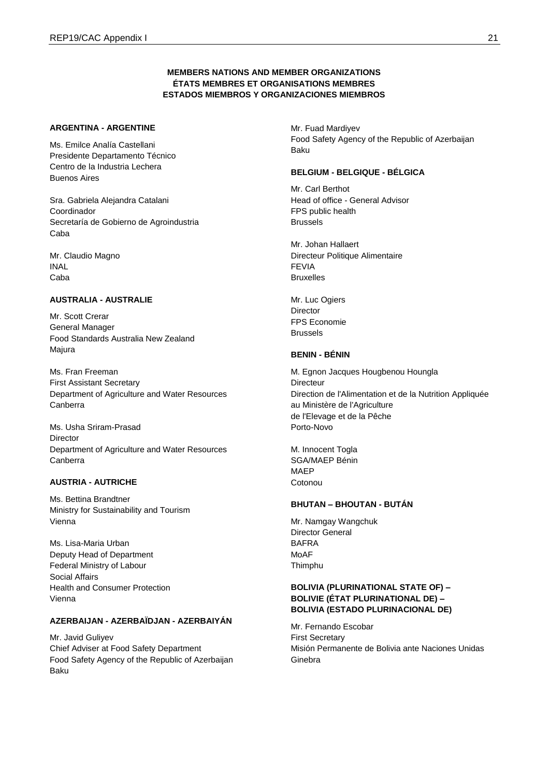## **MEMBERS NATIONS AND MEMBER ORGANIZATIONS ÉTATS MEMBRES ET ORGANISATIONS MEMBRES ESTADOS MIEMBROS Y ORGANIZACIONES MIEMBROS**

## **ARGENTINA - ARGENTINE**

Ms. Emilce Analía Castellani Presidente Departamento Técnico Centro de la Industria Lechera Buenos Aires

Sra. Gabriela Alejandra Catalani Coordinador Secretaría de Gobierno de Agroindustria Caba

Mr. Claudio Magno INAL Caba

## **AUSTRALIA - AUSTRALIE**

Mr. Scott Crerar General Manager Food Standards Australia New Zealand Majura

Ms. Fran Freeman First Assistant Secretary Department of Agriculture and Water Resources Canberra

Ms. Usha Sriram-Prasad Director Department of Agriculture and Water Resources Canberra

#### **AUSTRIA - AUTRICHE**

Ms. Bettina Brandtner Ministry for Sustainability and Tourism Vienna

Ms. Lisa-Maria Urban Deputy Head of Department Federal Ministry of Labour Social Affairs Health and Consumer Protection Vienna

## **AZERBAIJAN - AZERBAÏDJAN - AZERBAIYÁN**

Mr. Javid Guliyev Chief Adviser at Food Safety Department Food Safety Agency of the Republic of Azerbaijan Baku

Mr. Fuad Mardiyev Food Safety Agency of the Republic of Azerbaijan Baku

## **BELGIUM - BELGIQUE - BÉLGICA**

Mr. Carl Berthot Head of office - General Advisor FPS public health Brussels

Mr. Johan Hallaert Directeur Politique Alimentaire FEVIA Bruxelles

Mr. Luc Ogiers **Director** FPS Economie Brussels

### **BENIN - BÉNIN**

M. Egnon Jacques Hougbenou Houngla **Directeur** Direction de l'Alimentation et de la Nutrition Appliquée au Ministère de l'Agriculture de l'Elevage et de la Pêche Porto-Novo

M. Innocent Togla SGA/MAEP Bénin MAEP Cotonou

## **BHUTAN – BHOUTAN - BUTÁN**

Mr. Namgay Wangchuk Director General BAFRA MoAF Thimphu

## **BOLIVIA (PLURINATIONAL STATE OF) – BOLIVIE (ÉTAT PLURINATIONAL DE) – BOLIVIA (ESTADO PLURINACIONAL DE)**

Mr. Fernando Escobar First Secretary Misión Permanente de Bolivia ante Naciones Unidas Ginebra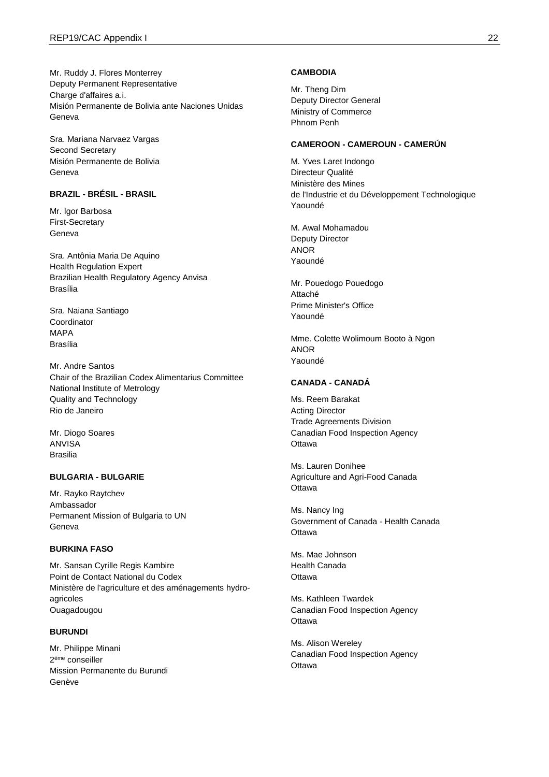Mr. Ruddy J. Flores Monterrey Deputy Permanent Representative Charge d'affaires a.i. Misión Permanente de Bolivia ante Naciones Unidas Geneva

Sra. Mariana Narvaez Vargas Second Secretary Misión Permanente de Bolivia Geneva

## **BRAZIL - BRÉSIL - BRASIL**

Mr. Igor Barbosa First-Secretary Geneva

Sra. Antônia Maria De Aquino Health Regulation Expert Brazilian Health Regulatory Agency Anvisa Brasília

Sra. Naiana Santiago **Coordinator** MAPA Brasília

Mr. Andre Santos Chair of the Brazilian Codex Alimentarius Committee National Institute of Metrology Quality and Technology Rio de Janeiro

Mr. Diogo Soares ANVISA Brasilia

#### **BULGARIA - BULGARIE**

Mr. Rayko Raytchev Ambassador Permanent Mission of Bulgaria to UN Geneva

#### **BURKINA FASO**

Mr. Sansan Cyrille Regis Kambire Point de Contact National du Codex Ministère de l'agriculture et des aménagements hydroagricoles Ouagadougou

#### **BURUNDI**

Mr. Philippe Minani 2 ème conseiller Mission Permanente du Burundi Genève

#### **CAMBODIA**

Mr. Theng Dim Deputy Director General Ministry of Commerce Phnom Penh

### **CAMEROON - CAMEROUN - CAMERÚN**

M. Yves Laret Indongo Directeur Qualité Ministère des Mines de l'Industrie et du Développement Technologique Yaoundé

M. Awal Mohamadou Deputy Director ANOR Yaoundé

Mr. Pouedogo Pouedogo Attaché Prime Minister's Office Yaoundé

Mme. Colette Wolimoum Booto à Ngon ANOR Yaoundé

## **CANADA - CANADÁ**

Ms. Reem Barakat Acting Director Trade Agreements Division Canadian Food Inspection Agency **Ottawa** 

Ms. Lauren Donihee Agriculture and Agri-Food Canada **Ottawa** 

Ms. Nancy Ing Government of Canada - Health Canada **Ottawa** 

Ms. Mae Johnson Health Canada **Ottawa** 

Ms. Kathleen Twardek Canadian Food Inspection Agency **Ottawa** 

Ms. Alison Wereley Canadian Food Inspection Agency **Ottawa**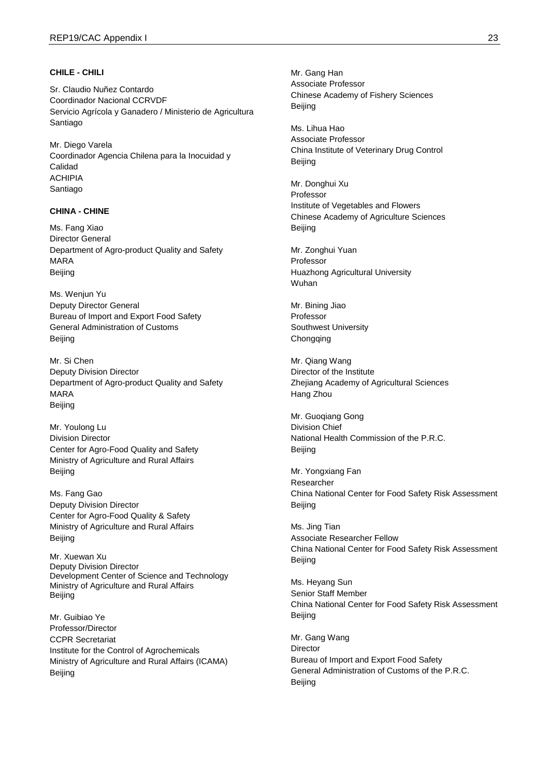#### **CHILE - CHILI**

Sr. Claudio Nuñez Contardo Coordinador Nacional CCRVDF Servicio Agrícola y Ganadero / Ministerio de Agricultura Santiago

Mr. Diego Varela Coordinador Agencia Chilena para la Inocuidad y Calidad ACHIPIA Santiago

## **CHINA - CHINE**

Ms. Fang Xiao Director General Department of Agro-product Quality and Safety MARA Beijing

Ms. Wenjun Yu Deputy Director General Bureau of Import and Export Food Safety General Administration of Customs Beijing

Mr. Si Chen Deputy Division Director Department of Agro-product Quality and Safety MARA Beijing

Mr. Youlong Lu Division Director Center for Agro-Food Quality and Safety Ministry of Agriculture and Rural Affairs Beijing

Ms. Fang Gao Deputy Division Director Center for Agro-Food Quality & Safety Ministry of Agriculture and Rural Affairs Beijing

Mr. Xuewan Xu Deputy Division Director Development Center of Science and Technology Ministry of Agriculture and Rural Affairs Beijing

Mr. Guibiao Ye Professor/Director CCPR Secretariat Institute for the Control of Agrochemicals Ministry of Agriculture and Rural Affairs (ICAMA) Beijing

Mr. Gang Han Associate Professor Chinese Academy of Fishery Sciences Beijing

Ms. Lihua Hao Associate Professor China Institute of Veterinary Drug Control Beijing

Mr. Donghui Xu Professor Institute of Vegetables and Flowers Chinese Academy of Agriculture Sciences Beijing

Mr. Zonghui Yuan Professor Huazhong Agricultural University Wuhan

Mr. Bining Jiao Professor Southwest University Chongqing

Mr. Qiang Wang Director of the Institute Zhejiang Academy of Agricultural Sciences Hang Zhou

Mr. Guoqiang Gong Division Chief National Health Commission of the P.R.C. Beijing

Mr. Yongxiang Fan Researcher China National Center for Food Safety Risk Assessment Beijing

Ms. Jing Tian Associate Researcher Fellow China National Center for Food Safety Risk Assessment Beijing

Ms. Heyang Sun Senior Staff Member China National Center for Food Safety Risk Assessment Beijing

Mr. Gang Wang **Director** Bureau of Import and Export Food Safety General Administration of Customs of the P.R.C. Beijing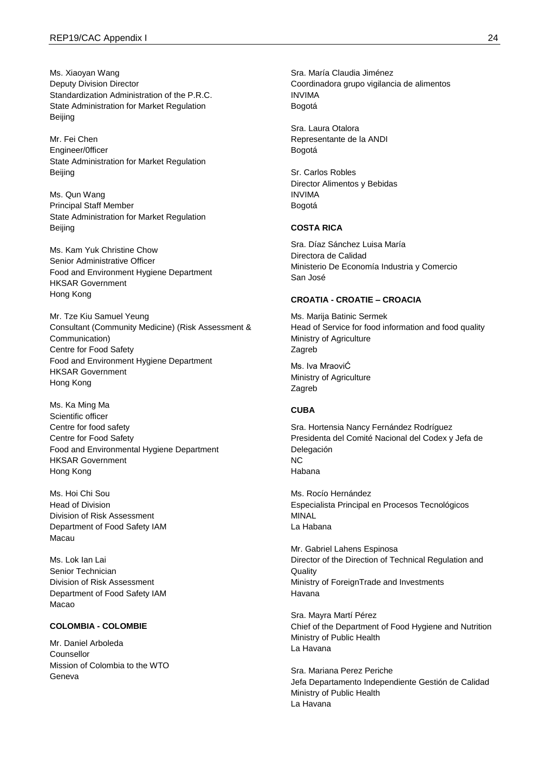Ms. Xiaoyan Wang Deputy Division Director Standardization Administration of the P.R.C. State Administration for Market Regulation Beijing

Mr. Fei Chen Engineer/0fficer State Administration for Market Regulation Beijing

Ms. Qun Wang Principal Staff Member State Administration for Market Regulation Beijing

Ms. Kam Yuk Christine Chow Senior Administrative Officer Food and Environment Hygiene Department HKSAR Government Hong Kong

Mr. Tze Kiu Samuel Yeung Consultant (Community Medicine) (Risk Assessment & Communication) Centre for Food Safety Food and Environment Hygiene Department HKSAR Government Hong Kong

Ms. Ka Ming Ma Scientific officer Centre for food safety Centre for Food Safety Food and Environmental Hygiene Department HKSAR Government Hong Kong

Ms. Hoi Chi Sou Head of Division Division of Risk Assessment Department of Food Safety IAM Macau

Ms. Lok Ian Lai Senior Technician Division of Risk Assessment Department of Food Safety IAM Macao

## **COLOMBIA - COLOMBIE**

Mr. Daniel Arboleda Counsellor Mission of Colombia to the WTO Geneva

Sra. María Claudia Jiménez Coordinadora grupo vigilancia de alimentos INVIMA Bogotá

Sra. Laura Otalora Representante de la ANDI Bogotá

Sr. Carlos Robles Director Alimentos y Bebidas INVIMA Bogotá

### **COSTA RICA**

Sra. Díaz Sánchez Luisa María Directora de Calidad Ministerio De Economía Industria y Comercio San José

## **CROATIA - CROATIE – CROACIA**

Ms. Marija Batinic Sermek Head of Service for food information and food quality Ministry of Agriculture Zagreb

Ms. Iva MraoviĆ Ministry of Agriculture Zagreb

## **CUBA**

Sra. Hortensia Nancy Fernández Rodríguez Presidenta del Comité Nacional del Codex y Jefa de Delegación NC Habana

Ms. Rocío Hernández Especialista Principal en Procesos Tecnológicos MINAL La Habana

Mr. Gabriel Lahens Espinosa Director of the Direction of Technical Regulation and **Quality** Ministry of ForeignTrade and Investments Havana

Sra. Mayra Martí Pérez Chief of the Department of Food Hygiene and Nutrition Ministry of Public Health La Havana

Sra. Mariana Perez Periche Jefa Departamento Independiente Gestión de Calidad Ministry of Public Health La Havana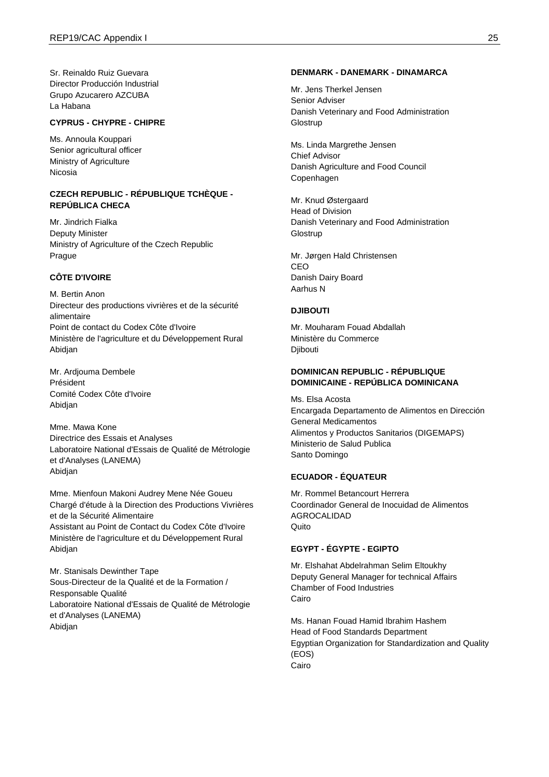Sr. Reinaldo Ruiz Guevara Director Producción Industrial Grupo Azucarero AZCUBA La Habana

### **CYPRUS - CHYPRE - CHIPRE**

Ms. Annoula Kouppari Senior agricultural officer Ministry of Agriculture Nicosia

### **CZECH REPUBLIC - RÉPUBLIQUE TCHÈQUE - REPÚBLICA CHECA**

Mr. Jindrich Fialka Deputy Minister Ministry of Agriculture of the Czech Republic Prague

## **CÔTE D'IVOIRE**

M. Bertin Anon Directeur des productions vivrières et de la sécurité alimentaire Point de contact du Codex Côte d'Ivoire Ministère de l'agriculture et du Développement Rural Abidjan

Mr. Ardjouma Dembele Président Comité Codex Côte d'Ivoire Abidjan

Mme. Mawa Kone Directrice des Essais et Analyses Laboratoire National d'Essais de Qualité de Métrologie et d'Analyses (LANEMA) Abidjan

Mme. Mienfoun Makoni Audrey Mene Née Goueu Chargé d'étude à la Direction des Productions Vivrières et de la Sécurité Alimentaire Assistant au Point de Contact du Codex Côte d'Ivoire Ministère de l'agriculture et du Développement Rural Abidjan

Mr. Stanisals Dewinther Tape Sous-Directeur de la Qualité et de la Formation / Responsable Qualité Laboratoire National d'Essais de Qualité de Métrologie et d'Analyses (LANEMA) Abidjan

#### **DENMARK - DANEMARK - DINAMARCA**

Mr. Jens Therkel Jensen Senior Adviser Danish Veterinary and Food Administration **Glostrup** 

Ms. Linda Margrethe Jensen Chief Advisor Danish Agriculture and Food Council Copenhagen

Mr. Knud Østergaard Head of Division Danish Veterinary and Food Administration **Glostrup** 

Mr. Jørgen Hald Christensen CEO Danish Dairy Board Aarhus N

#### **DJIBOUTI**

Mr. Mouharam Fouad Abdallah Ministère du Commerce Djibouti

## **DOMINICAN REPUBLIC - RÉPUBLIQUE DOMINICAINE - REPÚBLICA DOMINICANA**

Ms. Elsa Acosta Encargada Departamento de Alimentos en Dirección General Medicamentos Alimentos y Productos Sanitarios (DIGEMAPS) Ministerio de Salud Publica Santo Domingo

## **ECUADOR - ÉQUATEUR**

Mr. Rommel Betancourt Herrera Coordinador General de Inocuidad de Alimentos AGROCALIDAD Quito

#### **EGYPT - ÉGYPTE - EGIPTO**

Mr. Elshahat Abdelrahman Selim Eltoukhy Deputy General Manager for technical Affairs Chamber of Food Industries Cairo

Ms. Hanan Fouad Hamid Ibrahim Hashem Head of Food Standards Department Egyptian Organization for Standardization and Quality (EOS) Cairo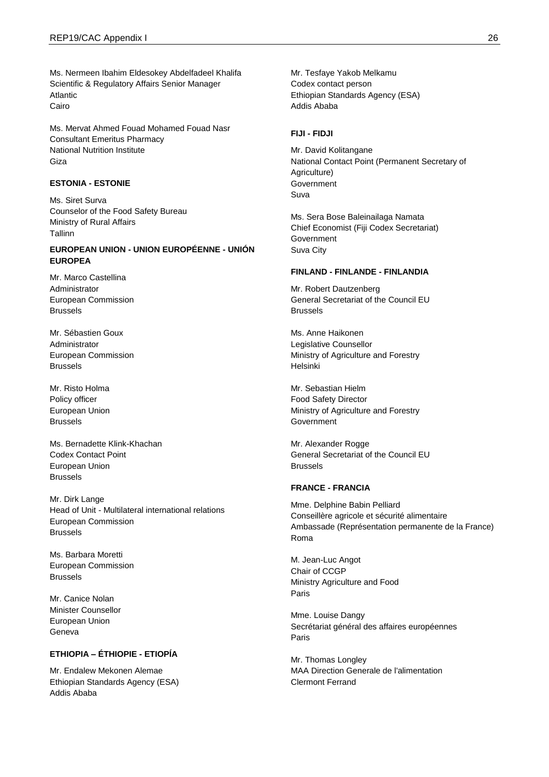Ms. Nermeen Ibahim Eldesokey Abdelfadeel Khalifa Scientific & Regulatory Affairs Senior Manager Atlantic Cairo

Ms. Mervat Ahmed Fouad Mohamed Fouad Nasr Consultant Emeritus Pharmacy National Nutrition Institute Giza

## **ESTONIA - ESTONIE**

Ms. Siret Surva Counselor of the Food Safety Bureau Ministry of Rural Affairs Tallinn

## **EUROPEAN UNION - UNION EUROPÉENNE - UNIÓN EUROPEA**

Mr. Marco Castellina Administrator European Commission Brussels

Mr. Sébastien Goux Administrator European Commission Brussels

Mr. Risto Holma Policy officer European Union Brussels

Ms. Bernadette Klink-Khachan Codex Contact Point European Union Brussels

Mr. Dirk Lange Head of Unit - Multilateral international relations European Commission Brussels

Ms. Barbara Moretti European Commission Brussels

Mr. Canice Nolan Minister Counsellor European Union Geneva

## **ETHIOPIA – ÉTHIOPIE - ETIOPÍA**

Mr. Endalew Mekonen Alemae Ethiopian Standards Agency (ESA) Addis Ababa

Mr. Tesfaye Yakob Melkamu Codex contact person Ethiopian Standards Agency (ESA) Addis Ababa

#### **FIJI - FIDJI**

Mr. David Kolitangane National Contact Point (Permanent Secretary of Agriculture) **Government** Suva

Ms. Sera Bose Baleinailaga Namata Chief Economist (Fiji Codex Secretariat) **Government** Suva City

#### **FINLAND - FINLANDE - FINLANDIA**

Mr. Robert Dautzenberg General Secretariat of the Council EU Brussels

Ms. Anne Haikonen Legislative Counsellor Ministry of Agriculture and Forestry Helsinki

Mr. Sebastian Hielm Food Safety Director Ministry of Agriculture and Forestry **Government** 

Mr. Alexander Rogge General Secretariat of the Council EU Brussels

#### **FRANCE - FRANCIA**

Mme. Delphine Babin Pelliard Conseillère agricole et sécurité alimentaire Ambassade (Représentation permanente de la France) Roma

M. Jean-Luc Angot Chair of CCGP Ministry Agriculture and Food Paris

Mme. Louise Dangy Secrétariat général des affaires européennes Paris

Mr. Thomas Longley MAA Direction Generale de l'alimentation Clermont Ferrand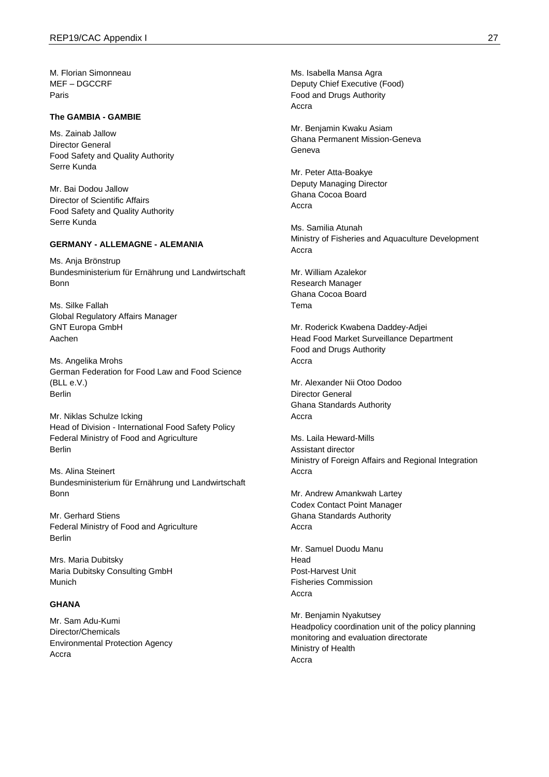M. Florian Simonneau MEF – DGCCRF Paris

### **The GAMBIA - GAMBIE**

Ms. Zainab Jallow Director General Food Safety and Quality Authority Serre Kunda

Mr. Bai Dodou Jallow Director of Scientific Affairs Food Safety and Quality Authority Serre Kunda

## **GERMANY - ALLEMAGNE - ALEMANIA**

Ms. Anja Brönstrup Bundesministerium für Ernährung und Landwirtschaft Bonn

Ms. Silke Fallah Global Regulatory Affairs Manager GNT Europa GmbH Aachen

Ms. Angelika Mrohs German Federation for Food Law and Food Science (BLL e.V.) Berlin

Mr. Niklas Schulze Icking Head of Division - International Food Safety Policy Federal Ministry of Food and Agriculture Berlin

Ms. Alina Steinert Bundesministerium für Ernährung und Landwirtschaft Bonn

Mr. Gerhard Stiens Federal Ministry of Food and Agriculture Berlin

Mrs. Maria Dubitsky Maria Dubitsky Consulting GmbH Munich

## **GHANA**

Mr. Sam Adu-Kumi Director/Chemicals Environmental Protection Agency Accra

Ms. Isabella Mansa Agra Deputy Chief Executive (Food) Food and Drugs Authority Accra

Mr. Benjamin Kwaku Asiam Ghana Permanent Mission-Geneva Geneva

Mr. Peter Atta-Boakye Deputy Managing Director Ghana Cocoa Board Accra

Ms. Samilia Atunah Ministry of Fisheries and Aquaculture Development Accra

Mr. William Azalekor Research Manager Ghana Cocoa Board Tema

Mr. Roderick Kwabena Daddey-Adjei Head Food Market Surveillance Department Food and Drugs Authority Accra

Mr. Alexander Nii Otoo Dodoo Director General Ghana Standards Authority Accra

Ms. Laila Heward-Mills Assistant director Ministry of Foreign Affairs and Regional Integration Accra

Mr. Andrew Amankwah Lartey Codex Contact Point Manager Ghana Standards Authority Accra

Mr. Samuel Duodu Manu Head Post-Harvest Unit Fisheries Commission Accra

Mr. Benjamin Nyakutsey Headpolicy coordination unit of the policy planning monitoring and evaluation directorate Ministry of Health Accra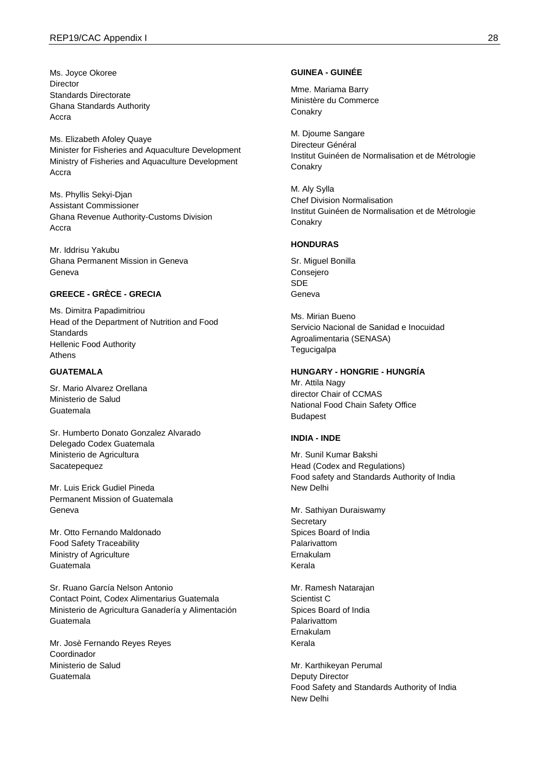Ms. Joyce Okoree Director Standards Directorate Ghana Standards Authority Accra

Ms. Elizabeth Afoley Quaye Minister for Fisheries and Aquaculture Development Ministry of Fisheries and Aquaculture Development Accra

Ms. Phyllis Sekyi-Djan Assistant Commissioner Ghana Revenue Authority-Customs Division Accra

Mr. Iddrisu Yakubu Ghana Permanent Mission in Geneva Geneva

### **GREECE - GRÈCE - GRECIA**

Ms. Dimitra Papadimitriou Head of the Department of Nutrition and Food **Standards** Hellenic Food Authority Athens

## **GUATEMALA**

Sr. Mario Alvarez Orellana Ministerio de Salud Guatemala

Sr. Humberto Donato Gonzalez Alvarado Delegado Codex Guatemala Ministerio de Agricultura Sacatepequez

Mr. Luis Erick Gudiel Pineda Permanent Mission of Guatemala Geneva

Mr. Otto Fernando Maldonado Food Safety Traceability Ministry of Agriculture Guatemala

Sr. Ruano García Nelson Antonio Contact Point, Codex Alimentarius Guatemala Ministerio de Agricultura Ganadería y Alimentación Guatemala

Mr. Josè Fernando Reyes Reyes Coordinador Ministerio de Salud Guatemala

#### **GUINEA - GUINÉE**

Mme. Mariama Barry Ministère du Commerce **Conakry** 

M. Djoume Sangare Directeur Général Institut Guinéen de Normalisation et de Métrologie Conakry

M. Aly Sylla Chef Division Normalisation Institut Guinéen de Normalisation et de Métrologie **Conakry** 

#### **HONDURAS**

Sr. Miguel Bonilla Consejero SDE Geneva

Ms. Mirian Bueno Servicio Nacional de Sanidad e Inocuidad Agroalimentaria (SENASA) **Tegucigalpa** 

### **HUNGARY - HONGRIE - HUNGRÍA**

Mr. Attila Nagy director Chair of CCMAS National Food Chain Safety Office Budapest

#### **INDIA - INDE**

Mr. Sunil Kumar Bakshi Head (Codex and Regulations) Food safety and Standards Authority of India New Delhi

Mr. Sathiyan Duraiswamy **Secretary** Spices Board of India Palarivattom Ernakulam Kerala

Mr. Ramesh Natarajan Scientist C Spices Board of India Palarivattom Ernakulam Kerala

Mr. Karthikeyan Perumal Deputy Director Food Safety and Standards Authority of India New Delhi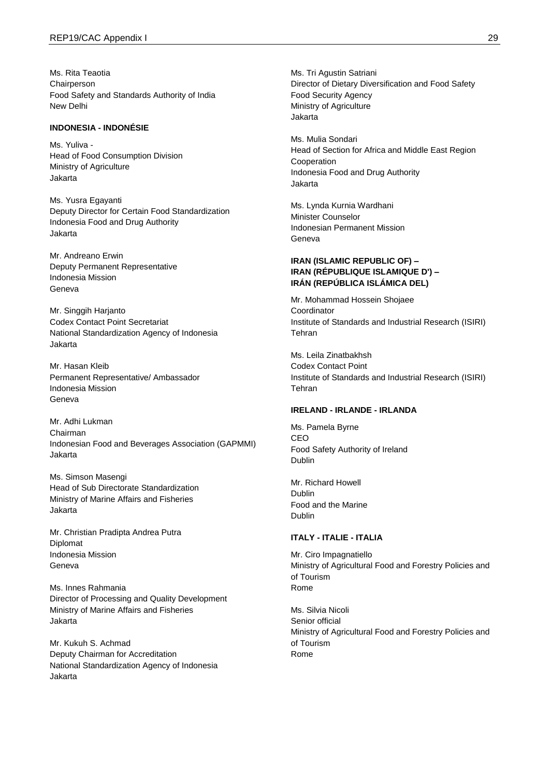Ms. Rita Teaotia Chairperson Food Safety and Standards Authority of India New Delhi

## **INDONESIA - INDONÉSIE**

Ms. Yuliva - Head of Food Consumption Division Ministry of Agriculture Jakarta

Ms. Yusra Egayanti Deputy Director for Certain Food Standardization Indonesia Food and Drug Authority Jakarta

Mr. Andreano Erwin Deputy Permanent Representative Indonesia Mission Geneva

Mr. Singgih Harjanto Codex Contact Point Secretariat National Standardization Agency of Indonesia Jakarta

Mr. Hasan Kleib Permanent Representative/ Ambassador Indonesia Mission Geneva

Mr. Adhi Lukman Chairman Indonesian Food and Beverages Association (GAPMMI) Jakarta

Ms. Simson Masengi Head of Sub Directorate Standardization Ministry of Marine Affairs and Fisheries Jakarta

Mr. Christian Pradipta Andrea Putra Diplomat Indonesia Mission Geneva

Ms. Innes Rahmania Director of Processing and Quality Development Ministry of Marine Affairs and Fisheries Jakarta

Mr. Kukuh S. Achmad Deputy Chairman for Accreditation National Standardization Agency of Indonesia Jakarta

Ms. Tri Agustin Satriani Director of Dietary Diversification and Food Safety Food Security Agency Ministry of Agriculture Jakarta

Ms. Mulia Sondari Head of Section for Africa and Middle East Region Cooperation Indonesia Food and Drug Authority Jakarta

Ms. Lynda Kurnia Wardhani Minister Counselor Indonesian Permanent Mission Geneva

## **IRAN (ISLAMIC REPUBLIC OF) – IRAN (RÉPUBLIQUE ISLAMIQUE D') – IRÁN (REPÚBLICA ISLÁMICA DEL)**

Mr. Mohammad Hossein Shojaee **Coordinator** Institute of Standards and Industrial Research (ISIRI) Tehran

Ms. Leila Zinatbakhsh Codex Contact Point Institute of Standards and Industrial Research (ISIRI) Tehran

## **IRELAND - IRLANDE - IRLANDA**

Ms. Pamela Byrne CEO Food Safety Authority of Ireland Dublin

Mr. Richard Howell Dublin Food and the Marine Dublin

### **ITALY - ITALIE - ITALIA**

Mr. Ciro Impagnatiello Ministry of Agricultural Food and Forestry Policies and of Tourism Rome

Ms. Silvia Nicoli Senior official Ministry of Agricultural Food and Forestry Policies and of Tourism Rome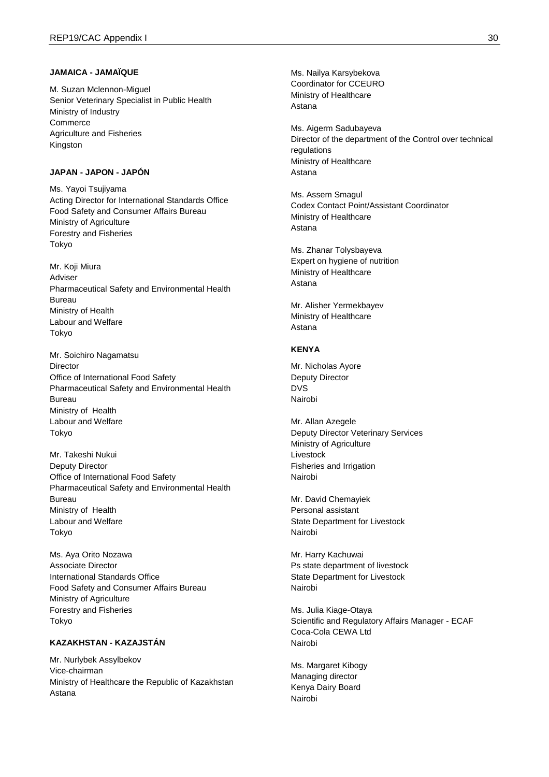#### **JAMAICA - JAMAÏQUE**

M. Suzan Mclennon-Miguel Senior Veterinary Specialist in Public Health Ministry of Industry **Commerce** Agriculture and Fisheries Kingston

### **JAPAN - JAPON - JAPÓN**

Ms. Yayoi Tsujiyama Acting Director for International Standards Office Food Safety and Consumer Affairs Bureau Ministry of Agriculture Forestry and Fisheries Tokyo

Mr. Koji Miura Adviser Pharmaceutical Safety and Environmental Health Bureau Ministry of Health Labour and Welfare Tokyo

Mr. Soichiro Nagamatsu Director Office of International Food Safety Pharmaceutical Safety and Environmental Health Bureau Ministry of Health Labour and Welfare Tokyo

Mr. Takeshi Nukui Deputy Director Office of International Food Safety Pharmaceutical Safety and Environmental Health Bureau Ministry of Health Labour and Welfare Tokyo

Ms. Aya Orito Nozawa Associate Director International Standards Office Food Safety and Consumer Affairs Bureau Ministry of Agriculture Forestry and Fisheries Tokyo

## **KAZAKHSTAN - KAZAJSTÁN**

Mr. Nurlybek Assylbekov Vice-chairman Ministry of Healthcare the Republic of Kazakhstan Astana

Ms. Nailya Karsybekova Coordinator for CCEURO Ministry of Healthcare Astana

Ms. Aigerm Sadubayeva Director of the department of the Control over technical regulations Ministry of Healthcare Astana

Ms. Assem Smagul Codex Contact Point/Assistant Coordinator Ministry of Healthcare Astana

Ms. Zhanar Tolysbayeva Expert on hygiene of nutrition Ministry of Healthcare Astana

Mr. Alisher Yermekbayev Ministry of Healthcare Astana

### **KENYA**

Mr. Nicholas Ayore Deputy Director DVS Nairobi

Mr. Allan Azegele Deputy Director Veterinary Services Ministry of Agriculture Livestock Fisheries and Irrigation Nairobi

Mr. David Chemayiek Personal assistant State Department for Livestock Nairobi

Mr. Harry Kachuwai Ps state department of livestock State Department for Livestock Nairobi

Ms. Julia Kiage-Otaya Scientific and Regulatory Affairs Manager - ECAF Coca-Cola CEWA Ltd Nairobi

Ms. Margaret Kibogy Managing director Kenya Dairy Board Nairobi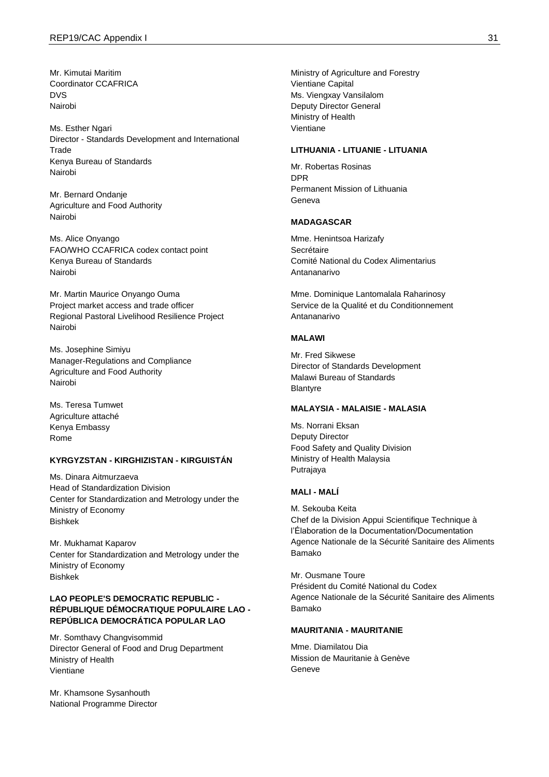Mr. Kimutai Maritim Coordinator CCAFRICA DVS Nairobi

Ms. Esther Ngari Director - Standards Development and International **Trade** Kenya Bureau of Standards Nairobi

Mr. Bernard Ondanje Agriculture and Food Authority Nairobi

Ms. Alice Onyango FAO/WHO CCAFRICA codex contact point Kenya Bureau of Standards Nairobi

Mr. Martin Maurice Onyango Ouma Project market access and trade officer Regional Pastoral Livelihood Resilience Project Nairobi

Ms. Josephine Simiyu Manager-Regulations and Compliance Agriculture and Food Authority Nairobi

Ms. Teresa Tumwet Agriculture attaché Kenya Embassy Rome

## **KYRGYZSTAN - KIRGHIZISTAN - KIRGUISTÁN**

Ms. Dinara Aitmurzaeva Head of Standardization Division Center for Standardization and Metrology under the Ministry of Economy Bishkek

Mr. Mukhamat Kaparov Center for Standardization and Metrology under the Ministry of Economy Bishkek

## **LAO PEOPLE'S DEMOCRATIC REPUBLIC - RÉPUBLIQUE DÉMOCRATIQUE POPULAIRE LAO - REPÚBLICA DEMOCRÁTICA POPULAR LAO**

Mr. Somthavy Changvisommid Director General of Food and Drug Department Ministry of Health Vientiane

Mr. Khamsone Sysanhouth National Programme Director Ministry of Agriculture and Forestry Vientiane Capital Ms. Viengxay Vansilalom Deputy Director General Ministry of Health Vientiane

#### **LITHUANIA - LITUANIE - LITUANIA**

Mr. Robertas Rosinas DPR Permanent Mission of Lithuania Geneva

#### **MADAGASCAR**

Mme. Henintsoa Harizafy Secrétaire Comité National du Codex Alimentarius Antananarivo

Mme. Dominique Lantomalala Raharinosy Service de la Qualité et du Conditionnement Antananarivo

## **MALAWI**

Mr. Fred Sikwese Director of Standards Development Malawi Bureau of Standards Blantyre

### **MALAYSIA - MALAISIE - MALASIA**

Ms. Norrani Eksan Deputy Director Food Safety and Quality Division Ministry of Health Malaysia Putrajaya

### **MALI - MALÍ**

M. Sekouba Keita Chef de la Division Appui Scientifique Technique à l'Élaboration de la Documentation/Documentation Agence Nationale de la Sécurité Sanitaire des Aliments Bamako

Mr. Ousmane Toure Président du Comité National du Codex Agence Nationale de la Sécurité Sanitaire des Aliments Bamako

#### **MAURITANIA - MAURITANIE**

Mme. Diamilatou Dia Mission de Mauritanie à Genève Geneve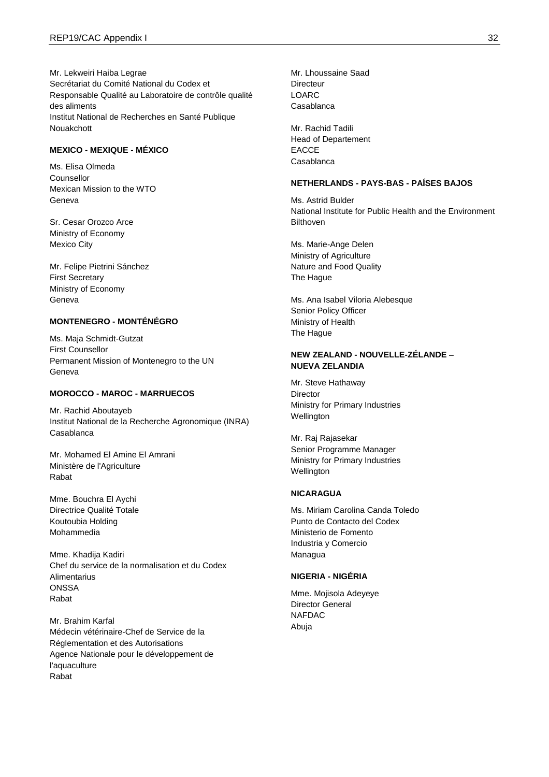Mr. Lekweiri Haiba Legrae Secrétariat du Comité National du Codex et Responsable Qualité au Laboratoire de contrôle qualité des aliments Institut National de Recherches en Santé Publique Nouakchott

## **MEXICO - MEXIQUE - MÉXICO**

Ms. Elisa Olmeda Counsellor Mexican Mission to the WTO Geneva

Sr. Cesar Orozco Arce Ministry of Economy Mexico City

Mr. Felipe Pietrini Sánchez First Secretary Ministry of Economy Geneva

## **MONTENEGRO - MONTÉNÉGRO**

Ms. Maja Schmidt-Gutzat First Counsellor Permanent Mission of Montenegro to the UN Geneva

## **MOROCCO - MAROC - MARRUECOS**

Mr. Rachid Aboutayeb Institut National de la Recherche Agronomique (INRA) Casablanca

Mr. Mohamed El Amine El Amrani Ministère de l'Agriculture Rabat

Mme. Bouchra El Aychi Directrice Qualité Totale Koutoubia Holding Mohammedia

Mme. Khadija Kadiri Chef du service de la normalisation et du Codex **Alimentarius ONSSA** Rabat

Mr. Brahim Karfal Médecin vétérinaire-Chef de Service de la Réglementation et des Autorisations Agence Nationale pour le développement de l'aquaculture Rabat

Mr. Lhoussaine Saad **Directeur** LOARC Casablanca

Mr. Rachid Tadili Head of Departement EACCE Casablanca

#### **NETHERLANDS - PAYS-BAS - PAÍSES BAJOS**

Ms. Astrid Bulder National Institute for Public Health and the Environment **Bilthoven** 

Ms. Marie-Ange Delen Ministry of Agriculture Nature and Food Quality The Hague

Ms. Ana Isabel Viloria Alebesque Senior Policy Officer Ministry of Health The Hague

## **NEW ZEALAND - NOUVELLE-ZÉLANDE – NUEVA ZELANDIA**

Mr. Steve Hathaway **Director** Ministry for Primary Industries Wellington

Mr. Raj Rajasekar Senior Programme Manager Ministry for Primary Industries **Wellington** 

### **NICARAGUA**

Ms. Miriam Carolina Canda Toledo Punto de Contacto del Codex Ministerio de Fomento Industria y Comercio Managua

### **NIGERIA - NIGÉRIA**

Mme. Mojisola Adeyeye Director General NAFDAC Abuja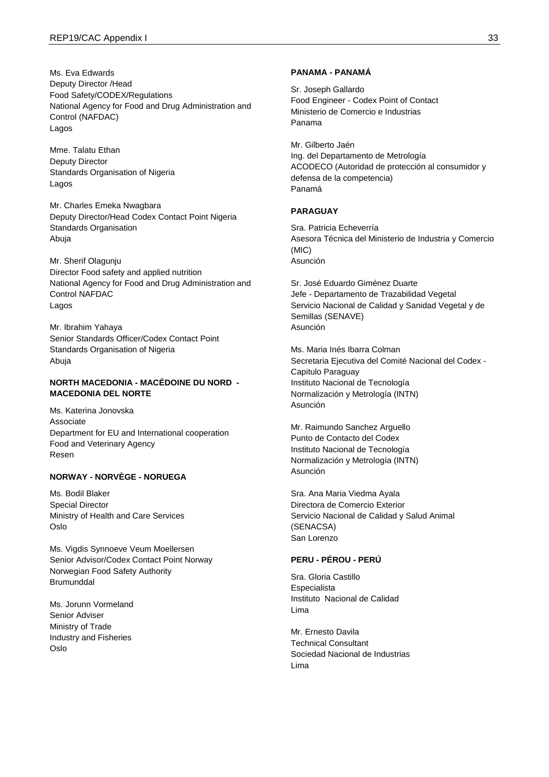Ms. Eva Edwards Deputy Director /Head Food Safety/CODEX/Regulations National Agency for Food and Drug Administration and Control (NAFDAC) Lagos

Mme. Talatu Ethan Deputy Director Standards Organisation of Nigeria Lagos

Mr. Charles Emeka Nwagbara Deputy Director/Head Codex Contact Point Nigeria Standards Organisation Abuja

Mr. Sherif Olagunju Director Food safety and applied nutrition National Agency for Food and Drug Administration and Control NAFDAC Lagos

Mr. Ibrahim Yahaya Senior Standards Officer/Codex Contact Point Standards Organisation of Nigeria Abuja

## **NORTH MACEDONIA - MACÉDOINE DU NORD - MACEDONIA DEL NORTE**

Ms. Katerina Jonovska Associate Department for EU and International cooperation Food and Veterinary Agency Resen

### **NORWAY - NORVÈGE - NORUEGA**

Ms. Bodil Blaker Special Director Ministry of Health and Care Services Oslo

Ms. Vigdis Synnoeve Veum Moellersen Senior Advisor/Codex Contact Point Norway Norwegian Food Safety Authority **Brumunddal** 

Ms. Jorunn Vormeland Senior Adviser Ministry of Trade Industry and Fisheries Oslo

#### **PANAMA - PANAMÁ**

Sr. Joseph Gallardo Food Engineer - Codex Point of Contact Ministerio de Comercio e Industrias Panama

Mr. Gilberto Jaén Ing. del Departamento de Metrología ACODECO (Autoridad de protección al consumidor y defensa de la competencia) Panamá

#### **PARAGUAY**

Sra. Patricia Echeverría Asesora Técnica del Ministerio de Industria y Comercio (MIC) Asunción

Sr. José Eduardo Giménez Duarte Jefe - Departamento de Trazabilidad Vegetal Servicio Nacional de Calidad y Sanidad Vegetal y de Semillas (SENAVE) Asunción

Ms. Maria Inés Ibarra Colman Secretaria Ejecutiva del Comité Nacional del Codex - Capitulo Paraguay Instituto Nacional de Tecnología Normalización y Metrología (INTN) Asunción

Mr. Raimundo Sanchez Arguello Punto de Contacto del Codex Instituto Nacional de Tecnología Normalización y Metrología (INTN) Asunción

Sra. Ana Maria Viedma Ayala Directora de Comercio Exterior Servicio Nacional de Calidad y Salud Animal (SENACSA) San Lorenzo

### **PERU - PÉROU - PERÚ**

Sra. Gloria Castillo Especialista Instituto Nacional de Calidad Lima

Mr. Ernesto Davila Technical Consultant Sociedad Nacional de Industrias Lima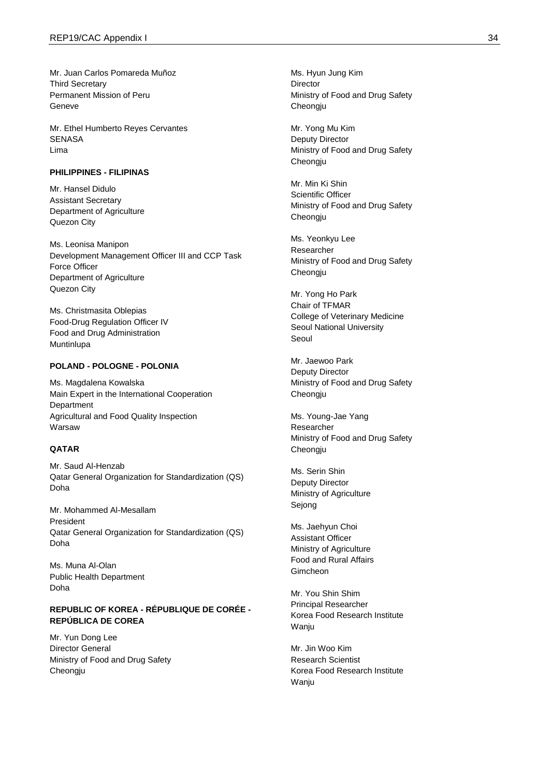Mr. Juan Carlos Pomareda Muñoz Third Secretary Permanent Mission of Peru Geneve

Mr. Ethel Humberto Reyes Cervantes **SENASA** Lima

#### **PHILIPPINES - FILIPINAS**

Mr. Hansel Didulo Assistant Secretary Department of Agriculture Quezon City

Ms. Leonisa Manipon Development Management Officer III and CCP Task Force Officer Department of Agriculture Quezon City

Ms. Christmasita Oblepias Food -Drug Regulation Officer IV Food and Drug Administration Muntinlupa

#### **POLAND - POLOGNE - POLONIA**

Ms. Magdalena Kowalska Main Expert in the International Cooperation Department Agricultural and Food Quality Inspection Warsaw

## **QATAR**

Mr. Saud Al -Henzab Qatar General Organization for Standardization (QS) Doha

Mr. Mohammed Al -Mesallam President Qatar General Organization for Standardization (QS) Doha

Ms. Muna Al -Olan Public Health Department Doha

#### **REPUBLIC OF KOREA - RÉPUBLIQUE DE CORÉE - REPÚBLICA DE COREA**

Mr. Yun Dong Lee Director General Ministry of Food and Drug Safety Cheongju

Ms. Hyun Jung Kim **Director** Ministry of Food and Drug Safety Cheongju

Mr. Yong Mu Kim Deputy Director Ministry of Food and Drug Safety Cheongju

Mr. Min Ki Shin Scientific Officer Ministry of Food and Drug Safety Cheongju

Ms. Yeonkyu Lee Researcher Ministry of Food and Drug Safety Cheongju

Mr. Yong Ho Park Chair of TFMAR College of Veterinary Medicine Seoul National University Seoul

Mr. Jaewoo Park Deputy Director Ministry of Food and Drug Safety Cheongju

Ms. Young -Jae Yang Researcher Ministry of Food and Drug Safety Cheongju

Ms. Serin Shin Deputy Director Ministry of Agriculture Sejong

Ms. Jaehyun Choi Assistant Officer Ministry of Agriculture Food and Rural Affairs Gimcheon

Mr. You Shin Shim Principal Researcher Korea Food Research Institute Wanju

Mr. Jin Woo Kim Research Scientist Korea Food Research Institute Wanju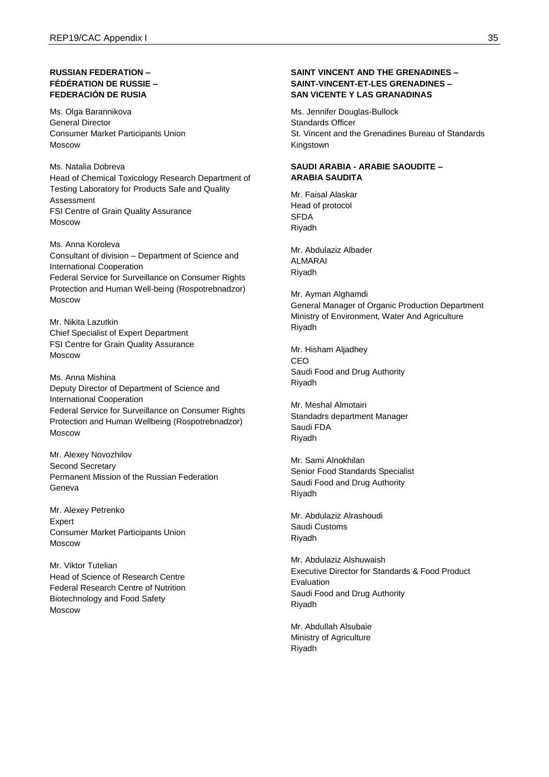## **RUSSIAN FEDERATION – FÉDÉRATION DE RUSSIE – FEDERACIÓN DE RUSIA**

Ms. Olga Barannikova General Director Consumer Market Participants Union Moscow

Ms. Natalia Dobreva Head of Chemical Toxicology Research Department of Testing Laboratory for Products Safe and Quality Assessment FSI Centre of Grain Quality Assurance Moscow

Ms. Anna Koroleva Consultant of division – Department of Science and International Cooperation Federal Service for Surveillance on Consumer Rights Protection and Human Well-being (Rospotrebnadzor) Moscow

Mr. Nikita Lazutkin Chief Specialist of Expert Department FSI Centre for Grain Quality Assurance Moscow

Ms. Anna Mishina Deputy Director of Department of Science and International Cooperation Federal Service for Surveillance on Consumer Rights Protection and Human Wellbeing (Rospotrebnadzor) Moscow

Mr. Alexey Novozhilov Second Secretary Permanent Mission of the Russian Federation Geneva

Mr. Alexey Petrenko Expert Consumer Market Participants Union Moscow

Mr. Viktor Tutelian Head of Science of Research Centre Federal Research Centre of Nutrition Biotechnology and Food Safety Moscow

## **SAINT VINCENT AND THE GRENADINES – SAINT-VINCENT-ET-LES GRENADINES – SAN VICENTE Y LAS GRANADINAS**

Ms. Jennifer Douglas-Bullock Standards Officer St. Vincent and the Grenadines Bureau of Standards Kingstown

## **SAUDI ARABIA - ARABIE SAOUDITE – ARABIA SAUDITA**

Mr. Faisal Alaskar Head of protocol SFDA Riyadh

Mr. Abdulaziz Albader ALMARAI Riyadh

Mr. Ayman Alghamdi General Manager of Organic Production Department Ministry of Environment, Water And Agriculture Riyadh

Mr. Hisham Aljadhey **CEO** Saudi Food and Drug Authority Riyadh

Mr. Meshal Almotairi Standadrs department Manager Saudi FDA Riyadh

Mr. Sami Alnokhilan Senior Food Standards Specialist Saudi Food and Drug Authority Riyadh

Mr. Abdulaziz Alrashoudi Saudi Customs Riyadh

Mr. Abdulaziz Alshuwaish Executive Director for Standards & Food Product Evaluation Saudi Food and Drug Authority Riyadh

Mr. Abdullah Alsubaie Ministry of Agriculture Riyadh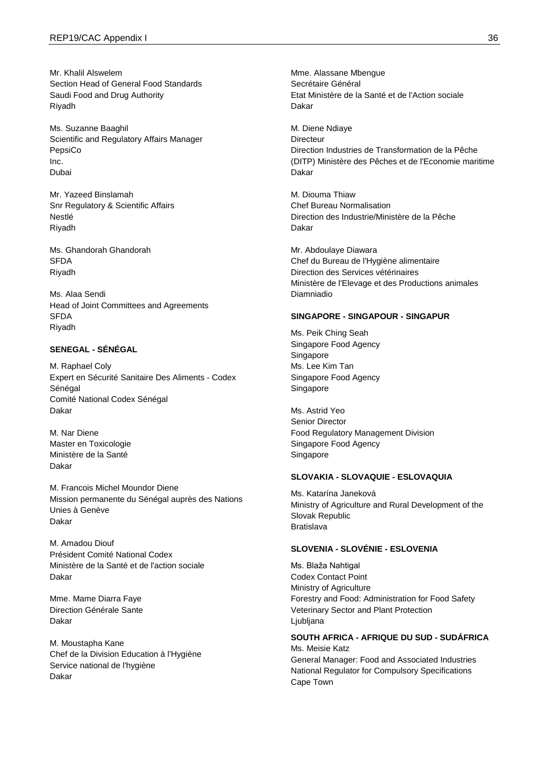Mr. Khalil Alswelem Section Head of General Food Standards Saudi Food and Drug Authority Riyadh

Ms. Suzanne Baaghil Scientific and Regulatory Affairs Manager PepsiCo Inc. Dubai

Mr. Yazeed Binslamah Snr Regulatory & Scientific Affairs Nestlé Riyadh

Ms. Ghandorah Ghandorah SFDA Riyadh

Ms. Alaa Sendi Head of Joint Committees and Agreements SFDA Riyadh

## **SENEGAL - SÉNÉGAL**

M. Raphael Coly Expert en Sécurité Sanitaire Des Aliments - Codex Sénégal Comité National Codex Sénégal Dakar

M. Nar Diene Master en Toxicologie Ministère de la Santé Dakar

M. Francois Michel Moundor Diene Mission permanente du Sénégal auprès des Nations Unies à Genève Dakar

M. Amadou Diouf Président Comité National Codex Ministère de la Santé et de l'action sociale Dakar

Mme. Mame Diarra Faye Direction Générale Sante Dakar

M. Moustapha Kane Chef de la Division Education à l'Hygiène Service national de l'hygiène Dakar

Mme. Alassane Mbengue Secrétaire Général Etat Ministère de la Santé et de l'Action sociale Dakar

M. Diene Ndiaye **Directeur** Direction Industries de Transformation de la Pêche (DITP) Ministère des Pêches et de l'Economie maritime Dakar

M. Diouma Thiaw Chef Bureau Normalisation Direction des Industrie/Ministère de la Pêche Dakar

Mr. Abdoulaye Diawara Chef du Bureau de l'Hygiène alimentaire Direction des Services vétérinaires Ministère de l'Elevage et des Productions animales Diamniadio

#### **SINGAPORE - SINGAPOUR - SINGAPUR**

Ms. Peik Ching Seah Singapore Food Agency Singapore Ms. Lee Kim Tan Singapore Food Agency Singapore

Ms. Astrid Yeo Senior Director Food Regulatory Management Division Singapore Food Agency Singapore

#### **SLOVAKIA - SLOVAQUIE - ESLOVAQUIA**

Ms. Katarína Janeková Ministry of Agriculture and Rural Development of the Slovak Republic Bratislava

## **SLOVENIA - SLOVÉNIE - ESLOVENIA**

Ms. Blaža Nahtigal Codex Contact Point Ministry of Agriculture Forestry and Food: Administration for Food Safety Veterinary Sector and Plant Protection Ljubljana

### **SOUTH AFRICA - AFRIQUE DU SUD - SUDÁFRICA**

Ms. Meisie Katz General Manager: Food and Associated Industries National Regulator for Compulsory Specifications Cape Town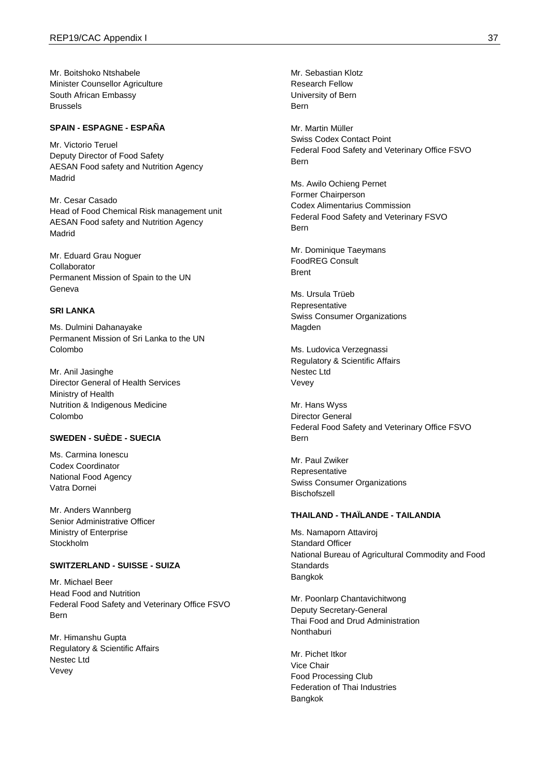Mr. Boitshoko Ntshabele Minister Counsellor Agriculture South African Embassy Brussels

### **SPAIN - ESPAGNE - ESPAÑA**

Mr. Victorio Teruel Deputy Director of Food Safety AESAN Food safety and Nutrition Agency Madrid

Mr. Cesar Casado Head of Food Chemical Risk management unit AESAN Food safety and Nutrition Agency Madrid

Mr. Eduard Grau Noguer Collaborator Permanent Mission of Spain to the UN Geneva

### **SRI LANKA**

Ms. Dulmini Dahanayake Permanent Mission of Sri Lanka to the UN Colombo

Mr. Anil Jasinghe Director General of Health Services Ministry of Health Nutrition & Indigenous Medicine Colombo

## **SWEDEN - SUÈDE - SUECIA**

Ms. Carmina Ionescu Codex Coordinator National Food Agency Vatra Dornei

Mr. Anders Wannberg Senior Administrative Officer Ministry of Enterprise Stockholm

#### **SWITZERLAND - SUISSE - SUIZA**

Mr. Michael Beer Head Food and Nutrition Federal Food Safety and Veterinary Office FSVO Bern

Mr. Himanshu Gupta Regulatory & Scientific Affairs Nestec Ltd Vevey

Mr. Sebastian Klotz Research Fellow University of Bern Bern

Mr. Martin Müller Swiss Codex Contact Point Federal Food Safety and Veterinary Office FSVO Bern

Ms. Awilo Ochieng Pernet Former Chairperson Codex Alimentarius Commission Federal Food Safety and Veterinary FSVO Bern

Mr. Dominique Taeymans FoodREG Consult Brent

Ms. Ursula Trüeb Representative Swiss Consumer Organizations Magden

Ms. Ludovica Verzegnassi Regulatory & Scientific Affairs Nestec Ltd Vevey

Mr. Hans Wyss Director General Federal Food Safety and Veterinary Office FSVO Bern

Mr. Paul Zwiker Representative Swiss Consumer Organizations Bischofszell

#### **THAILAND - THAÏLANDE - TAILANDIA**

Ms. Namaporn Attaviroj Standard Officer National Bureau of Agricultural Commodity and Food **Standards** Bangkok

Mr. Poonlarp Chantavichitwong Deputy Secretary-General Thai Food and Drud Administration **Nonthaburi** 

Mr. Pichet Itkor Vice Chair Food Processing Club Federation of Thai Industries Bangkok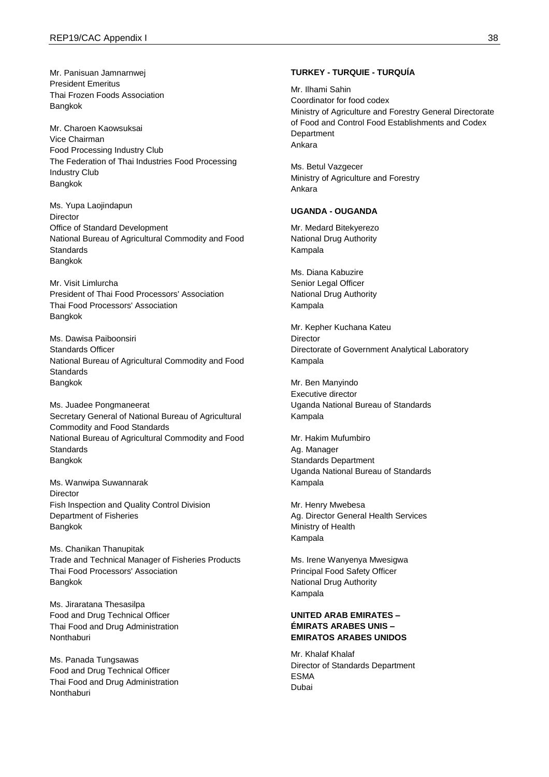Mr. Panisuan Jamnarnwej President Emeritus Thai Frozen Foods Association Bangkok

Mr. Charoen Kaowsuksai Vice Chairman Food Processing Industry Club The Federation of Thai Industries Food Processing Industry Club Bangkok

Ms. Yupa Laojindapun Director Office of Standard Development National Bureau of Agricultural Commodity and Food **Standards** Bangkok

Mr. Visit Limlurcha President of Thai Food Processors' Association Thai Food Processors' Association Bangkok

Ms. Dawisa Paiboonsiri Standards Officer National Bureau of Agricultural Commodity and Food **Standards** Bangkok

Ms. Juadee Pongmaneerat Secretary General of National Bureau of Agricultural Commodity and Food Standards National Bureau of Agricultural Commodity and Food **Standards** Bangkok

Ms. Wanwipa Suwannarak Director Fish Inspection and Quality Control Division Department of Fisheries Bangkok

Ms. Chanikan Thanupitak Trade and Technical Manager of Fisheries Products Thai Food Processors' Association Bangkok

Ms. Jiraratana Thesasilpa Food and Drug Technical Officer Thai Food and Drug Administration **Nonthaburi** 

Ms. Panada Tungsawas Food and Drug Technical Officer Thai Food and Drug Administration Nonthaburi

#### **TURKEY - TURQUIE - TURQUÍA**

Mr. Ilhami Sahin Coordinator for food codex Ministry of Agriculture and Forestry General Directorate of Food and Control Food Establishments and Codex **Department** Ankara

Ms. Betul Vazgecer Ministry of Agriculture and Forestry Ankara

### **UGANDA - OUGANDA**

Mr. Medard Bitekyerezo National Drug Authority Kampala

Ms. Diana Kabuzire Senior Legal Officer National Drug Authority Kampala

Mr. Kepher Kuchana Kateu **Director** Directorate of Government Analytical Laboratory Kampala

Mr. Ben Manyindo Executive director Uganda National Bureau of Standards Kampala

Mr. Hakim Mufumbiro Ag. Manager Standards Department Uganda National Bureau of Standards Kampala

Mr. Henry Mwebesa Ag. Director General Health Services Ministry of Health Kampala

Ms. Irene Wanyenya Mwesigwa Principal Food Safety Officer National Drug Authority Kampala

## **UNITED ARAB EMIRATES – ÉMIRATS ARABES UNIS – EMIRATOS ARABES UNIDOS**

Mr. Khalaf Khalaf Director of Standards Department ESMA Dubai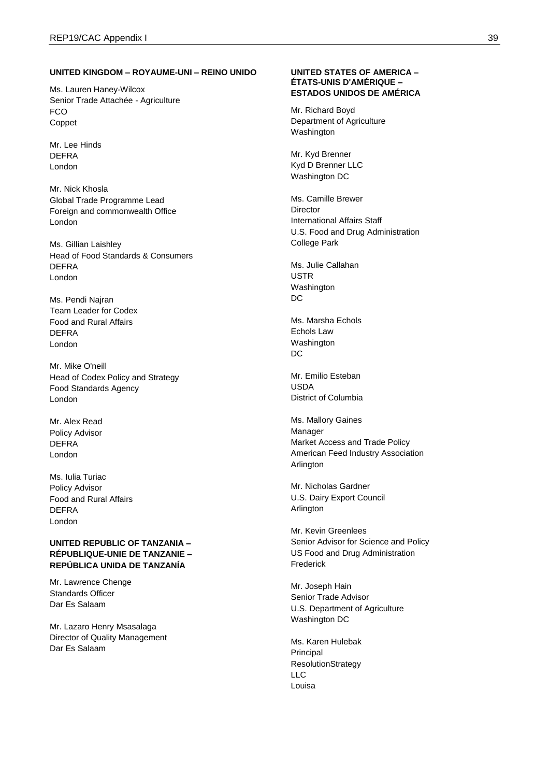#### **UNITED KINGDOM – ROYAUME-UNI – REINO UNIDO**

Ms. Lauren Haney-Wilcox Senior Trade Attachée - Agriculture FCO Coppet

Mr. Lee Hinds DEFRA London

Mr. Nick Khosla Global Trade Programme Lead Foreign and commonwealth Office London

Ms. Gillian Laishley Head of Food Standards & Consumers DEFRA London

Ms. Pendi Najran Team Leader for Codex Food and Rural Affairs DEFRA London

Mr. Mike O'neill Head of Codex Policy and Strategy Food Standards Agency London

Mr. Alex Read Policy Advisor DEFRA London

Ms. Iulia Turiac Policy Advisor Food and Rural Affairs DEFRA London

## **UNITED REPUBLIC OF TANZANIA – RÉPUBLIQUE-UNIE DE TANZANIE – REPÚBLICA UNIDA DE TANZANÍA**

Mr. Lawrence Chenge Standards Officer Dar Es Salaam

Mr. Lazaro Henry Msasalaga Director of Quality Management Dar Es Salaam

#### **UNITED STATES OF AMERICA – ÉTATS-UNIS D'AMÉRIQUE – ESTADOS UNIDOS DE AMÉRICA**

Mr. Richard Boyd Department of Agriculture Washington

Mr. Kyd Brenner Kyd D Brenner LLC Washington DC

Ms. Camille Brewer Director International Affairs Staff U.S. Food and Drug Administration College Park

Ms. Julie Callahan **USTR** Washington DC

Ms. Marsha Echols Echols Law Washington DC

Mr. Emilio Esteban USDA District of Columbia

Ms. Mallory Gaines Manager Market Access and Trade Policy American Feed Industry Association **Arlington** 

Mr. Nicholas Gardner U.S. Dairy Export Council Arlington

Mr. Kevin Greenlees Senior Advisor for Science and Policy US Food and Drug Administration Frederick

Mr. Joseph Hain Senior Trade Advisor U.S. Department of Agriculture Washington DC

Ms. Karen Hulebak Principal ResolutionStrategy LLC Louisa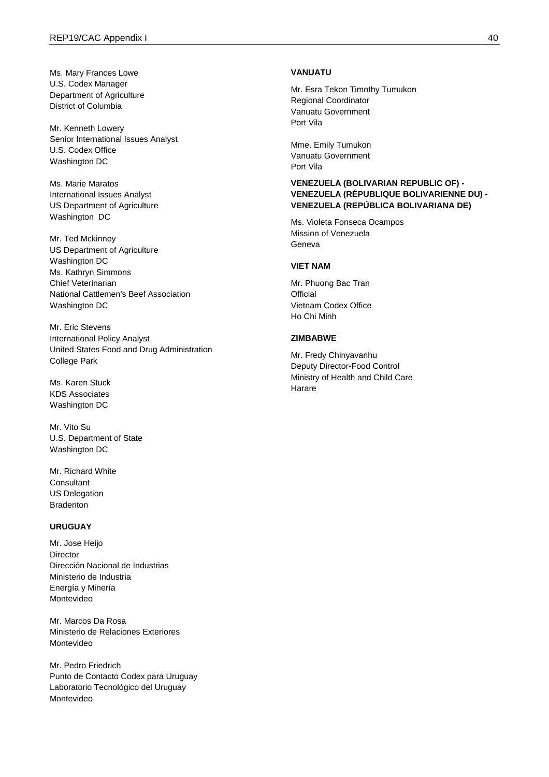Ms. Mary Frances Lowe U.S. Codex Manager Department of Agriculture District of Columbia

Mr. Kenneth Lowery Senior International Issues Analyst U.S. Codex Office Washington DC

Ms. Marie Maratos International Issues Analyst US Department of Agriculture Washington DC

Mr. Ted Mckinney US Department of Agriculture Washington DC Ms. Kathryn Simmons Chief Veterinarian National Cattlemen's Beef Association Washington DC

Mr. Eric Stevens International Policy Analyst United States Food and Drug Administration College Park

Ms. Karen Stuck KDS Associates Washington DC

Mr. Vito Su U.S. Department of State Washington DC

Mr. Richard White **Consultant** US Delegation Bradenton

### **URUGUAY**

Mr. Jose Heijo Director Dirección Nacional de Industrias Ministerio de Industria Energía y Minería Montevideo

Mr. Marcos Da Rosa Ministerio de Relaciones Exteriores Montevideo

Mr. Pedro Friedrich Punto de Contacto Codex para Uruguay Laboratorio Tecnológico del Uruguay Montevideo

#### **VANUATU**

Mr. Esra Tekon Timothy Tumukon Regional Coordinator Vanuatu Government Port Vila

Mme. Emily Tumukon Vanuatu Government Port Vila

## **VENEZUELA (BOLIVARIAN REPUBLIC OF) - VENEZUELA (RÉPUBLIQUE BOLIVARIENNE DU) - VENEZUELA (REPÚBLICA BOLIVARIANA DE)**

Ms. Violeta Fonseca Ocampos Mission of Venezuela Geneva

#### **VIET NAM**

Mr. Phuong Bac Tran **Official** Vietnam Codex Office Ho Chi Minh

### **ZIMBABWE**

Mr. Fredy Chinyavanhu Deputy Director-Food Control Ministry of Health and Child Care Harare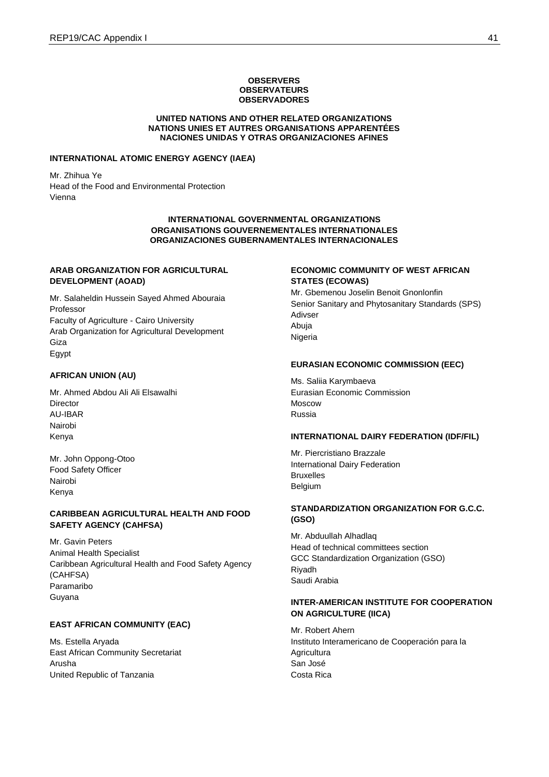#### **OBSERVERS OBSERVATEURS OBSERVADORES**

#### **UNITED NATIONS AND OTHER RELATED ORGANIZATIONS NATIONS UNIES ET AUTRES ORGANISATIONS APPARENTÉES NACIONES UNIDAS Y OTRAS ORGANIZACIONES AFINES**

#### **INTERNATIONAL ATOMIC ENERGY AGENCY (IAEA)**

Mr. Zhihua Ye Head of the Food and Environmental Protection Vienna

## **INTERNATIONAL GOVERNMENTAL ORGANIZATIONS ORGANISATIONS GOUVERNEMENTALES INTERNATIONALES ORGANIZACIONES GUBERNAMENTALES INTERNACIONALES**

### **ARAB ORGANIZATION FOR AGRICULTURAL DEVELOPMENT (AOAD)**

Mr. Salaheldin Hussein Sayed Ahmed Abouraia Professor Faculty of Agriculture - Cairo University Arab Organization for Agricultural Development Giza Egypt

#### **AFRICAN UNION (AU)**

Mr. Ahmed Abdou Ali Ali Elsawalhi **Director** AU-IBAR Nairobi Kenya

Mr. John Oppong-Otoo Food Safety Officer Nairobi Kenya

## **CARIBBEAN AGRICULTURAL HEALTH AND FOOD SAFETY AGENCY (CAHFSA)**

Mr. Gavin Peters Animal Health Specialist Caribbean Agricultural Health and Food Safety Agency (CAHFSA) Paramaribo Guyana

### **EAST AFRICAN COMMUNITY (EAC)**

Ms. Estella Aryada East African Community Secretariat Arusha United Republic of Tanzania

#### **ECONOMIC COMMUNITY OF WEST AFRICAN STATES (ECOWAS)**

Mr. Gbemenou Joselin Benoit Gnonlonfin Senior Sanitary and Phytosanitary Standards (SPS) Adivser Abuja Nigeria

#### **EURASIAN ECONOMIC COMMISSION (EEC)**

Ms. Saliia Karymbaeva Eurasian Economic Commission Moscow Russia

#### **INTERNATIONAL DAIRY FEDERATION (IDF/FIL)**

Mr. Piercristiano Brazzale International Dairy Federation Bruxelles Belgium

### **STANDARDIZATION ORGANIZATION FOR G.C.C. (GSO)**

Mr. Abduullah Alhadlaq Head of technical committees section GCC Standardization Organization (GSO) Riyadh Saudi Arabia

## **INTER-AMERICAN INSTITUTE FOR COOPERATION ON AGRICULTURE (IICA)**

Mr. Robert Ahern Instituto Interamericano de Cooperación para la **Agricultura** San José Costa Rica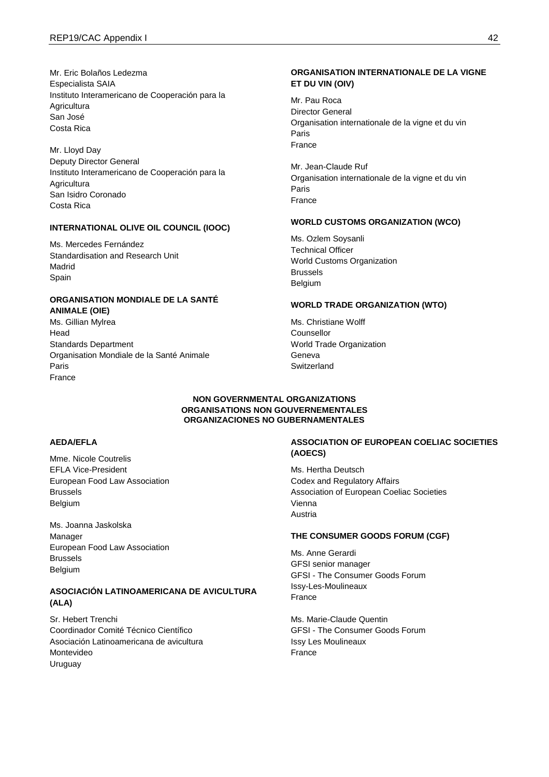Mr. Eric Bolaños Ledezma Especialista SAIA Instituto Interamericano de Cooperación para la **Agricultura** San José Costa Rica

Mr. Lloyd Day Deputy Director General Instituto Interamericano de Cooperación para la **Agricultura** San Isidro Coronado Costa Rica

## **INTERNATIONAL OLIVE OIL COUNCIL (IOOC)**

Ms. Mercedes Fernández Standardisation and Research Unit Madrid Spain

## **ORGANISATION MONDIALE DE LA SANTÉ ANIMALE (OIE)**

Ms. Gillian Mylrea Head Standards Department Organisation Mondiale de la Santé Animale Paris France

## **ORGANISATION INTERNATIONALE DE LA VIGNE ET DU VIN (OIV)**

Mr. Pau Roca Director General Organisation internationale de la vigne et du vin Paris France

Mr. Jean-Claude Ruf Organisation internationale de la vigne et du vin Paris France

#### **WORLD CUSTOMS ORGANIZATION (WCO)**

Ms. Ozlem Soysanli Technical Officer World Customs Organization Brussels Belgium

#### **WORLD TRADE ORGANIZATION (WTO)**

Ms. Christiane Wolff Counsellor World Trade Organization Geneva Switzerland

## **NON GOVERNMENTAL ORGANIZATIONS ORGANISATIONS NON GOUVERNEMENTALES ORGANIZACIONES NO GUBERNAMENTALES**

## **AEDA/EFLA**

Mme. Nicole Coutrelis EFLA Vice-President European Food Law Association Brussels Belgium

Ms. Joanna Jaskolska Manager European Food Law Association Brussels Belgium

## **ASOCIACIÓN LATINOAMERICANA DE AVICULTURA (ALA)**

Sr. Hebert Trenchi Coordinador Comité Técnico Científico Asociación Latinoamericana de avicultura Montevideo Uruguay

## **ASSOCIATION OF EUROPEAN COELIAC SOCIETIES (AOECS)**

Ms. Hertha Deutsch Codex and Regulatory Affairs Association of European Coeliac Societies Vienna Austria

#### **THE CONSUMER GOODS FORUM (CGF)**

Ms. Anne Gerardi GFSI senior manager GFSI - The Consumer Goods Forum Issy-Les-Moulineaux France

Ms. Marie-Claude Quentin GFSI - The Consumer Goods Forum Issy Les Moulineaux France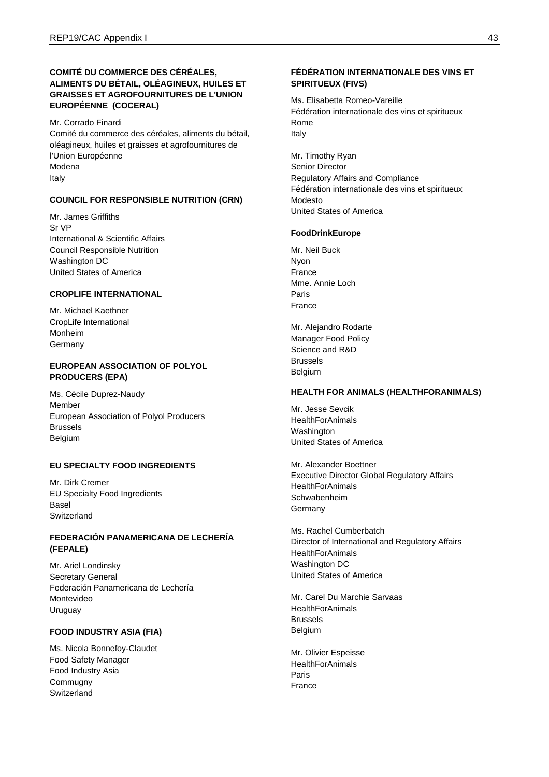## **COMITÉ DU COMMERCE DES CÉRÉALES, ALIMENTS DU BÉTAIL, OLÉAGINEUX, HUILES ET GRAISSES ET AGROFOURNITURES DE L'UNION EUROPÉENNE (COCERAL)**

Mr. Corrado Finardi Comité du commerce des céréales, aliments du bétail, oléagineux, huiles et graisses et agrofournitures de l'Union Européenne Modena Italy

## **COUNCIL FOR RESPONSIBLE NUTRITION (CRN)**

Mr. James Griffiths Sr VP International & Scientific Affairs Council Responsible Nutrition Washington DC United States of America

### **CROPLIFE INTERNATIONAL**

Mr. Michael Kaethner CropLife International Monheim Germany

## **EUROPEAN ASSOCIATION OF POLYOL PRODUCERS (EPA)**

Ms. Cécile Duprez-Naudy Member European Association of Polyol Producers Brussels Belgium

### **EU SPECIALTY FOOD INGREDIENTS**

Mr. Dirk Cremer EU Specialty Food Ingredients Basel **Switzerland** 

### **FEDERACIÓN PANAMERICANA DE LECHERÍA (FEPALE)**

Mr. Ariel Londinsky Secretary General Federación Panamericana de Lechería Montevideo Uruguay

### **FOOD INDUSTRY ASIA (FIA)**

Ms. Nicola Bonnefoy-Claudet Food Safety Manager Food Industry Asia **Commugny Switzerland** 

### **FÉDÉRATION INTERNATIONALE DES VINS ET SPIRITUEUX (FIVS)**

Ms. Elisabetta Romeo-Vareille Fédération internationale des vins et spiritueux Rome Italy

Mr. Timothy Ryan Senior Director Regulatory Affairs and Compliance Fédération internationale des vins et spiritueux Modesto United States of America

#### **FoodDrinkEurope**

Mr. Neil Buck Nyon France Mme. Annie Loch Paris France

Mr. Alejandro Rodarte Manager Food Policy Science and R&D Brussels Belgium

### **HEALTH FOR ANIMALS (HEALTHFORANIMALS)**

Mr. Jesse Sevcik **HealthForAnimals** Washington United States of America

Mr. Alexander Boettner Executive Director Global Regulatory Affairs **HealthForAnimals** Schwabenheim Germany

Ms. Rachel Cumberbatch Director of International and Regulatory Affairs **HealthForAnimals** Washington DC United States of America

Mr. Carel Du Marchie Sarvaas **HealthForAnimals** Brussels Belgium

Mr. Olivier Espeisse **HealthForAnimals** Paris France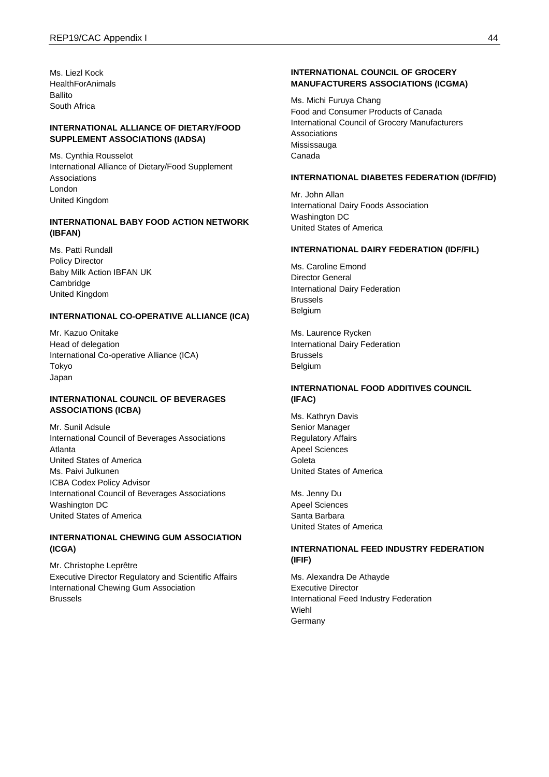Ms. Liezl Kock **HealthForAnimals** Ballito South Africa

### **INTERNATIONAL ALLIANCE OF DIETARY/FOOD SUPPLEMENT ASSOCIATIONS (IADSA)**

Ms. Cynthia Rousselot International Alliance of Dietary/Food Supplement Associations London United Kingdom

## **INTERNATIONAL BABY FOOD ACTION NETWORK (IBFAN)**

Ms. Patti Rundall Policy Director Baby Milk Action IBFAN UK Cambridge United Kingdom

#### **INTERNATIONAL CO-OPERATIVE ALLIANCE (ICA)**

Mr. Kazuo Onitake Head of delegation International Co-operative Alliance (ICA) Tokyo Japan

### **INTERNATIONAL COUNCIL OF BEVERAGES ASSOCIATIONS (ICBA)**

Mr. Sunil Adsule International Council of Beverages Associations Atlanta United States of America Ms. Paivi Julkunen ICBA Codex Policy Advisor International Council of Beverages Associations Washington DC United States of America

### **INTERNATIONAL CHEWING GUM ASSOCIATION (ICGA)**

Mr. Christophe Leprêtre Executive Director Regulatory and Scientific Affairs International Chewing Gum Association Brussels

### **INTERNATIONAL COUNCIL OF GROCERY MANUFACTURERS ASSOCIATIONS (ICGMA)**

Ms. Michi Furuya Chang Food and Consumer Products of Canada International Council of Grocery Manufacturers Associations Mississauga Canada

### **INTERNATIONAL DIABETES FEDERATION (IDF/FID)**

Mr. John Allan International Dairy Foods Association Washington DC United States of America

#### **INTERNATIONAL DAIRY FEDERATION (IDF/FIL)**

Ms. Caroline Emond Director General International Dairy Federation Brussels Belgium

Ms. Laurence Rycken International Dairy Federation Brussels Belgium

## **INTERNATIONAL FOOD ADDITIVES COUNCIL (IFAC)**

Ms. Kathryn Davis Senior Manager Regulatory Affairs Apeel Sciences Goleta United States of America

Ms. Jenny Du Apeel Sciences Santa Barbara United States of America

## **INTERNATIONAL FEED INDUSTRY FEDERATION (IFIF)**

Ms. Alexandra De Athayde Executive Director International Feed Industry Federation Wiehl **Germany**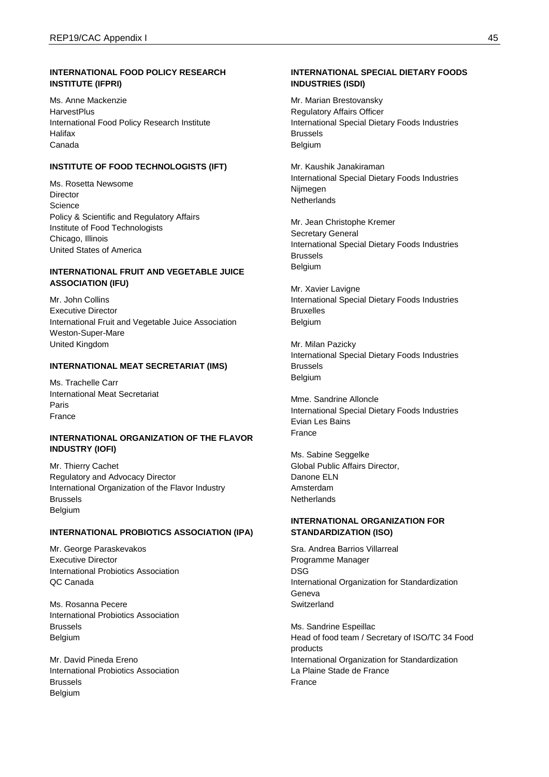### **INTERNATIONAL FOOD POLICY RESEARCH INSTITUTE (IFPRI)**

Ms. Anne Mackenzie **HarvestPlus** International Food Policy Research Institute Halifax Canada

## **INSTITUTE OF FOOD TECHNOLOGISTS (IFT)**

Ms. Rosetta Newsome **Director Science** Policy & Scientific and Regulatory Affairs Institute of Food Technologists Chicago, Illinois United States of America

## **INTERNATIONAL FRUIT AND VEGETABLE JUICE ASSOCIATION (IFU)**

Mr. John Collins Executive Director International Fruit and Vegetable Juice Association Weston-Super-Mare United Kingdom

## **INTERNATIONAL MEAT SECRETARIAT (IMS)**

Ms. Trachelle Carr International Meat Secretariat Paris France

#### **INTERNATIONAL ORGANIZATION OF THE FLAVOR INDUSTRY (IOFI)**

Mr. Thierry Cachet Regulatory and Advocacy Director International Organization of the Flavor Industry Brussels Belgium

## **INTERNATIONAL PROBIOTICS ASSOCIATION (IPA)**

Mr. George Paraskevakos Executive Director International Probiotics Association QC Canada

Ms. Rosanna Pecere International Probiotics Association Brussels Belgium

Mr. David Pineda Ereno International Probiotics Association Brussels Belgium

### **INTERNATIONAL SPECIAL DIETARY FOODS INDUSTRIES (ISDI)**

Mr. Marian Brestovansky Regulatory Affairs Officer International Special Dietary Foods Industries Brussels Belgium

Mr. Kaushik Janakiraman International Special Dietary Foods Industries Nijmegen **Netherlands** 

Mr. Jean Christophe Kremer Secretary General International Special Dietary Foods Industries Brussels Belgium

Mr. Xavier Lavigne International Special Dietary Foods Industries Bruxelles Belgium

Mr. Milan Pazicky International Special Dietary Foods Industries Brussels Belgium

Mme. Sandrine Alloncle International Special Dietary Foods Industries Evian Les Bains France

Ms. Sabine Seggelke Global Public Affairs Director, Danone ELN Amsterdam **Netherlands** 

## **INTERNATIONAL ORGANIZATION FOR STANDARDIZATION (ISO)**

Sra. Andrea Barrios Villarreal Programme Manager DSG International Organization for Standardization Geneva Switzerland

Ms. Sandrine Espeillac Head of food team / Secretary of ISO/TC 34 Food products International Organization for Standardization La Plaine Stade de France France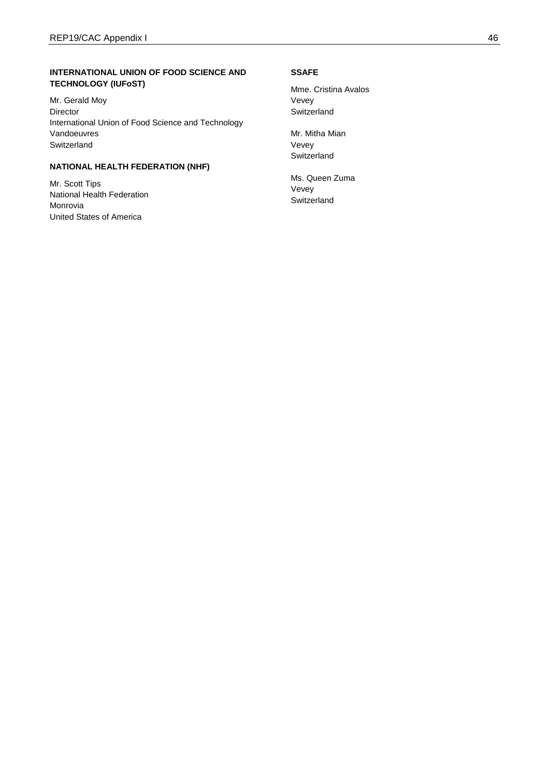## **INTERNATIONAL UNION OF FOOD SCIENCE AND TECHNOLOGY (IUFoST)**

Mr. Gerald Moy Director International Union of Food Science and Technology Vandoeuvres Switzerland

## **NATIONAL HEALTH FEDERATION (NHF)**

Mr. Scott Tips National Health Federation Monrovia United States of America

#### **SSAFE**

Mme. Cristina Avalos Vevey Switzerland

Mr. Mitha Mian Vevey Switzerland

Ms. Queen Zuma Vevey Switzerland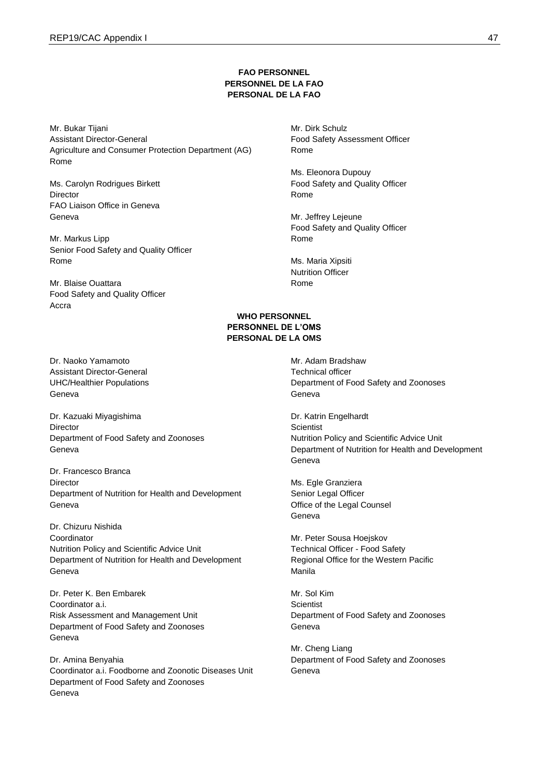### **FAO PERSONNEL PERSONNEL DE LA FAO PERSONAL DE LA FAO**

Mr. Bukar Tijani Assistant Director-General Agriculture and Consumer Protection Department (AG) Rome

Ms. Carolyn Rodrigues Birkett **Director** FAO Liaison Office in Geneva Geneva

Mr. Markus Lipp Senior Food Safety and Quality Officer Rome

Mr. Blaise Ouattara Food Safety and Quality Officer Accra

Dr. Naoko Yamamoto Assistant Director-General UHC/Healthier Populations Geneva

Dr. Kazuaki Miyagishima **Director** Department of Food Safety and Zoonoses Geneva

Dr. Francesco Branca Director Department of Nutrition for Health and Development Geneva

Dr. Chizuru Nishida Coordinator Nutrition Policy and Scientific Advice Unit Department of Nutrition for Health and Development Geneva

Dr. Peter K. Ben Embarek Coordinator a.i. Risk Assessment and Management Unit Department of Food Safety and Zoonoses Geneva

Dr. Amina Benyahia Coordinator a.i. Foodborne and Zoonotic Diseases Unit Department of Food Safety and Zoonoses Geneva

Mr. Dirk Schulz Food Safety Assessment Officer Rome

Ms. Eleonora Dupouy Food Safety and Quality Officer Rome

Mr. Jeffrey Lejeune Food Safety and Quality Officer Rome

Ms. Maria Xipsiti Nutrition Officer Rome

### **WHO PERSONNEL PERSONNEL DE L'OMS PERSONAL DE LA OMS**

Mr. Adam Bradshaw Technical officer Department of Food Safety and Zoonoses Geneva

Dr. Katrin Engelhardt **Scientist** Nutrition Policy and Scientific Advice Unit Department of Nutrition for Health and Development Geneva

Ms. Egle Granziera Senior Legal Officer Office of the Legal Counsel Geneva

Mr. Peter Sousa Hoejskov Technical Officer - Food Safety Regional Office for the Western Pacific Manila

Mr. Sol Kim **Scientist** Department of Food Safety and Zoonoses Geneva

Mr. Cheng Liang Department of Food Safety and Zoonoses Geneva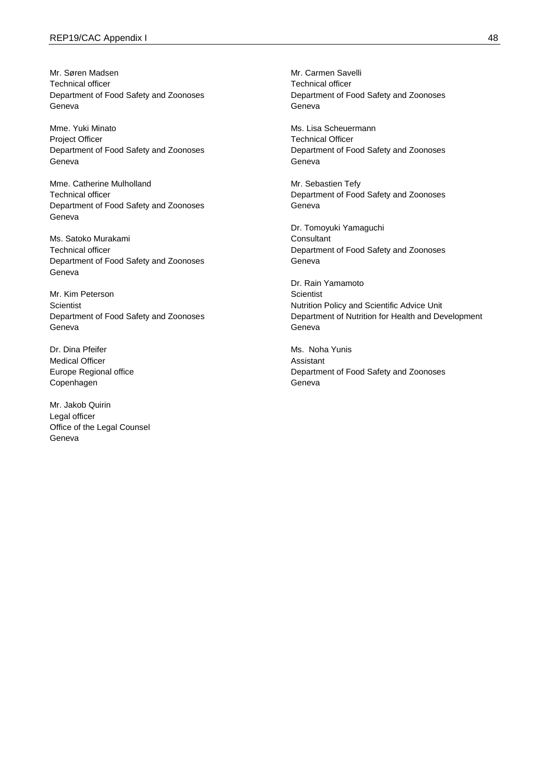Mr. Søren Madsen Technical officer Department of Food Safety and Zoonoses Geneva

Mme. Yuki Minato Project Officer Department of Food Safety and Zoonoses Geneva

Mme. Catherine Mulholland Technical officer Department of Food Safety and Zoonoses Geneva

Ms. Satoko Murakami Technical officer Department of Food Safety and Zoonoses Geneva

Mr. Kim Peterson **Scientist** Department of Food Safety and Zoonoses Geneva

Dr. Dina Pfeifer Medical Officer Europe Regional office Copenhagen

Mr. Jakob Quirin Legal officer Office of the Legal Counsel Geneva

Mr. Carmen Savelli Technical officer Department of Food Safety and Zoonoses Geneva

Ms. Lisa Scheuermann Technical Officer Department of Food Safety and Zoonoses Geneva

Mr. Sebastien Tefy Department of Food Safety and Zoonoses Geneva

Dr. Tomoyuki Yamaguchi **Consultant** Department of Food Safety and Zoonoses Geneva

Dr. Rain Yamamoto **Scientist** Nutrition Policy and Scientific Advice Unit Department of Nutrition for Health and Development Geneva

Ms. Noha Yunis Assistant Department of Food Safety and Zoonoses Geneva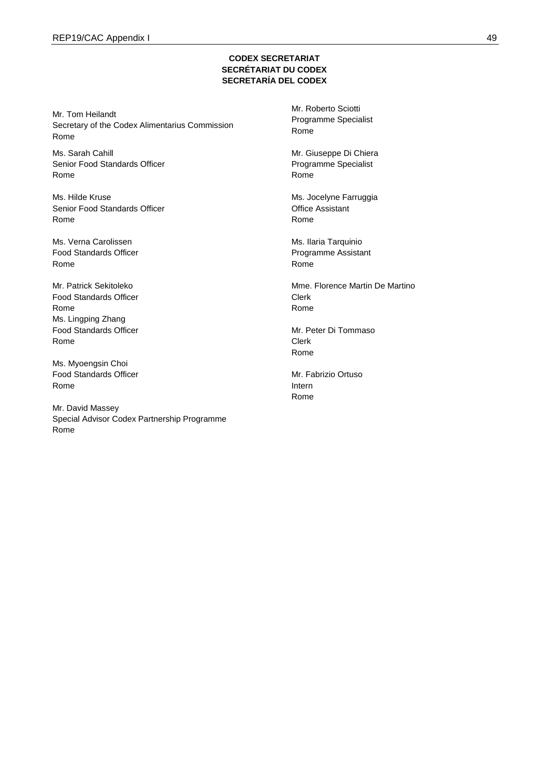## **CODEX SECRETARIAT SECRÉTARIAT DU CODEX SECRETARÍA DEL CODEX**

Mr. Tom Heilandt Secretary of the Codex Alimentarius Commission Rome

Ms. Sarah Cahill Senior Food Standards Officer Rome

Ms. Hilde Kruse Senior Food Standards Officer Rome

Ms. Verna Carolissen Food Standards Officer Rome

Mr. Patrick Sekitoleko Food Standards Officer Rome Ms. Lingping Zhang Food Standards Officer Rome

Ms. Myoengsin Choi Food Standards Officer Rome

Mr. David Massey Special Advisor Codex Partnership Programme Rome

Mr. Roberto Sciotti Programme Specialist Rome

Mr. Giuseppe Di Chiera Programme Specialist Rome

Ms. Jocelyne Farruggia Office Assistant Rome

Ms. Ilaria Tarquinio Programme Assistant Rome

Mme. Florence Martin De Martino Clerk Rome

Mr. Peter Di Tommaso Clerk Rome

Mr. Fabrizio Ortuso Intern Rome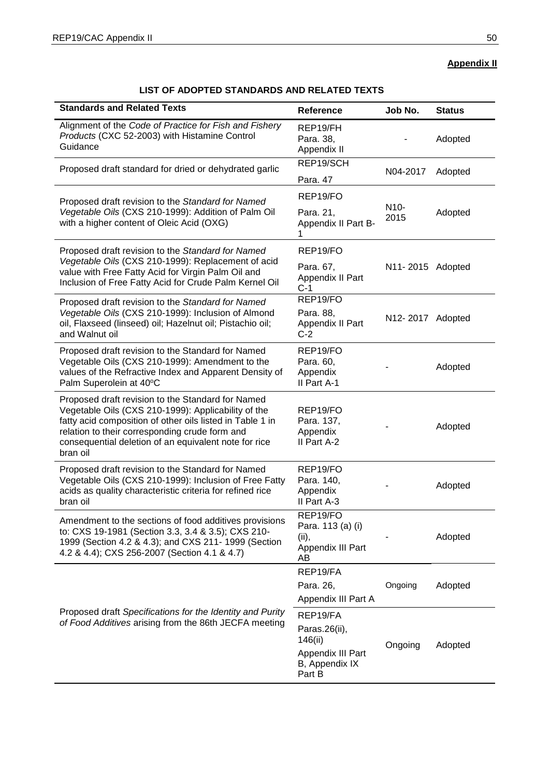## **Appendix II**

# **LIST OF ADOPTED STANDARDS AND RELATED TEXTS**

| <b>Standards and Related Texts</b>                                                                                                                                                                                                                                                           | <b>Reference</b>                                                  | Job No.                   | <b>Status</b> |
|----------------------------------------------------------------------------------------------------------------------------------------------------------------------------------------------------------------------------------------------------------------------------------------------|-------------------------------------------------------------------|---------------------------|---------------|
| Alignment of the Code of Practice for Fish and Fishery<br>Products (CXC 52-2003) with Histamine Control<br>Guidance                                                                                                                                                                          | REP19/FH<br>Para. 38,<br>Appendix II                              |                           | Adopted       |
| Proposed draft standard for dried or dehydrated garlic                                                                                                                                                                                                                                       | REP19/SCH<br>Para. 47                                             | N04-2017                  | Adopted       |
| Proposed draft revision to the Standard for Named                                                                                                                                                                                                                                            | REP19/FO                                                          |                           |               |
| Vegetable Oils (CXS 210-1999): Addition of Palm Oil<br>with a higher content of Oleic Acid (OXG)                                                                                                                                                                                             | Para. 21,<br>Appendix II Part B-<br>1                             | N <sub>10</sub> -<br>2015 | Adopted       |
| Proposed draft revision to the Standard for Named                                                                                                                                                                                                                                            | REP19/FO                                                          |                           |               |
| Vegetable Oils (CXS 210-1999): Replacement of acid<br>value with Free Fatty Acid for Virgin Palm Oil and<br>Inclusion of Free Fatty Acid for Crude Palm Kernel Oil                                                                                                                           | Para. 67,<br>Appendix II Part<br>$C-1$                            | N11-2015 Adopted          |               |
| Proposed draft revision to the Standard for Named<br>Vegetable Oils (CXS 210-1999): Inclusion of Almond<br>oil, Flaxseed (linseed) oil; Hazelnut oil; Pistachio oil;<br>and Walnut oil                                                                                                       | REP19/FO<br>Para. 88,<br>Appendix II Part<br>$C-2$                | N12-2017 Adopted          |               |
| Proposed draft revision to the Standard for Named<br>Vegetable Oils (CXS 210-1999): Amendment to the<br>values of the Refractive Index and Apparent Density of<br>Palm Superolein at 40°C                                                                                                    | REP19/FO<br>Para. 60,<br>Appendix<br>II Part A-1                  |                           | Adopted       |
| Proposed draft revision to the Standard for Named<br>Vegetable Oils (CXS 210-1999): Applicability of the<br>fatty acid composition of other oils listed in Table 1 in<br>relation to their corresponding crude form and<br>consequential deletion of an equivalent note for rice<br>bran oil | REP19/FO<br>Para. 137,<br>Appendix<br>II Part A-2                 |                           | Adopted       |
| Proposed draft revision to the Standard for Named<br>Vegetable Oils (CXS 210-1999): Inclusion of Free Fatty<br>acids as quality characteristic criteria for refined rice<br>bran oil                                                                                                         | REP19/FO<br>Para. 140,<br>Appendix<br>II Part A-3                 |                           | Adopted       |
| Amendment to the sections of food additives provisions<br>to: CXS 19-1981 (Section 3.3, 3.4 & 3.5); CXS 210-<br>1999 (Section 4.2 & 4.3); and CXS 211- 1999 (Section<br>4.2 & 4.4); CXS 256-2007 (Section 4.1 & 4.7)                                                                         | REP19/FO<br>Para. 113 (a) (i)<br>(ii),<br>Appendix III Part<br>AВ |                           | Adopted       |
|                                                                                                                                                                                                                                                                                              | REP19/FA                                                          |                           |               |
|                                                                                                                                                                                                                                                                                              | Para. 26,<br>Appendix III Part A                                  | Ongoing                   | Adopted       |
| Proposed draft Specifications for the Identity and Purity                                                                                                                                                                                                                                    | REP19/FA                                                          |                           |               |
| of Food Additives arising from the 86th JECFA meeting                                                                                                                                                                                                                                        | Paras.26(ii),<br>146(ii)<br>Appendix III Part<br>B, Appendix IX   | Ongoing                   | Adopted       |
|                                                                                                                                                                                                                                                                                              | Part B                                                            |                           |               |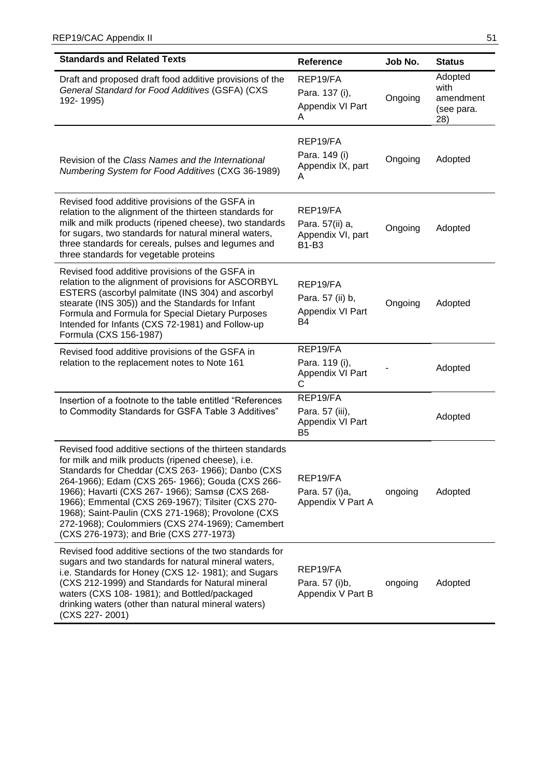| <b>Standards and Related Texts</b>                                                                                                                                                                                                                                                                                                                                                                                                                                                   | <b>Reference</b>                                                  | Job No. | <b>Status</b>                                     |
|--------------------------------------------------------------------------------------------------------------------------------------------------------------------------------------------------------------------------------------------------------------------------------------------------------------------------------------------------------------------------------------------------------------------------------------------------------------------------------------|-------------------------------------------------------------------|---------|---------------------------------------------------|
| Draft and proposed draft food additive provisions of the<br>General Standard for Food Additives (GSFA) (CXS<br>192-1995)                                                                                                                                                                                                                                                                                                                                                             | REP19/FA<br>Para. 137 (i),<br>Appendix VI Part<br>A               | Ongoing | Adopted<br>with<br>amendment<br>(see para.<br>28) |
| Revision of the Class Names and the International<br>Numbering System for Food Additives (CXG 36-1989)                                                                                                                                                                                                                                                                                                                                                                               | REP19/FA<br>Para. 149 (i)<br>Appendix IX, part<br>A               | Ongoing | Adopted                                           |
| Revised food additive provisions of the GSFA in<br>relation to the alignment of the thirteen standards for<br>milk and milk products (ripened cheese), two standards<br>for sugars, two standards for natural mineral waters,<br>three standards for cereals, pulses and legumes and<br>three standards for vegetable proteins                                                                                                                                                       | REP19/FA<br>Para. 57(ii) a,<br>Appendix VI, part<br><b>B1-B3</b>  | Ongoing | Adopted                                           |
| Revised food additive provisions of the GSFA in<br>relation to the alignment of provisions for ASCORBYL<br>ESTERS (ascorbyl palmitate (INS 304) and ascorbyl<br>stearate (INS 305)) and the Standards for Infant<br>Formula and Formula for Special Dietary Purposes<br>Intended for Infants (CXS 72-1981) and Follow-up<br>Formula (CXS 156-1987)                                                                                                                                   | REP19/FA<br>Para. 57 (ii) b,<br>Appendix VI Part<br>B4            | Ongoing | Adopted                                           |
| Revised food additive provisions of the GSFA in<br>relation to the replacement notes to Note 161                                                                                                                                                                                                                                                                                                                                                                                     | REP19/FA<br>Para. 119 (i),<br>Appendix VI Part<br>С               |         | Adopted                                           |
| Insertion of a footnote to the table entitled "References<br>to Commodity Standards for GSFA Table 3 Additives"                                                                                                                                                                                                                                                                                                                                                                      | REP19/FA<br>Para. 57 (iii),<br>Appendix VI Part<br>B <sub>5</sub> |         | Adopted                                           |
| Revised food additive sections of the thirteen standards<br>for milk and milk products (ripened cheese), i.e.<br>Standards for Cheddar (CXS 263- 1966); Danbo (CXS<br>264-1966); Edam (CXS 265- 1966); Gouda (CXS 266-<br>1966); Havarti (CXS 267- 1966); Samsø (CXS 268-<br>1966); Emmental (CXS 269-1967); Tilsiter (CXS 270-<br>1968); Saint-Paulin (CXS 271-1968); Provolone (CXS<br>272-1968); Coulommiers (CXS 274-1969); Camembert<br>(CXS 276-1973); and Brie (CXS 277-1973) | REP19/FA<br>Para. 57 (i)a,<br>Appendix V Part A                   | ongoing | Adopted                                           |
| Revised food additive sections of the two standards for<br>sugars and two standards for natural mineral waters,<br>i.e. Standards for Honey (CXS 12-1981); and Sugars<br>(CXS 212-1999) and Standards for Natural mineral<br>waters (CXS 108-1981); and Bottled/packaged<br>drinking waters (other than natural mineral waters)<br>(CXS 227-2001)                                                                                                                                    | REP19/FA<br>Para. 57 (i)b,<br>Appendix V Part B                   | ongoing | Adopted                                           |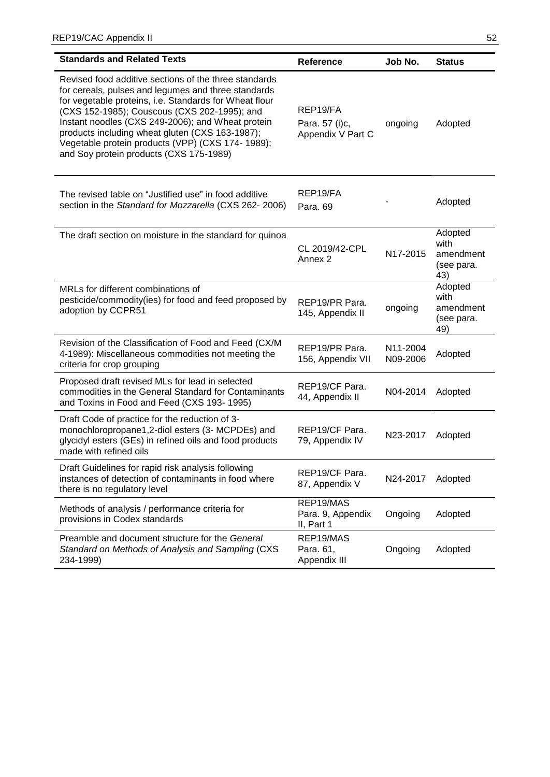| <b>Standards and Related Texts</b>                                                                                                                                                                                                                                                                                                                                                                                             | <b>Reference</b>                                | Job No.              | <b>Status</b>                                     |
|--------------------------------------------------------------------------------------------------------------------------------------------------------------------------------------------------------------------------------------------------------------------------------------------------------------------------------------------------------------------------------------------------------------------------------|-------------------------------------------------|----------------------|---------------------------------------------------|
| Revised food additive sections of the three standards<br>for cereals, pulses and legumes and three standards<br>for vegetable proteins, i.e. Standards for Wheat flour<br>(CXS 152-1985); Couscous (CXS 202-1995); and<br>Instant noodles (CXS 249-2006); and Wheat protein<br>products including wheat gluten (CXS 163-1987);<br>Vegetable protein products (VPP) (CXS 174- 1989);<br>and Soy protein products (CXS 175-1989) | REP19/FA<br>Para. 57 (i)c,<br>Appendix V Part C | ongoing              | Adopted                                           |
| The revised table on "Justified use" in food additive<br>section in the Standard for Mozzarella (CXS 262- 2006)                                                                                                                                                                                                                                                                                                                | REP19/FA<br>Para. 69                            |                      | Adopted                                           |
| The draft section on moisture in the standard for quinoa                                                                                                                                                                                                                                                                                                                                                                       | CL 2019/42-CPL<br>Annex <sub>2</sub>            | N17-2015             | Adopted<br>with<br>amendment<br>(see para.<br>43) |
| MRLs for different combinations of<br>pesticide/commodity(ies) for food and feed proposed by<br>adoption by CCPR51                                                                                                                                                                                                                                                                                                             | REP19/PR Para.<br>145, Appendix II              | ongoing              | Adopted<br>with<br>amendment<br>(see para.<br>49) |
| Revision of the Classification of Food and Feed (CX/M<br>4-1989): Miscellaneous commodities not meeting the<br>criteria for crop grouping                                                                                                                                                                                                                                                                                      | REP19/PR Para.<br>156, Appendix VII             | N11-2004<br>N09-2006 | Adopted                                           |
| Proposed draft revised MLs for lead in selected<br>commodities in the General Standard for Contaminants<br>and Toxins in Food and Feed (CXS 193-1995)                                                                                                                                                                                                                                                                          | REP19/CF Para.<br>44, Appendix II               | N04-2014             | Adopted                                           |
| Draft Code of practice for the reduction of 3-<br>monochloropropane1,2-diol esters (3- MCPDEs) and<br>glycidyl esters (GEs) in refined oils and food products<br>made with refined oils                                                                                                                                                                                                                                        | REP19/CF Para.<br>79, Appendix IV               | N23-2017             | Adopted                                           |
| Draft Guidelines for rapid risk analysis following<br>instances of detection of contaminants in food where<br>there is no regulatory level                                                                                                                                                                                                                                                                                     | REP19/CF Para.<br>87, Appendix V                | N24-2017             | Adopted                                           |
| Methods of analysis / performance criteria for<br>provisions in Codex standards                                                                                                                                                                                                                                                                                                                                                | REP19/MAS<br>Para. 9, Appendix<br>II, Part 1    | Ongoing              | Adopted                                           |
| Preamble and document structure for the General<br>Standard on Methods of Analysis and Sampling (CXS<br>234-1999)                                                                                                                                                                                                                                                                                                              | REP19/MAS<br>Para. 61,<br>Appendix III          | Ongoing              | Adopted                                           |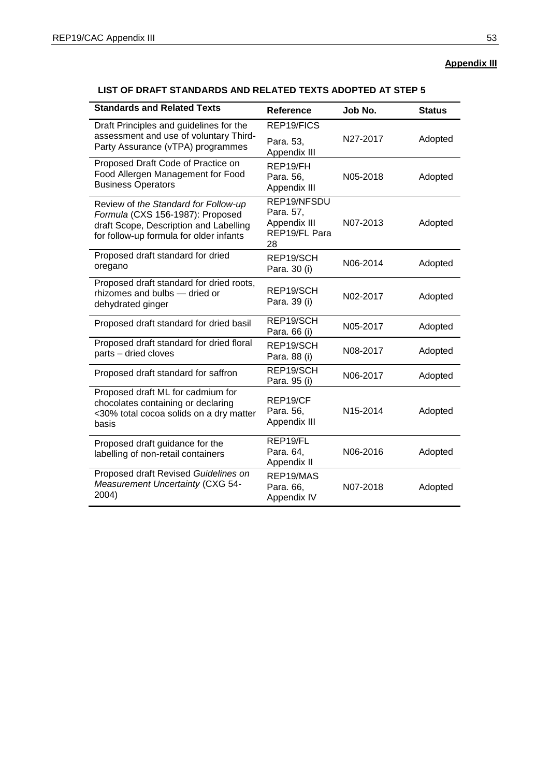# **Appendix III**

| <b>Standards and Related Texts</b>                                                                                                                            | Reference                                                       | Job No.               | <b>Status</b> |
|---------------------------------------------------------------------------------------------------------------------------------------------------------------|-----------------------------------------------------------------|-----------------------|---------------|
| Draft Principles and guidelines for the                                                                                                                       | REP19/FICS                                                      |                       |               |
| assessment and use of voluntary Third-<br>Party Assurance (vTPA) programmes                                                                                   | Para. 53,<br>Appendix III                                       | N27-2017              | Adopted       |
| Proposed Draft Code of Practice on<br>Food Allergen Management for Food<br><b>Business Operators</b>                                                          | REP19/FH<br>Para. 56,<br>Appendix III                           | N05-2018              | Adopted       |
| Review of the Standard for Follow-up<br>Formula (CXS 156-1987): Proposed<br>draft Scope, Description and Labelling<br>for follow-up formula for older infants | REP19/NFSDU<br>Para. 57,<br>Appendix III<br>REP19/FL Para<br>28 | N07-2013              | Adopted       |
| Proposed draft standard for dried<br>oregano                                                                                                                  | REP19/SCH<br>Para. 30 (i)                                       | N06-2014              | Adopted       |
| Proposed draft standard for dried roots,<br>rhizomes and bulbs - dried or<br>dehydrated ginger                                                                | REP19/SCH<br>Para. 39 (i)                                       | N02-2017              | Adopted       |
| Proposed draft standard for dried basil                                                                                                                       | REP19/SCH<br>Para. 66 (i)                                       | N05-2017              | Adopted       |
| Proposed draft standard for dried floral<br>parts - dried cloves                                                                                              | REP19/SCH<br>Para. 88 (i)                                       | N08-2017              | Adopted       |
| Proposed draft standard for saffron                                                                                                                           | REP19/SCH<br>Para. 95 (i)                                       | N06-2017              | Adopted       |
| Proposed draft ML for cadmium for<br>chocolates containing or declaring<br><30% total cocoa solids on a dry matter<br>basis                                   | REP19/CF<br>Para. 56,<br>Appendix III                           | N <sub>15</sub> -2014 | Adopted       |
| Proposed draft guidance for the<br>labelling of non-retail containers                                                                                         | REP19/FL<br>Para. 64,<br>Appendix II                            | N06-2016              | Adopted       |
| Proposed draft Revised Guidelines on<br>Measurement Uncertainty (CXG 54-<br>2004)                                                                             | REP19/MAS<br>Para. 66,<br>Appendix IV                           | N07-2018              | Adopted       |

# **LIST OF DRAFT STANDARDS AND RELATED TEXTS ADOPTED AT STEP 5**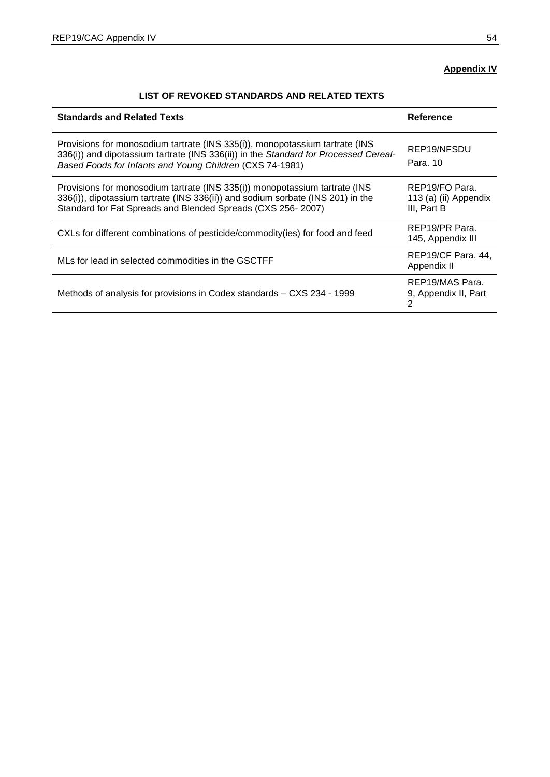# **Appendix IV**

# **LIST OF REVOKED STANDARDS AND RELATED TEXTS**

| <b>Standards and Related Texts</b>                                                                                                                                                                                               | Reference                                              |
|----------------------------------------------------------------------------------------------------------------------------------------------------------------------------------------------------------------------------------|--------------------------------------------------------|
| Provisions for monosodium tartrate (INS 335(i)), monopotassium tartrate (INS<br>336(i)) and dipotassium tartrate (INS 336(ii)) in the Standard for Processed Cereal-<br>Based Foods for Infants and Young Children (CXS 74-1981) | REP19/NFSDU<br>Para, 10                                |
| Provisions for monosodium tartrate (INS 335(i)) monopotassium tartrate (INS<br>336(i)), dipotassium tartrate (INS 336(ii)) and sodium sorbate (INS 201) in the<br>Standard for Fat Spreads and Blended Spreads (CXS 256-2007)    | REP19/FO Para.<br>113 (a) (ii) Appendix<br>III, Part B |
| CXLs for different combinations of pesticide/commodity(ies) for food and feed                                                                                                                                                    | REP19/PR Para.<br>145, Appendix III                    |
| MLs for lead in selected commodities in the GSCTFF                                                                                                                                                                               | REP19/CF Para. 44,<br>Appendix II                      |
| Methods of analysis for provisions in Codex standards - CXS 234 - 1999                                                                                                                                                           | REP19/MAS Para.<br>9, Appendix II, Part<br>2           |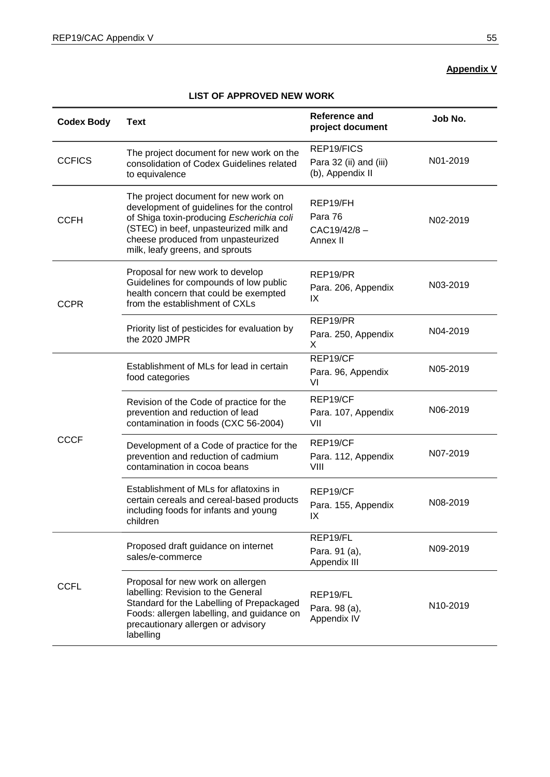# **Appendix V**

## **LIST OF APPROVED NEW WORK**

| <b>Codex Body</b> | <b>Text</b>                                                                                                                                                                                                                                       | <b>Reference and</b><br>project document                 | Job No.  |
|-------------------|---------------------------------------------------------------------------------------------------------------------------------------------------------------------------------------------------------------------------------------------------|----------------------------------------------------------|----------|
| <b>CCFICS</b>     | The project document for new work on the<br>consolidation of Codex Guidelines related<br>to equivalence                                                                                                                                           | REP19/FICS<br>Para 32 (ii) and (iii)<br>(b), Appendix II | N01-2019 |
| <b>CCFH</b>       | The project document for new work on<br>development of guidelines for the control<br>of Shiga toxin-producing Escherichia coli<br>(STEC) in beef, unpasteurized milk and<br>cheese produced from unpasteurized<br>milk, leafy greens, and sprouts | REP19/FH<br>Para 76<br>CAC19/42/8-<br>Annex II           | N02-2019 |
| <b>CCPR</b>       | Proposal for new work to develop<br>Guidelines for compounds of low public<br>health concern that could be exempted<br>from the establishment of CXLs                                                                                             | REP19/PR<br>Para. 206, Appendix<br>IX                    | N03-2019 |
|                   | Priority list of pesticides for evaluation by<br>the 2020 JMPR                                                                                                                                                                                    | REP19/PR<br>Para. 250, Appendix<br>X                     | N04-2019 |
| <b>CCCF</b>       | Establishment of MLs for lead in certain<br>food categories                                                                                                                                                                                       | REP19/CF<br>Para. 96, Appendix<br>VI                     | N05-2019 |
|                   | Revision of the Code of practice for the<br>prevention and reduction of lead<br>contamination in foods (CXC 56-2004)                                                                                                                              | REP19/CF<br>Para. 107, Appendix<br>VII                   | N06-2019 |
|                   | Development of a Code of practice for the<br>prevention and reduction of cadmium<br>contamination in cocoa beans                                                                                                                                  | REP19/CF<br>Para. 112, Appendix<br>VIII                  | N07-2019 |
|                   | Establishment of MLs for aflatoxins in<br>certain cereals and cereal-based products<br>including foods for infants and young<br>children                                                                                                          | REP19/CF<br>Para. 155, Appendix<br>IX.                   | N08-2019 |
|                   | Proposed draft guidance on internet<br>sales/e-commerce                                                                                                                                                                                           | REP19/FL<br>Para. 91 (a),<br>Appendix III                | N09-2019 |
| <b>CCFL</b>       | Proposal for new work on allergen<br>labelling: Revision to the General<br>Standard for the Labelling of Prepackaged<br>Foods: allergen labelling, and guidance on<br>precautionary allergen or advisory<br>labelling                             | REP19/FL<br>Para. 98 (a),<br>Appendix IV                 | N10-2019 |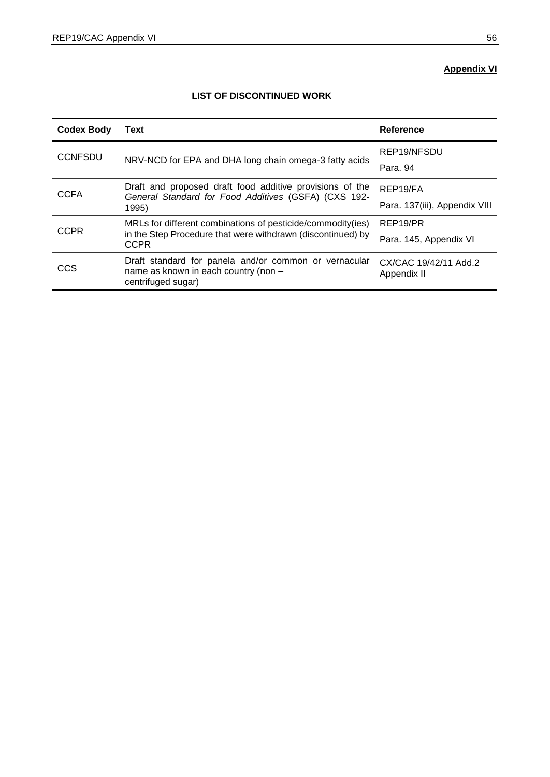# **Appendix VI**

| <b>Codex Body</b> | Text                                                                                                                | Reference                            |
|-------------------|---------------------------------------------------------------------------------------------------------------------|--------------------------------------|
| <b>CCNFSDU</b>    |                                                                                                                     | REP19/NFSDU                          |
|                   | NRV-NCD for EPA and DHA long chain omega-3 fatty acids                                                              | Para, 94                             |
| <b>CCFA</b>       | Draft and proposed draft food additive provisions of the<br>General Standard for Food Additives (GSFA) (CXS 192-    | REP19/FA                             |
|                   | 1995)                                                                                                               | Para. 137(iii), Appendix VIII        |
| <b>CCPR</b>       | MRLs for different combinations of pesticide/commodity(ies)                                                         | REP19/PR                             |
|                   | in the Step Procedure that were withdrawn (discontinued) by<br><b>CCPR</b>                                          | Para. 145, Appendix VI               |
| CCS               | Draft standard for panela and/or common or vernacular<br>name as known in each country (non -<br>centrifuged sugar) | CX/CAC 19/42/11 Add.2<br>Appendix II |

## **LIST OF DISCONTINUED WORK**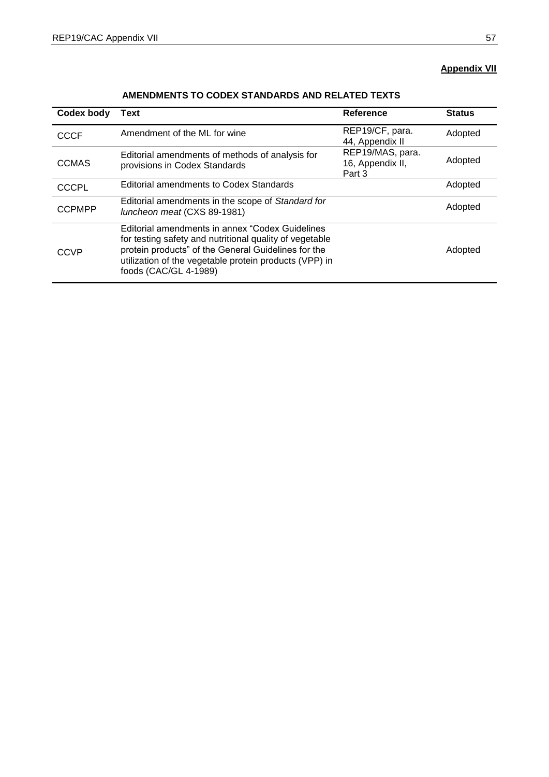## **Appendix VII**

| Codex body    | <b>Text</b>                                                                                                                                                                                                                                           | Reference                                      | <b>Status</b> |
|---------------|-------------------------------------------------------------------------------------------------------------------------------------------------------------------------------------------------------------------------------------------------------|------------------------------------------------|---------------|
| <b>CCCF</b>   | Amendment of the ML for wine                                                                                                                                                                                                                          | REP19/CF, para.<br>44, Appendix II             | Adopted       |
| <b>CCMAS</b>  | Editorial amendments of methods of analysis for<br>provisions in Codex Standards                                                                                                                                                                      | REP19/MAS, para.<br>16, Appendix II,<br>Part 3 | Adopted       |
| <b>CCCPL</b>  | Editorial amendments to Codex Standards                                                                                                                                                                                                               |                                                | Adopted       |
| <b>CCPMPP</b> | Editorial amendments in the scope of Standard for<br>luncheon meat (CXS 89-1981)                                                                                                                                                                      |                                                | Adopted       |
| CCVP          | Editorial amendments in annex "Codex Guidelines"<br>for testing safety and nutritional quality of vegetable<br>protein products" of the General Guidelines for the<br>utilization of the vegetable protein products (VPP) in<br>foods (CAC/GL 4-1989) |                                                | Adopted       |

## **AMENDMENTS TO CODEX STANDARDS AND RELATED TEXTS**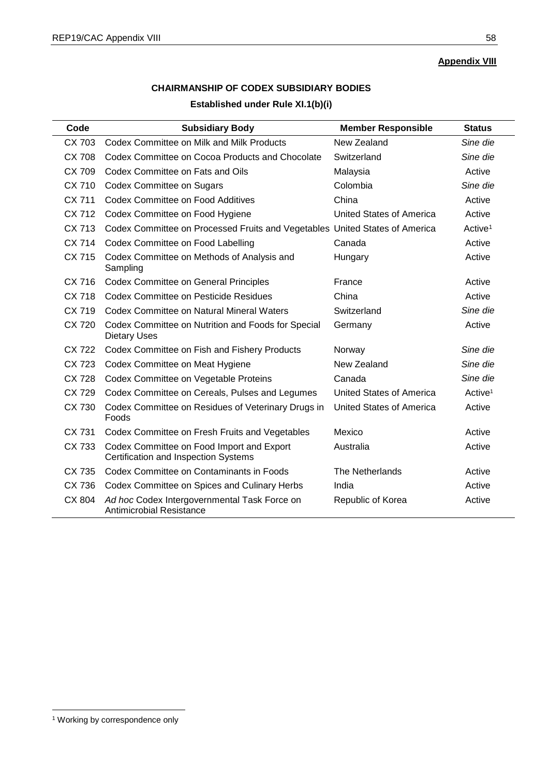**Appendix VIII**

# **CHAIRMANSHIP OF CODEX SUBSIDIARY BODIES Established under Rule XI.1(b)(i)**

| Code         | <b>Subsidiary Body</b>                                                            | <b>Member Responsible</b>       | <b>Status</b>       |
|--------------|-----------------------------------------------------------------------------------|---------------------------------|---------------------|
| CX 703       | Codex Committee on Milk and Milk Products                                         | New Zealand                     | Sine die            |
| CX 708       | Codex Committee on Cocoa Products and Chocolate                                   | Switzerland                     | Sine die            |
| CX 709       | Codex Committee on Fats and Oils                                                  | Malaysia                        | Active              |
| CX 710       | <b>Codex Committee on Sugars</b>                                                  | Colombia                        | Sine die            |
| CX 711       | Codex Committee on Food Additives                                                 | China                           | Active              |
| CX 712       | Codex Committee on Food Hygiene                                                   | United States of America        | Active              |
| CX 713       | Codex Committee on Processed Fruits and Vegetables United States of America       |                                 | Active <sup>1</sup> |
| CX 714       | Codex Committee on Food Labelling                                                 | Canada                          | Active              |
| CX 715       | Codex Committee on Methods of Analysis and<br>Sampling                            | Hungary                         | Active              |
| CX 716       | <b>Codex Committee on General Principles</b>                                      | France                          | Active              |
| CX 718       | <b>Codex Committee on Pesticide Residues</b>                                      | China                           | Active              |
| CX 719       | Codex Committee on Natural Mineral Waters                                         | Switzerland                     | Sine die            |
| <b>CX720</b> | Codex Committee on Nutrition and Foods for Special<br><b>Dietary Uses</b>         | Germany                         | Active              |
| CX 722       | Codex Committee on Fish and Fishery Products                                      | Norway                          | Sine die            |
| CX 723       | Codex Committee on Meat Hygiene                                                   | New Zealand                     | Sine die            |
| <b>CX728</b> | Codex Committee on Vegetable Proteins                                             | Canada                          | Sine die            |
| CX 729       | Codex Committee on Cereals, Pulses and Legumes                                    | <b>United States of America</b> | Active <sup>1</sup> |
| CX 730       | Codex Committee on Residues of Veterinary Drugs in<br>Foods                       | <b>United States of America</b> | Active              |
| CX 731       | Codex Committee on Fresh Fruits and Vegetables                                    | Mexico                          | Active              |
| CX 733       | Codex Committee on Food Import and Export<br>Certification and Inspection Systems | Australia                       | Active              |
| CX 735       | Codex Committee on Contaminants in Foods                                          | The Netherlands                 | Active              |
| CX 736       | Codex Committee on Spices and Culinary Herbs                                      | India                           | Active              |
| CX 804       | Ad hoc Codex Intergovernmental Task Force on<br>Antimicrobial Resistance          | Republic of Korea               | Active              |

**.**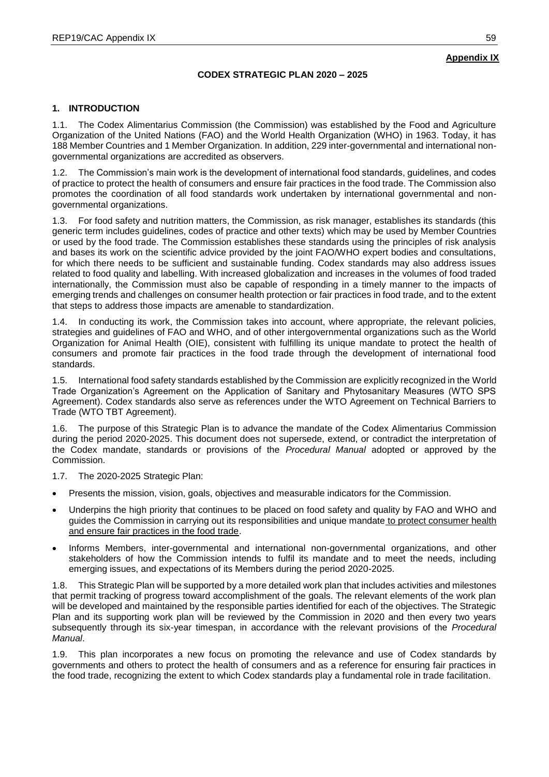## **CODEX STRATEGIC PLAN 2020 – 2025**

## **1. INTRODUCTION**

1.1. The Codex Alimentarius Commission (the Commission) was established by the Food and Agriculture Organization of the United Nations (FAO) and the World Health Organization (WHO) in 1963. Today, it has 188 Member Countries and 1 Member Organization. In addition, 229 inter-governmental and international nongovernmental organizations are accredited as observers.

1.2. The Commission's main work is the development of international food standards, guidelines, and codes of practice to protect the health of consumers and ensure fair practices in the food trade. The Commission also promotes the coordination of all food standards work undertaken by international governmental and nongovernmental organizations.

1.3. For food safety and nutrition matters, the Commission, as risk manager, establishes its standards (this generic term includes guidelines, codes of practice and other texts) which may be used by Member Countries or used by the food trade. The Commission establishes these standards using the principles of risk analysis and bases its work on the scientific advice provided by the joint FAO/WHO expert bodies and consultations, for which there needs to be sufficient and sustainable funding. Codex standards may also address issues related to food quality and labelling. With increased globalization and increases in the volumes of food traded internationally, the Commission must also be capable of responding in a timely manner to the impacts of emerging trends and challenges on consumer health protection or fair practices in food trade, and to the extent that steps to address those impacts are amenable to standardization.

1.4. In conducting its work, the Commission takes into account, where appropriate, the relevant policies, strategies and guidelines of FAO and WHO, and of other intergovernmental organizations such as the World Organization for Animal Health (OIE), consistent with fulfilling its unique mandate to protect the health of consumers and promote fair practices in the food trade through the development of international food standards.

1.5. International food safety standards established by the Commission are explicitly recognized in the World Trade Organization's Agreement on the Application of Sanitary and Phytosanitary Measures (WTO SPS Agreement). Codex standards also serve as references under the WTO Agreement on Technical Barriers to Trade (WTO TBT Agreement).

1.6. The purpose of this Strategic Plan is to advance the mandate of the Codex Alimentarius Commission during the period 2020-2025. This document does not supersede, extend, or contradict the interpretation of the Codex mandate, standards or provisions of the *Procedural Manual* adopted or approved by the Commission.

1.7. The 2020-2025 Strategic Plan:

- **•** Presents the mission, vision, goals, objectives and measurable indicators for the Commission.
- Underpins the high priority that continues to be placed on food safety and quality by FAO and WHO and guides the Commission in carrying out its responsibilities and unique mandate to protect consumer health and ensure fair practices in the food trade.
- Informs Members, inter-governmental and international non-governmental organizations, and other stakeholders of how the Commission intends to fulfil its mandate and to meet the needs, including emerging issues, and expectations of its Members during the period 2020-2025.

1.8. This Strategic Plan will be supported by a more detailed work plan that includes activities and milestones that permit tracking of progress toward accomplishment of the goals. The relevant elements of the work plan will be developed and maintained by the responsible parties identified for each of the objectives. The Strategic Plan and its supporting work plan will be reviewed by the Commission in 2020 and then every two years subsequently through its six-year timespan, in accordance with the relevant provisions of the *Procedural Manual*.

1.9. This plan incorporates a new focus on promoting the relevance and use of Codex standards by governments and others to protect the health of consumers and as a reference for ensuring fair practices in the food trade, recognizing the extent to which Codex standards play a fundamental role in trade facilitation.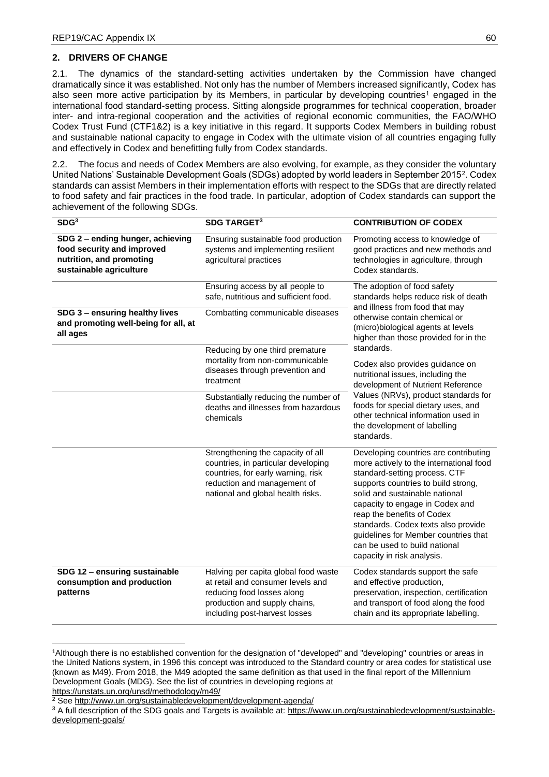## **2. DRIVERS OF CHANGE**

2.1. The dynamics of the standard-setting activities undertaken by the Commission have changed dramatically since it was established. Not only has the number of Members increased significantly, Codex has also seen more active participation by its Members, in particular by developing countries<sup>1</sup> engaged in the international food standard-setting process. Sitting alongside programmes for technical cooperation, broader inter- and intra-regional cooperation and the activities of regional economic communities, the FAO/WHO Codex Trust Fund (CTF1&2) is a key initiative in this regard. It supports Codex Members in building robust and sustainable national capacity to engage in Codex with the ultimate vision of all countries engaging fully and effectively in Codex and benefitting fully from Codex standards.

2.2. The focus and needs of Codex Members are also evolving, for example, as they consider the voluntary United Nations' Sustainable Development Goals (SDGs) adopted by world leaders in September 2015<sup>2</sup>. Codex standards can assist Members in their implementation efforts with respect to the SDGs that are directly related to food safety and fair practices in the food trade. In particular, adoption of Codex standards can support the achievement of the following SDGs.

| SDG <sup>3</sup>                                                                                                                                                                                               | <b>SDG TARGET3</b>                                                                                                                                                                                                                                                                          | <b>CONTRIBUTION OF CODEX</b>                                                                                                                                                                                                                                                                                                                                                                              |
|----------------------------------------------------------------------------------------------------------------------------------------------------------------------------------------------------------------|---------------------------------------------------------------------------------------------------------------------------------------------------------------------------------------------------------------------------------------------------------------------------------------------|-----------------------------------------------------------------------------------------------------------------------------------------------------------------------------------------------------------------------------------------------------------------------------------------------------------------------------------------------------------------------------------------------------------|
| SDG 2 - ending hunger, achieving<br>food security and improved<br>nutrition, and promoting<br>sustainable agriculture                                                                                          | Ensuring sustainable food production<br>systems and implementing resilient<br>agricultural practices                                                                                                                                                                                        | Promoting access to knowledge of<br>good practices and new methods and<br>technologies in agriculture, through<br>Codex standards.                                                                                                                                                                                                                                                                        |
| SDG 3 - ensuring healthy lives<br>and promoting well-being for all, at<br>all ages                                                                                                                             | Ensuring access by all people to<br>safe, nutritious and sufficient food.<br>Combatting communicable diseases                                                                                                                                                                               | The adoption of food safety<br>standards helps reduce risk of death<br>and illness from food that may<br>otherwise contain chemical or<br>(micro)biological agents at levels<br>higher than those provided for in the                                                                                                                                                                                     |
| Reducing by one third premature<br>mortality from non-communicable<br>diseases through prevention and<br>treatment<br>Substantially reducing the number of<br>deaths and illnesses from hazardous<br>chemicals | standards.<br>Codex also provides guidance on<br>nutritional issues, including the<br>development of Nutrient Reference<br>Values (NRVs), product standards for<br>foods for special dietary uses, and<br>other technical information used in<br>the development of labelling<br>standards. |                                                                                                                                                                                                                                                                                                                                                                                                           |
|                                                                                                                                                                                                                | Strengthening the capacity of all<br>countries, in particular developing<br>countries, for early warning, risk<br>reduction and management of<br>national and global health risks.                                                                                                          | Developing countries are contributing<br>more actively to the international food<br>standard-setting process. CTF<br>supports countries to build strong,<br>solid and sustainable national<br>capacity to engage in Codex and<br>reap the benefits of Codex<br>standards. Codex texts also provide<br>guidelines for Member countries that<br>can be used to build national<br>capacity in risk analysis. |
| SDG 12 - ensuring sustainable<br>consumption and production<br>patterns                                                                                                                                        | Halving per capita global food waste<br>at retail and consumer levels and<br>reducing food losses along<br>production and supply chains,<br>including post-harvest losses                                                                                                                   | Codex standards support the safe<br>and effective production,<br>preservation, inspection, certification<br>and transport of food along the food<br>chain and its appropriate labelling.                                                                                                                                                                                                                  |

<sup>-</sup><sup>1</sup>Although there is no established convention for the designation of "developed" and "developing" countries or areas in the United Nations system, in 1996 this concept was introduced to the Standard country or area codes for statistical use (known as M49). From 2018, the M49 adopted the same definition as that used in the final report of the Millennium Development Goals (MDG). See the list of countries in developing regions at <https://unstats.un.org/unsd/methodology/m49/>

<sup>2</sup> See<http://www.un.org/sustainabledevelopment/development-agenda/>

<sup>&</sup>lt;sup>3</sup> A full description of the SDG goals and Targets is available at: [https://www.un.org/sustainabledevelopment/sustainable](https://www.un.org/sustainabledevelopment/sustainable-development-goals/)[development-goals/](https://www.un.org/sustainabledevelopment/sustainable-development-goals/)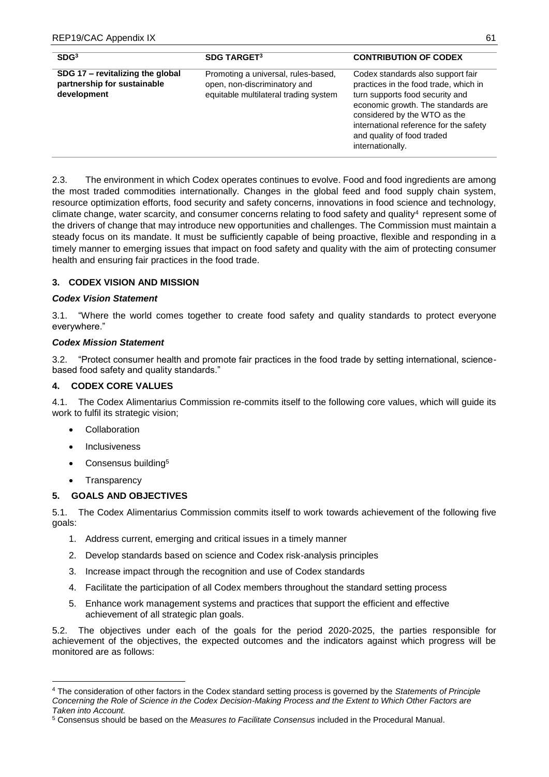| SDG <sup>3</sup>                                                               | <b>SDG TARGET3</b>                                                                                           | <b>CONTRIBUTION OF CODEX</b>                                                                                                                                                                                                                                                    |
|--------------------------------------------------------------------------------|--------------------------------------------------------------------------------------------------------------|---------------------------------------------------------------------------------------------------------------------------------------------------------------------------------------------------------------------------------------------------------------------------------|
| SDG 17 - revitalizing the global<br>partnership for sustainable<br>development | Promoting a universal, rules-based,<br>open, non-discriminatory and<br>equitable multilateral trading system | Codex standards also support fair<br>practices in the food trade, which in<br>turn supports food security and<br>economic growth. The standards are<br>considered by the WTO as the<br>international reference for the safety<br>and quality of food traded<br>internationally. |

2.3. The environment in which Codex operates continues to evolve. Food and food ingredients are among the most traded commodities internationally. Changes in the global feed and food supply chain system, resource optimization efforts, food security and safety concerns, innovations in food science and technology, climate change, water scarcity, and consumer concerns relating to food safety and quality<sup>4</sup> represent some of the drivers of change that may introduce new opportunities and challenges. The Commission must maintain a steady focus on its mandate. It must be sufficiently capable of being proactive, flexible and responding in a timely manner to emerging issues that impact on food safety and quality with the aim of protecting consumer health and ensuring fair practices in the food trade.

## **3. CODEX VISION AND MISSION**

## *Codex Vision Statement*

3.1. "Where the world comes together to create food safety and quality standards to protect everyone everywhere."

## *Codex Mission Statement*

3.2. "Protect consumer health and promote fair practices in the food trade by setting international, sciencebased food safety and quality standards."

## **4. CODEX CORE VALUES**

4.1. The Codex Alimentarius Commission re-commits itself to the following core values, which will guide its work to fulfil its strategic vision;

- Collaboration
- Inclusiveness
- Consensus building<sup>5</sup>
- Transparency

**.** 

## **5. GOALS AND OBJECTIVES**

5.1. The Codex Alimentarius Commission commits itself to work towards achievement of the following five goals:

- 1. Address current, emerging and critical issues in a timely manner
- 2. Develop standards based on science and Codex risk-analysis principles
- 3. Increase impact through the recognition and use of Codex standards
- 4. Facilitate the participation of all Codex members throughout the standard setting process
- 5. Enhance work management systems and practices that support the efficient and effective achievement of all strategic plan goals.

5.2. The objectives under each of the goals for the period 2020-2025, the parties responsible for achievement of the objectives, the expected outcomes and the indicators against which progress will be monitored are as follows:

<sup>4</sup> The consideration of other factors in the Codex standard setting process is governed by the *Statements of Principle Concerning the Role of Science in the Codex Decision-Making Process and the Extent to Which Other Factors are Taken into Account.*

<sup>5</sup> Consensus should be based on the *Measures to Facilitate Consensus* included in the Procedural Manual.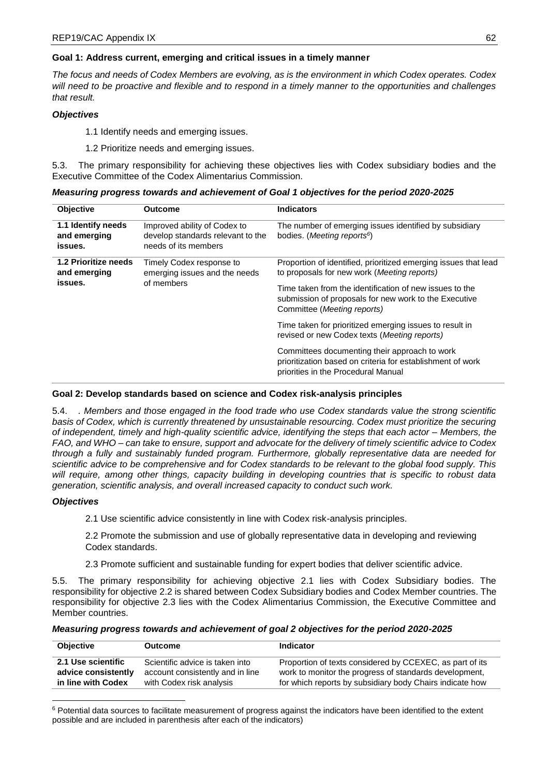## **Goal 1: Address current, emerging and critical issues in a timely manner**

*The focus and needs of Codex Members are evolving, as is the environment in which Codex operates. Codex will need to be proactive and flexible and to respond in a timely manner to the opportunities and challenges that result.*

## *Objectives*

1.1 Identify needs and emerging issues.

1.2 Prioritize needs and emerging issues.

5.3. The primary responsibility for achieving these objectives lies with Codex subsidiary bodies and the Executive Committee of the Codex Alimentarius Commission.

| Measuring progress towards and achievement of Goal 1 objectives for the period 2020-2025 |
|------------------------------------------------------------------------------------------|
|------------------------------------------------------------------------------------------|

| <b>Objective</b>                                | <b>Outcome</b>                                                                            | <b>Indicators</b>                                                                                                                                                                                                                                                          |
|-------------------------------------------------|-------------------------------------------------------------------------------------------|----------------------------------------------------------------------------------------------------------------------------------------------------------------------------------------------------------------------------------------------------------------------------|
| 1.1 Identify needs<br>and emerging<br>issues.   | Improved ability of Codex to<br>develop standards relevant to the<br>needs of its members | The number of emerging issues identified by subsidiary<br>bodies. ( <i>Meeting reports</i> <sup>6</sup> )                                                                                                                                                                  |
| 1.2 Prioritize needs<br>and emerging<br>issues. | Timely Codex response to<br>emerging issues and the needs<br>of members                   | Proportion of identified, prioritized emerging issues that lead<br>to proposals for new work ( <i>Meeting reports</i> )<br>Time taken from the identification of new issues to the<br>submission of proposals for new work to the Executive<br>Committee (Meeting reports) |
|                                                 |                                                                                           | Time taken for prioritized emerging issues to result in<br>revised or new Codex texts (Meeting reports)                                                                                                                                                                    |
|                                                 |                                                                                           | Committees documenting their approach to work<br>prioritization based on criteria for establishment of work<br>priorities in the Procedural Manual                                                                                                                         |

## **Goal 2: Develop standards based on science and Codex risk-analysis principles**

5.4. *. Members and those engaged in the food trade who use Codex standards value the strong scientific basis of Codex, which is currently threatened by unsustainable resourcing. Codex must prioritize the securing of independent, timely and high-quality scientific advice, identifying the steps that each actor – Members, the FAO, and WHO – can take to ensure, support and advocate for the delivery of timely scientific advice to Codex through a fully and sustainably funded program. Furthermore, globally representative data are needed for scientific advice to be comprehensive and for Codex standards to be relevant to the global food supply. This will require, among other things, capacity building in developing countries that is specific to robust data generation, scientific analysis, and overall increased capacity to conduct such work.*

## *Objectives*

2.1 Use scientific advice consistently in line with Codex risk-analysis principles.

2.2 Promote the submission and use of globally representative data in developing and reviewing Codex standards.

2.3 Promote sufficient and sustainable funding for expert bodies that deliver scientific advice.

5.5. The primary responsibility for achieving objective 2.1 lies with Codex Subsidiary bodies. The responsibility for objective 2.2 is shared between Codex Subsidiary bodies and Codex Member countries. The responsibility for objective 2.3 lies with the Codex Alimentarius Commission, the Executive Committee and Member countries.

| Measuring progress towards and achievement of goal 2 objectives for the period 2020-2025 |  |  |
|------------------------------------------------------------------------------------------|--|--|
|------------------------------------------------------------------------------------------|--|--|

| <b>Objective</b>    | Outcome                          | <b>Indicator</b>                                         |
|---------------------|----------------------------------|----------------------------------------------------------|
| 2.1 Use scientific  | Scientific advice is taken into  | Proportion of texts considered by CCEXEC, as part of its |
| advice consistently | account consistently and in line | work to monitor the progress of standards development,   |
| in line with Codex  | with Codex risk analysis         | for which reports by subsidiary body Chairs indicate how |

<sup>1</sup>  $6$  Potential data sources to facilitate measurement of progress against the indicators have been identified to the extent possible and are included in parenthesis after each of the indicators)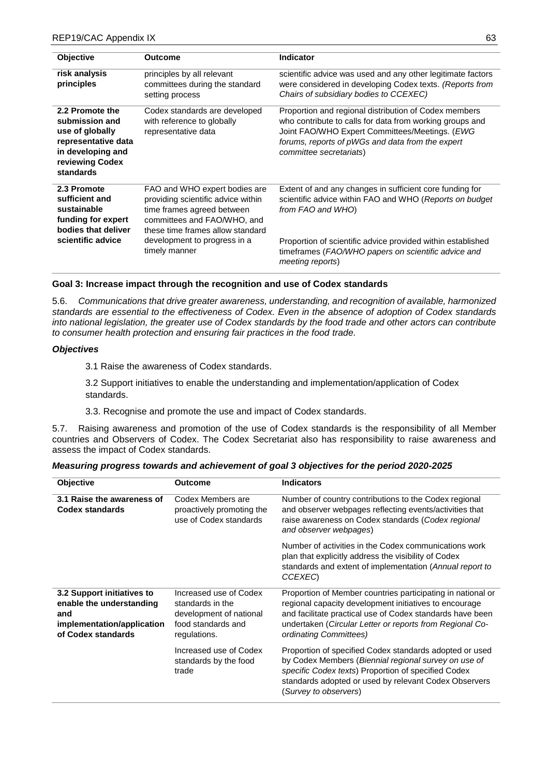| <b>Objective</b>                                                                                                                 | <b>Outcome</b>                                                                                                                                                                                                        | Indicator                                                                                                                                                                                                                                                                         |
|----------------------------------------------------------------------------------------------------------------------------------|-----------------------------------------------------------------------------------------------------------------------------------------------------------------------------------------------------------------------|-----------------------------------------------------------------------------------------------------------------------------------------------------------------------------------------------------------------------------------------------------------------------------------|
| risk analysis<br>principles                                                                                                      | principles by all relevant<br>committees during the standard<br>setting process                                                                                                                                       | scientific advice was used and any other legitimate factors<br>were considered in developing Codex texts. (Reports from<br>Chairs of subsidiary bodies to CCEXEC)                                                                                                                 |
| 2.2 Promote the<br>submission and<br>use of globally<br>representative data<br>in developing and<br>reviewing Codex<br>standards | Codex standards are developed<br>with reference to globally<br>representative data                                                                                                                                    | Proportion and regional distribution of Codex members<br>who contribute to calls for data from working groups and<br>Joint FAO/WHO Expert Committees/Meetings. (EWG<br>forums, reports of pWGs and data from the expert<br>committee secretariats)                                |
| 2.3 Promote<br>sufficient and<br>sustainable<br>funding for expert<br>bodies that deliver<br>scientific advice                   | FAO and WHO expert bodies are<br>providing scientific advice within<br>time frames agreed between<br>committees and FAO/WHO, and<br>these time frames allow standard<br>development to progress in a<br>timely manner | Extent of and any changes in sufficient core funding for<br>scientific advice within FAO and WHO (Reports on budget<br>from FAO and WHO<br>Proportion of scientific advice provided within established<br>timeframes (FAO/WHO papers on scientific advice and<br>meeting reports) |

## **Goal 3: Increase impact through the recognition and use of Codex standards**

5.6. *Communications that drive greater awareness, understanding, and recognition of available, harmonized standards are essential to the effectiveness of Codex. Even in the absence of adoption of Codex standards into national legislation, the greater use of Codex standards by the food trade and other actors can contribute to consumer health protection and ensuring fair practices in the food trade.*

#### *Objectives*

3.1 Raise the awareness of Codex standards.

3.2 Support initiatives to enable the understanding and implementation/application of Codex standards.

3.3. Recognise and promote the use and impact of Codex standards.

5.7. Raising awareness and promotion of the use of Codex standards is the responsibility of all Member countries and Observers of Codex. The Codex Secretariat also has responsibility to raise awareness and assess the impact of Codex standards.

| <b>Objective</b>                                                                                                  | <b>Outcome</b>                                                                                              | <b>Indicators</b>                                                                                                                                                                                                                                                        |
|-------------------------------------------------------------------------------------------------------------------|-------------------------------------------------------------------------------------------------------------|--------------------------------------------------------------------------------------------------------------------------------------------------------------------------------------------------------------------------------------------------------------------------|
| 3.1 Raise the awareness of<br>Codex standards                                                                     | Codex Members are<br>proactively promoting the<br>use of Codex standards                                    | Number of country contributions to the Codex regional<br>and observer webpages reflecting events/activities that<br>raise awareness on Codex standards (Codex regional<br>and observer webpages)                                                                         |
|                                                                                                                   |                                                                                                             | Number of activities in the Codex communications work<br>plan that explicitly address the visibility of Codex<br>standards and extent of implementation (Annual report to<br>CCEXEC <sub>)</sub>                                                                         |
| 3.2 Support initiatives to<br>enable the understanding<br>and<br>implementation/application<br>of Codex standards | Increased use of Codex<br>standards in the<br>development of national<br>food standards and<br>regulations. | Proportion of Member countries participating in national or<br>regional capacity development initiatives to encourage<br>and facilitate practical use of Codex standards have been<br>undertaken (Circular Letter or reports from Regional Co-<br>ordinating Committees) |
|                                                                                                                   | Increased use of Codex<br>standards by the food<br>trade                                                    | Proportion of specified Codex standards adopted or used<br>by Codex Members (Biennial regional survey on use of<br>specific Codex texts) Proportion of specified Codex<br>standards adopted or used by relevant Codex Observers<br>(Survey to observers)                 |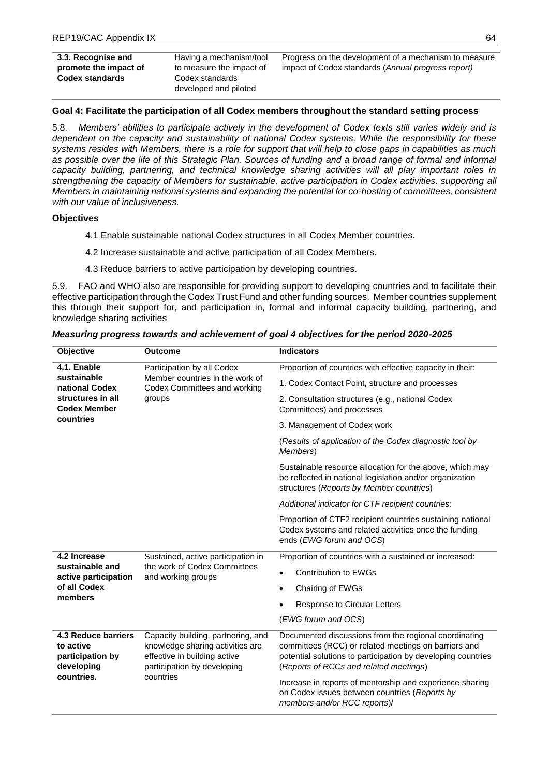| 3.3. Recognise and     | Having a mechanism/tool  |
|------------------------|--------------------------|
| promote the impact of  | to measure the impact of |
| <b>Codex standards</b> | Codex standards          |
|                        | developed and piloted    |

Progress on the development of a mechanism to measure impact of Codex standards (*Annual progress report)*

## **Goal 4: Facilitate the participation of all Codex members throughout the standard setting process**

5.8. *Members' abilities to participate actively in the development of Codex texts still varies widely and is dependent on the capacity and sustainability of national Codex systems. While the responsibility for these systems resides with Members, there is a role for support that will help to close gaps in capabilities as much as possible over the life of this Strategic Plan. Sources of funding and a broad range of formal and informal capacity building, partnering, and technical knowledge sharing activities will all play important roles in strengthening the capacity of Members for sustainable, active participation in Codex activities, supporting all Members in maintaining national systems and expanding the potential for co-hosting of committees, consistent with our value of inclusiveness.*

## **Objectives**

- 4.1 Enable sustainable national Codex structures in all Codex Member countries.
- 4.2 Increase sustainable and active participation of all Codex Members.
- 4.3 Reduce barriers to active participation by developing countries.

5.9. FAO and WHO also are responsible for providing support to developing countries and to facilitate their effective participation through the Codex Trust Fund and other funding sources. Member countries supplement this through their support for, and participation in, formal and informal capacity building, partnering, and knowledge sharing activities

| Measuring progress towards and achievement of goal 4 objectives for the period 2020-2025 |  |  |
|------------------------------------------------------------------------------------------|--|--|
|------------------------------------------------------------------------------------------|--|--|

| Objective                                                                                                                                                                                               | <b>Outcome</b>                                                                                                                            | <b>Indicators</b>                                                                                                                                                                                                       |
|---------------------------------------------------------------------------------------------------------------------------------------------------------------------------------------------------------|-------------------------------------------------------------------------------------------------------------------------------------------|-------------------------------------------------------------------------------------------------------------------------------------------------------------------------------------------------------------------------|
| 4.1. Enable                                                                                                                                                                                             | Participation by all Codex<br>Member countries in the work of<br>Codex Committees and working<br>groups                                   | Proportion of countries with effective capacity in their:                                                                                                                                                               |
| sustainable<br>national Codex<br>structures in all<br><b>Codex Member</b>                                                                                                                               |                                                                                                                                           | 1. Codex Contact Point, structure and processes                                                                                                                                                                         |
|                                                                                                                                                                                                         |                                                                                                                                           | 2. Consultation structures (e.g., national Codex<br>Committees) and processes                                                                                                                                           |
| countries                                                                                                                                                                                               |                                                                                                                                           | 3. Management of Codex work                                                                                                                                                                                             |
|                                                                                                                                                                                                         |                                                                                                                                           | (Results of application of the Codex diagnostic tool by<br>Members)                                                                                                                                                     |
|                                                                                                                                                                                                         |                                                                                                                                           | Sustainable resource allocation for the above, which may<br>be reflected in national legislation and/or organization<br>structures (Reports by Member countries)                                                        |
|                                                                                                                                                                                                         |                                                                                                                                           | Additional indicator for CTF recipient countries:                                                                                                                                                                       |
|                                                                                                                                                                                                         |                                                                                                                                           | Proportion of CTF2 recipient countries sustaining national<br>Codex systems and related activities once the funding<br>ends (EWG forum and OCS)                                                                         |
| 4.2 Increase                                                                                                                                                                                            | Sustained, active participation in                                                                                                        | Proportion of countries with a sustained or increased:                                                                                                                                                                  |
| sustainable and<br>the work of Codex Committees<br>active participation<br>and working groups<br>of all Codex<br>members                                                                                | <b>Contribution to EWGs</b><br>$\bullet$                                                                                                  |                                                                                                                                                                                                                         |
|                                                                                                                                                                                                         |                                                                                                                                           | Chairing of EWGs                                                                                                                                                                                                        |
|                                                                                                                                                                                                         |                                                                                                                                           | Response to Circular Letters                                                                                                                                                                                            |
|                                                                                                                                                                                                         |                                                                                                                                           | (EWG forum and OCS)                                                                                                                                                                                                     |
| <b>4.3 Reduce barriers</b><br>to active<br>knowledge sharing activities are<br>participation by<br>effective in building active<br>participation by developing<br>developing<br>countries.<br>countries | Capacity building, partnering, and                                                                                                        | Documented discussions from the regional coordinating<br>committees (RCC) or related meetings on barriers and<br>potential solutions to participation by developing countries<br>(Reports of RCCs and related meetings) |
|                                                                                                                                                                                                         | Increase in reports of mentorship and experience sharing<br>on Codex issues between countries (Reports by<br>members and/or RCC reports)/ |                                                                                                                                                                                                                         |